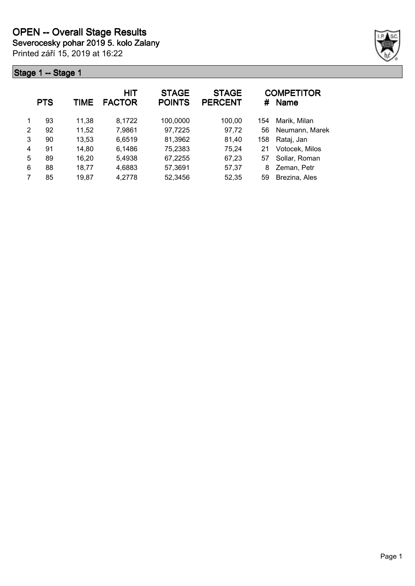Printed září 15, 2019 at 16:22



|   | <b>PTS</b> | TIME  | <b>HIT</b><br><b>FACTOR</b> | <b>STAGE</b><br><b>POINTS</b> | <b>STAGE</b><br><b>PERCENT</b> | #   | <b>COMPETITOR</b><br><b>Name</b> |
|---|------------|-------|-----------------------------|-------------------------------|--------------------------------|-----|----------------------------------|
| 1 | 93         | 11,38 | 8,1722                      | 100,0000                      | 100,00                         | 154 | Marik, Milan                     |
| 2 | 92         | 11,52 | 7,9861                      | 97,7225                       | 97,72                          | 56  | Neumann, Marek                   |
| 3 | 90         | 13,53 | 6,6519                      | 81,3962                       | 81,40                          | 158 | Rataj, Jan                       |
| 4 | 91         | 14,80 | 6,1486                      | 75,2383                       | 75,24                          | 21  | Votocek, Milos                   |
| 5 | 89         | 16,20 | 5,4938                      | 67,2255                       | 67,23                          | 57  | Sollar, Roman                    |
| 6 | 88         | 18,77 | 4,6883                      | 57,3691                       | 57,37                          | 8   | Zeman, Petr                      |
| 7 | 85         | 19,87 | 4,2778                      | 52,3456                       | 52,35                          | 59  | Brezina, Ales                    |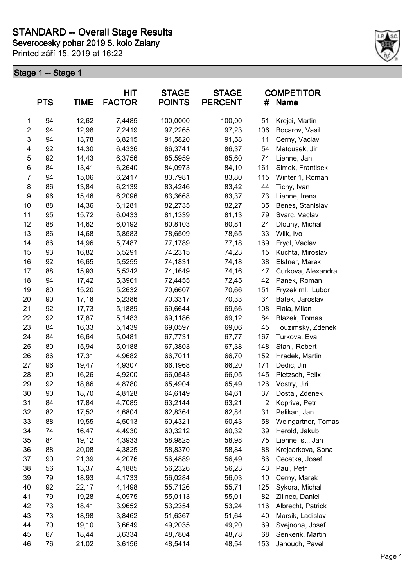**Severocesky pohar 2019 5. kolo Zalany**

Printed září 15, 2019 at 16:22



|                | <b>PTS</b> | <b>TIME</b> | <b>HIT</b><br><b>FACTOR</b> | <b>STAGE</b><br><b>POINTS</b> | <b>STAGE</b><br><b>PERCENT</b> | #   | <b>COMPETITOR</b><br>Name |
|----------------|------------|-------------|-----------------------------|-------------------------------|--------------------------------|-----|---------------------------|
| 1              | 94         | 12,62       | 7,4485                      | 100,0000                      | 100,00                         | 51  | Krejci, Martin            |
| $\overline{c}$ | 94         | 12,98       | 7,2419                      | 97,2265                       | 97,23                          | 106 | Bocarov, Vasil            |
| $\mathsf 3$    | 94         | 13,78       | 6,8215                      | 91,5820                       | 91,58                          | 11  | Cerny, Vaclav             |
| 4              | 92         | 14,30       | 6,4336                      | 86,3741                       | 86,37                          | 54  | Matousek, Jiri            |
| 5              | 92         | 14,43       | 6,3756                      | 85,5959                       | 85,60                          | 74  | Liehne, Jan               |
| 6              | 84         | 13,41       | 6,2640                      | 84,0973                       | 84,10                          | 161 | Simek, Frantisek          |
| $\overline{7}$ | 94         | 15,06       | 6,2417                      | 83,7981                       | 83,80                          | 115 | Winter 1, Roman           |
| 8              | 86         | 13,84       | 6,2139                      | 83,4246                       | 83,42                          | 44  | Tichy, Ivan               |
| 9              | 96         | 15,46       | 6,2096                      | 83,3668                       | 83,37                          | 73  | Liehne, Irena             |
| 10             | 88         | 14,36       | 6,1281                      | 82,2735                       | 82,27                          | 35  | Benes, Stanislav          |
| 11             | 95         | 15,72       | 6,0433                      | 81,1339                       | 81,13                          | 79  | Svarc, Vaclav             |
| 12             | 88         | 14,62       | 6,0192                      | 80,8103                       | 80,81                          | 24  | Dlouhy, Michal            |
| 13             | 86         | 14,68       | 5,8583                      | 78,6509                       | 78,65                          | 33  | Wilk, Ivo                 |
| 14             | 86         | 14,96       | 5,7487                      | 77,1789                       | 77,18                          | 169 | Frydl, Vaclav             |
| 15             | 93         | 16,82       | 5,5291                      | 74,2315                       | 74,23                          | 15  | Kuchta, Miroslav          |
| 16             | 92         | 16,65       | 5,5255                      | 74,1831                       | 74,18                          | 38  | Elstner, Marek            |
| 17             | 88         | 15,93       | 5,5242                      | 74,1649                       | 74,16                          | 47  | Curkova, Alexandra        |
| 18             | 94         | 17,42       | 5,3961                      | 72,4455                       | 72,45                          | 42  | Panek, Roman              |
| 19             | 80         | 15,20       | 5,2632                      | 70,6607                       | 70,66                          | 151 | Fryzek ml., Lubor         |
| 20             | 90         | 17,18       | 5,2386                      | 70,3317                       | 70,33                          | 34  | Batek, Jaroslav           |
| 21             | 92         | 17,73       | 5,1889                      | 69,6644                       | 69,66                          | 108 | Fiala, Milan              |
| 22             | 92         | 17,87       | 5,1483                      | 69,1186                       | 69,12                          | 84  | Blazek, Tomas             |
| 23             | 84         | 16,33       | 5,1439                      | 69,0597                       | 69,06                          | 45  | Touzimsky, Zdenek         |
| 24             | 84         | 16,64       | 5,0481                      | 67,7731                       | 67,77                          | 167 | Turkova, Eva              |
| 25             | 80         | 15,94       | 5,0188                      | 67,3803                       | 67,38                          | 148 | Stahl, Robert             |
| 26             | 86         | 17,31       | 4,9682                      | 66,7011                       | 66,70                          | 152 | Hradek, Martin            |
| 27             | 96         | 19,47       | 4,9307                      | 66,1968                       | 66,20                          | 171 | Dedic, Jiri               |
| 28             | 80         | 16,26       | 4,9200                      | 66,0543                       | 66,05                          | 145 | Pietzsch, Felix           |
| 29             | 92         | 18,86       | 4,8780                      | 65,4904                       | 65,49                          | 126 | Vostry, Jiri              |
| 30             | 90         | 18,70       | 4,8128                      | 64,6149                       | 64,61                          | 37  | Dostal, Zdenek            |
| 31             | 84         | 17,84       | 4,7085                      | 63,2144                       | 63,21                          | 2   | Kopriva, Petr             |
| 32             | 82         | 17,52       | 4,6804                      | 62,8364                       | 62,84                          | 31  | Pelikan, Jan              |
| 33             | 88         | 19,55       | 4,5013                      | 60,4321                       | 60,43                          | 58  | Weingartner, Tomas        |
| 34             | 74         | 16,47       | 4,4930                      | 60,3212                       | 60,32                          | 39  | Herold, Jakub             |
| 35             | 84         | 19,12       | 4,3933                      | 58,9825                       | 58,98                          | 75  | Liehne st., Jan           |
| 36             | 88         | 20,08       | 4,3825                      | 58,8370                       | 58,84                          | 88  | Krejcarkova, Sona         |
| 37             | 90         | 21,39       | 4,2076                      | 56,4889                       | 56,49                          | 86  | Cecetka, Josef            |
| 38             | 56         | 13,37       | 4,1885                      | 56,2326                       | 56,23                          | 43  | Paul, Petr                |
| 39             | 79         | 18,93       | 4,1733                      | 56,0284                       | 56,03                          | 10  | Cerny, Marek              |
| 40             | 92         | 22,17       | 4,1498                      | 55,7126                       | 55,71                          | 125 | Sykora, Michal            |
| 41             | 79         | 19,28       | 4,0975                      | 55,0113                       | 55,01                          | 82  | Zilinec, Daniel           |
| 42             | 73         | 18,41       | 3,9652                      | 53,2354                       | 53,24                          | 116 | Albrecht, Patrick         |
| 43             | 73         | 18,98       | 3,8462                      | 51,6367                       | 51,64                          | 40  | Marsik, Ladislav          |
| 44             | 70         | 19,10       | 3,6649                      | 49,2035                       | 49,20                          | 69  | Svejnoha, Josef           |
| 45             | 67         | 18,44       | 3,6334                      | 48,7804                       | 48,78                          | 68  | Senkerik, Martin          |
| 46             | 76         | 21,02       | 3,6156                      | 48,5414                       | 48,54                          | 153 | Janouch, Pavel            |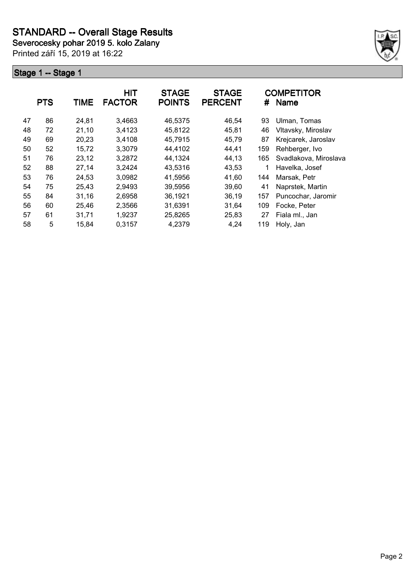**Severocesky pohar 2019 5. kolo Zalany**

Printed září 15, 2019 at 16:22



|    | <b>PTS</b> | <b>TIME</b> | HIT<br><b>FACTOR</b> | <b>STAGE</b><br><b>POINTS</b> | <b>STAGE</b><br><b>PERCENT</b> | #   | <b>COMPETITOR</b><br><b>Name</b> |
|----|------------|-------------|----------------------|-------------------------------|--------------------------------|-----|----------------------------------|
| 47 | 86         | 24,81       | 3,4663               | 46,5375                       | 46,54                          | 93  | Ulman, Tomas                     |
| 48 | 72         | 21,10       | 3,4123               | 45,8122                       | 45,81                          | 46  | Vltavsky, Miroslav               |
| 49 | 69         | 20,23       | 3,4108               | 45,7915                       | 45,79                          | 87  | Krejcarek, Jaroslav              |
| 50 | 52         | 15,72       | 3,3079               | 44,4102                       | 44,41                          | 159 | Rehberger, Ivo                   |
| 51 | 76         | 23,12       | 3,2872               | 44,1324                       | 44,13                          | 165 | Svadlakova, Miroslava            |
| 52 | 88         | 27,14       | 3,2424               | 43,5316                       | 43,53                          | 1   | Havelka, Josef                   |
| 53 | 76         | 24,53       | 3,0982               | 41,5956                       | 41,60                          | 144 | Marsak, Petr                     |
| 54 | 75         | 25,43       | 2,9493               | 39,5956                       | 39,60                          | 41  | Naprstek, Martin                 |
| 55 | 84         | 31,16       | 2,6958               | 36,1921                       | 36,19                          | 157 | Puncochar, Jaromir               |
| 56 | 60         | 25,46       | 2,3566               | 31,6391                       | 31,64                          | 109 | Focke, Peter                     |
| 57 | 61         | 31,71       | 1,9237               | 25,8265                       | 25,83                          | 27  | Fiala ml., Jan                   |
| 58 | 5          | 15,84       | 0.3157               | 4,2379                        | 4,24                           | 119 | Holy, Jan                        |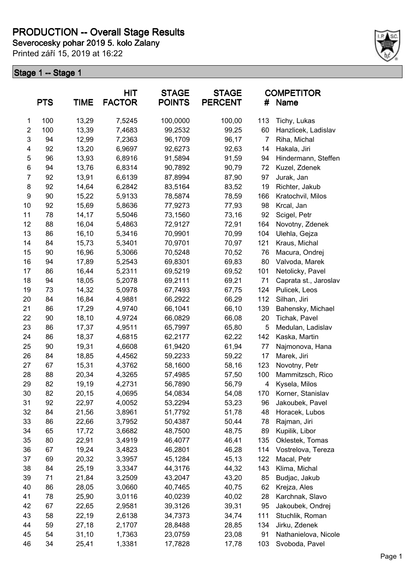# **PRODUCTION -- Overall Stage Results**

**Severocesky pohar 2019 5. kolo Zalany**

Printed září 15, 2019 at 16:22



|                  | <b>PTS</b> | <b>TIME</b> | <b>HIT</b><br><b>FACTOR</b> | <b>STAGE</b><br><b>POINTS</b> | <b>STAGE</b><br><b>PERCENT</b> | #              | <b>COMPETITOR</b><br>Name |
|------------------|------------|-------------|-----------------------------|-------------------------------|--------------------------------|----------------|---------------------------|
| $\mathbf{1}$     | 100        | 13,29       | 7,5245                      | 100,0000                      | 100,00                         | 113            | Tichy, Lukas              |
| $\overline{2}$   | 100        | 13,39       | 7,4683                      | 99,2532                       | 99,25                          | 60             | Hanzlicek, Ladislav       |
| 3                | 94         | 12,99       | 7,2363                      | 96,1709                       | 96,17                          | $\overline{7}$ | Riha, Michal              |
| 4                | 92         | 13,20       | 6,9697                      | 92,6273                       | 92,63                          | 14             | Hakala, Jiri              |
| 5                | 96         | 13,93       | 6,8916                      | 91,5894                       | 91,59                          | 94             | Hindermann, Steffen       |
| $\,6$            | 94         | 13,76       | 6,8314                      | 90,7892                       | 90,79                          | 72             | Kuzel, Zdenek             |
| $\overline{7}$   | 92         | 13,91       | 6,6139                      | 87,8994                       | 87,90                          | 97             | Jurak, Jan                |
| 8                | 92         | 14,64       | 6,2842                      | 83,5164                       | 83,52                          | 19             | Richter, Jakub            |
| $\boldsymbol{9}$ | 90         | 15,22       | 5,9133                      | 78,5874                       | 78,59                          | 166            | Kratochvil, Milos         |
| 10               | 92         | 15,69       | 5,8636                      | 77,9273                       | 77,93                          | 98             | Krcal, Jan                |
| 11               | 78         | 14,17       | 5,5046                      | 73,1560                       | 73,16                          | 92             | Scigel, Petr              |
| 12               | 88         | 16,04       | 5,4863                      | 72,9127                       | 72,91                          | 164            | Novotny, Zdenek           |
| 13               | 86         | 16,10       | 5,3416                      | 70,9901                       | 70,99                          | 104            | Ulehla, Gejza             |
| 14               | 84         | 15,73       | 5,3401                      | 70,9701                       | 70,97                          | 121            | Kraus, Michal             |
| 15               | 90         | 16,96       | 5,3066                      | 70,5248                       | 70,52                          | 76             | Macura, Ondrej            |
| 16               | 94         | 17,89       | 5,2543                      | 69,8301                       | 69,83                          | 80             | Valvoda, Marek            |
| 17               | 86         | 16,44       | 5,2311                      | 69,5219                       | 69,52                          | 101            | Netolicky, Pavel          |
| 18               | 94         | 18,05       | 5,2078                      | 69,2111                       | 69,21                          | 71             | Caprata st., Jaroslav     |
| 19               | 73         | 14,32       | 5,0978                      | 67,7493                       | 67,75                          | 124            | Pulicek, Leos             |
| 20               | 84         | 16,84       | 4,9881                      | 66,2922                       | 66,29                          | 112            | Silhan, Jiri              |
| 21               | 86         | 17,29       | 4,9740                      | 66,1041                       | 66,10                          | 139            | Bahensky, Michael         |
| 22               | 90         | 18,10       | 4,9724                      | 66,0829                       | 66,08                          | 20             | Tichak, Pavel             |
| 23               | 86         | 17,37       | 4,9511                      | 65,7997                       | 65,80                          | 5              | Medulan, Ladislav         |
| 24               | 86         | 18,37       | 4,6815                      | 62,2177                       | 62,22                          | 142            | Kaska, Martin             |
| 25               | 90         | 19,31       | 4,6608                      | 61,9420                       | 61,94                          | 77             | Najmonova, Hana           |
| 26               | 84         | 18,85       | 4,4562                      | 59,2233                       | 59,22                          | 17             | Marek, Jiri               |
| 27               | 67         | 15,31       | 4,3762                      | 58,1600                       | 58,16                          | 123            | Novotny, Petr             |
| 28               | 88         | 20,34       | 4,3265                      | 57,4985                       | 57,50                          | 100            | Mammitzsch, Rico          |
| 29               | 82         | 19,19       | 4,2731                      | 56,7890                       | 56,79                          | 4              | Kysela, Milos             |
| 30               | 82         | 20,15       | 4,0695                      | 54,0834                       | 54,08                          | 170            | Korner, Stanislav         |
| 31               | 92         | 22,97       | 4,0052                      | 53,2294                       | 53,23                          | 96             | Jakoubek, Pavel           |
| 32               | 84         | 21,56       | 3,8961                      | 51,7792                       | 51,78                          | 48             | Horacek, Lubos            |
| 33               | 86         | 22,66       | 3,7952                      | 50,4387                       | 50,44                          | 78             | Rajman, Jiri              |
| 34               | 65         | 17,72       | 3,6682                      | 48,7500                       | 48,75                          | 89             | Kupilik, Libor            |
| 35               | 80         | 22,91       | 3,4919                      | 46,4077                       | 46,41                          | 135            | Oklestek, Tomas           |
| 36               | 67         | 19,24       | 3,4823                      | 46,2801                       | 46,28                          | 114            | Vostrelova, Tereza        |
| 37               | 69         | 20,32       | 3,3957                      | 45,1284                       | 45,13                          | 122            | Macal, Petr               |
| 38               | 84         | 25,19       | 3,3347                      | 44,3176                       | 44,32                          | 143            | Klima, Michal             |
| 39               | 71         | 21,84       | 3,2509                      | 43,2047                       | 43,20                          | 85             | Budjac, Jakub             |
| 40               | 86         | 28,05       | 3,0660                      | 40,7465                       | 40,75                          | 62             | Krejza, Ales              |
| 41               | 78         | 25,90       | 3,0116                      | 40,0239                       | 40,02                          | 28             | Karchnak, Slavo           |
| 42               | 67         | 22,65       | 2,9581                      | 39,3126                       | 39,31                          | 95             | Jakoubek, Ondrej          |
| 43               | 58         | 22,19       | 2,6138                      | 34,7373                       | 34,74                          | 111            | Stuchlik, Roman           |
| 44               | 59         | 27,18       | 2,1707                      | 28,8488                       | 28,85                          | 134            | Jirku, Zdenek             |
| 45               | 54         | 31,10       | 1,7363                      | 23,0759                       | 23,08                          | 91             | Nathanielova, Nicole      |
| 46               | 34         | 25,41       | 1,3381                      | 17,7828                       | 17,78                          | 103            | Svoboda, Pavel            |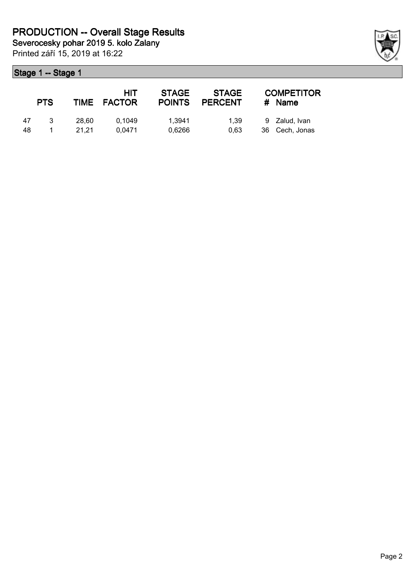Printed září 15, 2019 at 16:22

|    | <b>PTS</b> |       | HIT<br>TIME FACTOR | <b>STAGE</b><br><b>POINTS</b> | <b>STAGE</b><br><b>PERCENT</b> | <b>COMPETITOR</b><br>$#$ Name |
|----|------------|-------|--------------------|-------------------------------|--------------------------------|-------------------------------|
| 47 | -3         | 28.60 | 0.1049             | 1.3941                        | 1.39                           | 9 Zalud, Ivan                 |
| 48 |            | 21.21 | 0.0471             | 0.6266                        | 0.63                           | 36 Cech, Jonas                |

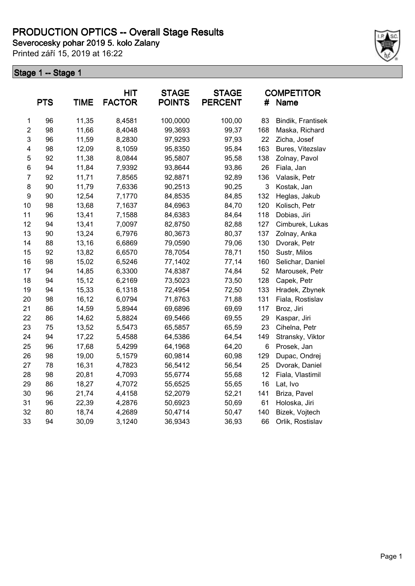Printed září 15, 2019 at 16:22



|                         | <b>PTS</b> | <b>TIME</b> | HIT<br><b>FACTOR</b> | <b>STAGE</b><br><b>POINTS</b> | <b>STAGE</b><br><b>PERCENT</b> | #   | <b>COMPETITOR</b><br>Name |
|-------------------------|------------|-------------|----------------------|-------------------------------|--------------------------------|-----|---------------------------|
| 1                       | 96         | 11,35       | 8,4581               | 100,0000                      | 100,00                         | 83  | Bindik, Frantisek         |
| $\overline{\mathbf{c}}$ | 98         | 11,66       | 8,4048               | 99,3693                       | 99,37                          | 168 | Maska, Richard            |
| 3                       | 96         | 11,59       | 8,2830               | 97,9293                       | 97,93                          | 22  | Zicha, Josef              |
| 4                       | 98         | 12,09       | 8,1059               | 95,8350                       | 95,84                          | 163 | Bures, Vitezslav          |
| 5                       | 92         | 11,38       | 8,0844               | 95,5807                       | 95,58                          | 138 | Zolnay, Pavol             |
| 6                       | 94         | 11,84       | 7,9392               | 93,8644                       | 93,86                          | 26  | Fiala, Jan                |
| $\overline{7}$          | 92         | 11,71       | 7,8565               | 92,8871                       | 92,89                          | 136 | Valasik, Petr             |
| 8                       | 90         | 11,79       | 7,6336               | 90,2513                       | 90,25                          | 3   | Kostak, Jan               |
| 9                       | 90         | 12,54       | 7,1770               | 84,8535                       | 84,85                          | 132 | Heglas, Jakub             |
| 10                      | 98         | 13,68       | 7,1637               | 84,6963                       | 84,70                          | 120 | Kolisch, Petr             |
| 11                      | 96         | 13,41       | 7,1588               | 84,6383                       | 84,64                          | 118 | Dobias, Jiri              |
| 12                      | 94         | 13,41       | 7,0097               | 82,8750                       | 82,88                          | 127 | Cimburek, Lukas           |
| 13                      | 90         | 13,24       | 6,7976               | 80,3673                       | 80,37                          | 137 | Zolnay, Anka              |
| 14                      | 88         | 13,16       | 6,6869               | 79,0590                       | 79,06                          | 130 | Dvorak, Petr              |
| 15                      | 92         | 13,82       | 6,6570               | 78,7054                       | 78,71                          | 150 | Sustr, Milos              |
| 16                      | 98         | 15,02       | 6,5246               | 77,1402                       | 77,14                          | 160 | Selichar, Daniel          |
| 17                      | 94         | 14,85       | 6,3300               | 74,8387                       | 74,84                          | 52  | Marousek, Petr            |
| 18                      | 94         | 15,12       | 6,2169               | 73,5023                       | 73,50                          | 128 | Capek, Petr               |
| 19                      | 94         | 15,33       | 6,1318               | 72,4954                       | 72,50                          | 133 | Hradek, Zbynek            |
| 20                      | 98         | 16,12       | 6,0794               | 71,8763                       | 71,88                          | 131 | Fiala, Rostislav          |
| 21                      | 86         | 14,59       | 5,8944               | 69,6896                       | 69,69                          | 117 | Broz, Jiri                |
| 22                      | 86         | 14,62       | 5,8824               | 69,5466                       | 69,55                          | 29  | Kaspar, Jiri              |
| 23                      | 75         | 13,52       | 5,5473               | 65,5857                       | 65,59                          | 23  | Cihelna, Petr             |
| 24                      | 94         | 17,22       | 5,4588               | 64,5386                       | 64,54                          | 149 | Stransky, Viktor          |
| 25                      | 96         | 17,68       | 5,4299               | 64,1968                       | 64,20                          | 6   | Prosek, Jan               |
| 26                      | 98         | 19,00       | 5,1579               | 60,9814                       | 60,98                          | 129 | Dupac, Ondrej             |
| 27                      | 78         | 16,31       | 4,7823               | 56,5412                       | 56,54                          | 25  | Dvorak, Daniel            |
| 28                      | 98         | 20,81       | 4,7093               | 55,6774                       | 55,68                          | 12  | Fiala, Vlastimil          |
| 29                      | 86         | 18,27       | 4,7072               | 55,6525                       | 55,65                          | 16  | Lat, Ivo                  |
| 30                      | 96         | 21,74       | 4,4158               | 52,2079                       | 52,21                          | 141 | Briza, Pavel              |
| 31                      | 96         | 22,39       | 4,2876               | 50,6923                       | 50,69                          | 61  | Holoska, Jiri             |
| 32                      | 80         | 18,74       | 4,2689               | 50,4714                       | 50,47                          | 140 | Bizek, Vojtech            |
| 33                      | 94         | 30,09       | 3,1240               | 36,9343                       | 36,93                          | 66  | Orlik, Rostislav          |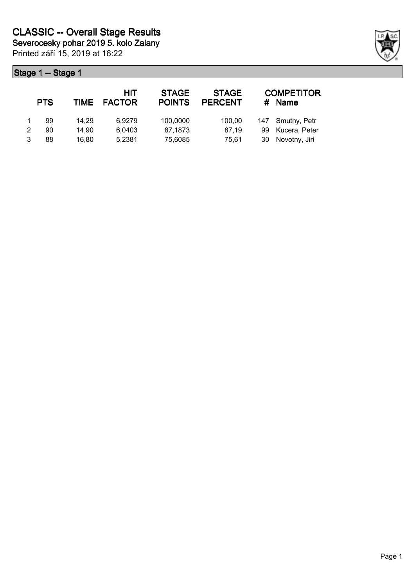| <b>PTS</b> | TIME  | HIT<br><b>FACTOR</b> | <b>STAGE</b><br><b>POINTS</b> | <b>STAGE</b><br><b>PERCENT</b> | #  | <b>COMPETITOR</b><br><b>Name</b> |
|------------|-------|----------------------|-------------------------------|--------------------------------|----|----------------------------------|
| 99         | 14.29 | 6,9279               | 100,0000                      | 100,00                         |    | 147 Smutny, Petr                 |
| 90         | 14.90 | 6,0403               | 87,1873                       | 87.19                          | 99 | Kucera, Peter                    |
| 88         | 16.80 | 5,2381               | 75,6085                       | 75.61                          | 30 | Novotny, Jiri                    |

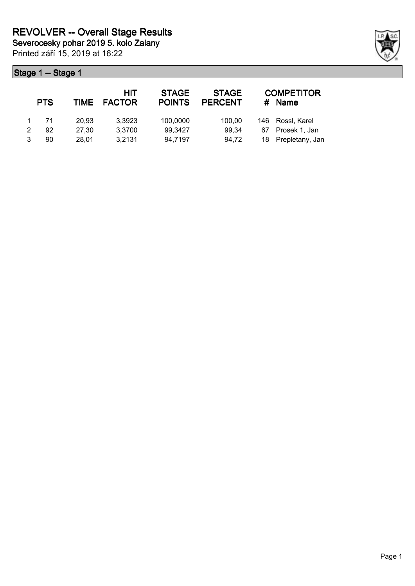| <b>PTS</b> | TIME  | <b>HIT</b><br><b>FACTOR</b> | <b>STAGE</b><br><b>POINTS</b> | <b>STAGE</b><br><b>PERCENT</b> | #  | <b>COMPETITOR</b><br>Name |
|------------|-------|-----------------------------|-------------------------------|--------------------------------|----|---------------------------|
| 71         | 20.93 | 3,3923                      | 100,0000                      | 100.00                         |    | 146 Rossl, Karel          |
| 92         | 27.30 | 3,3700                      | 99,3427                       | 99,34                          | 67 | Prosek 1, Jan             |
| 90         | 28.01 | 3,2131                      | 94,7197                       | 94,72                          |    | 18 Prepletany, Jan        |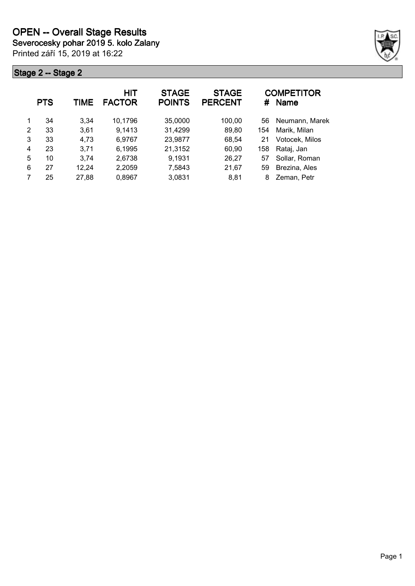

|   | <b>PTS</b> | TIME  | HIT<br><b>FACTOR</b> | <b>STAGE</b><br><b>POINTS</b> | <b>STAGE</b><br><b>PERCENT</b> | #   | <b>COMPETITOR</b><br>Name |
|---|------------|-------|----------------------|-------------------------------|--------------------------------|-----|---------------------------|
| 1 | 34         | 3.34  | 10,1796              | 35,0000                       | 100,00                         | 56  | Neumann, Marek            |
| 2 | 33         | 3,61  | 9,1413               | 31,4299                       | 89,80                          | 154 | Marik, Milan              |
| 3 | 33         | 4,73  | 6,9767               | 23,9877                       | 68,54                          | 21  | Votocek, Milos            |
| 4 | 23         | 3,71  | 6,1995               | 21,3152                       | 60,90                          | 158 | Rataj, Jan                |
| 5 | 10         | 3.74  | 2,6738               | 9,1931                        | 26,27                          | 57  | Sollar, Roman             |
| 6 | 27         | 12,24 | 2,2059               | 7,5843                        | 21,67                          | 59  | Brezina, Ales             |
|   | 25         | 27,88 | 0,8967               | 3,0831                        | 8,81                           | 8   | Zeman, Petr               |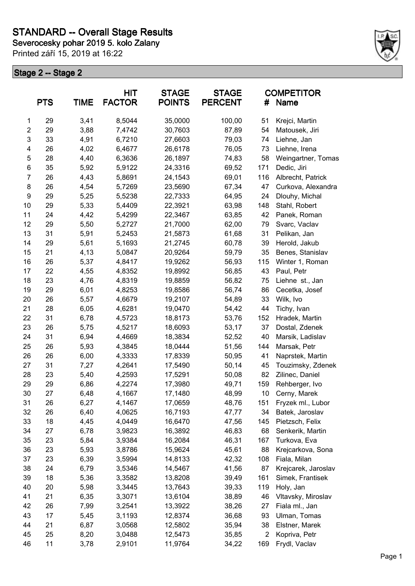**Severocesky pohar 2019 5. kolo Zalany**

Printed září 15, 2019 at 16:22



|                  | <b>PTS</b> | <b>TIME</b> | <b>HIT</b><br><b>FACTOR</b> | <b>STAGE</b><br><b>POINTS</b> | <b>STAGE</b><br><b>PERCENT</b> | #              | <b>COMPETITOR</b><br>Name |
|------------------|------------|-------------|-----------------------------|-------------------------------|--------------------------------|----------------|---------------------------|
| 1                | 29         | 3,41        | 8,5044                      | 35,0000                       | 100,00                         | 51             | Krejci, Martin            |
| $\overline{c}$   | 29         | 3,88        | 7,4742                      | 30,7603                       | 87,89                          | 54             | Matousek, Jiri            |
| 3                | 33         | 4,91        | 6,7210                      | 27,6603                       | 79,03                          | 74             | Liehne, Jan               |
| 4                | 26         | 4,02        | 6,4677                      | 26,6178                       | 76,05                          | 73             | Liehne, Irena             |
| 5                | 28         | 4,40        | 6,3636                      | 26,1897                       | 74,83                          | 58             | Weingartner, Tomas        |
| 6                | 35         | 5,92        | 5,9122                      | 24,3316                       | 69,52                          | 171            | Dedic, Jiri               |
| $\overline{7}$   | 26         | 4,43        | 5,8691                      | 24,1543                       | 69,01                          | 116            | Albrecht, Patrick         |
| 8                | 26         | 4,54        | 5,7269                      | 23,5690                       | 67,34                          | 47             | Curkova, Alexandra        |
| $\boldsymbol{9}$ | 29         | 5,25        | 5,5238                      | 22,7333                       | 64,95                          | 24             | Dlouhy, Michal            |
| 10               | 29         | 5,33        | 5,4409                      | 22,3921                       | 63,98                          | 148            | Stahl, Robert             |
| 11               | 24         | 4,42        | 5,4299                      | 22,3467                       | 63,85                          | 42             | Panek, Roman              |
| 12               | 29         | 5,50        | 5,2727                      | 21,7000                       | 62,00                          | 79             | Svarc, Vaclav             |
| 13               | 31         | 5,91        | 5,2453                      | 21,5873                       | 61,68                          | 31             | Pelikan, Jan              |
| 14               | 29         | 5,61        | 5,1693                      | 21,2745                       | 60,78                          | 39             | Herold, Jakub             |
| 15               | 21         | 4,13        | 5,0847                      | 20,9264                       | 59,79                          | 35             | Benes, Stanislav          |
| 16               | 26         | 5,37        | 4,8417                      | 19,9262                       | 56,93                          | 115            | Winter 1, Roman           |
| 17               | 22         | 4,55        | 4,8352                      | 19,8992                       | 56,85                          | 43             | Paul, Petr                |
| 18               | 23         | 4,76        | 4,8319                      | 19,8859                       | 56,82                          | 75             | Liehne st., Jan           |
| 19               | 29         | 6,01        | 4,8253                      | 19,8586                       | 56,74                          | 86             | Cecetka, Josef            |
| 20               | 26         | 5,57        | 4,6679                      | 19,2107                       | 54,89                          | 33             | Wilk, Ivo                 |
| 21               | 28         | 6,05        | 4,6281                      | 19,0470                       | 54,42                          | 44             | Tichy, Ivan               |
| 22               | 31         | 6,78        | 4,5723                      | 18,8173                       | 53,76                          | 152            | Hradek, Martin            |
| 23               | 26         | 5,75        | 4,5217                      | 18,6093                       | 53,17                          | 37             | Dostal, Zdenek            |
| 24               | 31         | 6,94        | 4,4669                      | 18,3834                       | 52,52                          | 40             | Marsik, Ladislav          |
| 25               | 26         | 5,93        | 4,3845                      | 18,0444                       | 51,56                          | 144            | Marsak, Petr              |
| 26               | 26         | 6,00        | 4,3333                      | 17,8339                       | 50,95                          | 41             | Naprstek, Martin          |
| 27               | 31         | 7,27        | 4,2641                      | 17,5490                       | 50,14                          | 45             | Touzimsky, Zdenek         |
| 28               | 23         | 5,40        | 4,2593                      | 17,5291                       | 50,08                          | 82             | Zilinec, Daniel           |
| 29               | 29         | 6,86        | 4,2274                      | 17,3980                       | 49,71                          | 159            | Rehberger, Ivo            |
| 30               | 27         | 6,48        | 4,1667                      | 17,1480                       | 48,99                          | 10             | Cerny, Marek              |
| 31               | 26         | 6,27        | 4,1467                      | 17,0659                       | 48,76                          | 151            | Fryzek ml., Lubor         |
| 32               | 26         | 6,40        | 4,0625                      | 16,7193                       | 47,77                          | 34             | Batek, Jaroslav           |
| 33               | 18         | 4,45        | 4,0449                      | 16,6470                       | 47,56                          | 145            | Pietzsch, Felix           |
| 34               | 27         | 6,78        | 3,9823                      | 16,3892                       | 46,83                          | 68             | Senkerik, Martin          |
| 35               | 23         | 5,84        | 3,9384                      | 16,2084                       | 46,31                          | 167            | Turkova, Eva              |
| 36               | 23         | 5,93        | 3,8786                      | 15,9624                       | 45,61                          | 88             | Krejcarkova, Sona         |
| 37               | 23         | 6,39        | 3,5994                      | 14,8133                       | 42,32                          | 108            | Fiala, Milan              |
| 38               | 24         | 6,79        | 3,5346                      | 14,5467                       | 41,56                          | 87             | Krejcarek, Jaroslav       |
| 39               | 18         | 5,36        | 3,3582                      | 13,8208                       | 39,49                          | 161            | Simek, Frantisek          |
| 40               | 20         | 5,98        | 3,3445                      | 13,7643                       | 39,33                          | 119            | Holy, Jan                 |
| 41               | 21         | 6,35        | 3,3071                      | 13,6104                       | 38,89                          | 46             | Vltavsky, Miroslav        |
| 42               | 26         | 7,99        | 3,2541                      | 13,3922                       | 38,26                          | 27             | Fiala ml., Jan            |
| 43               | 17         | 5,45        | 3,1193                      | 12,8374                       | 36,68                          | 93             | Ulman, Tomas              |
| 44               | 21         | 6,87        | 3,0568                      | 12,5802                       | 35,94                          | 38             | Elstner, Marek            |
| 45               | 25         | 8,20        | 3,0488                      | 12,5473                       | 35,85                          | $\overline{c}$ | Kopriva, Petr             |
| 46               | 11         | 3,78        | 2,9101                      | 11,9764                       | 34,22                          | 169            | Frydl, Vaclav             |
|                  |            |             |                             |                               |                                |                |                           |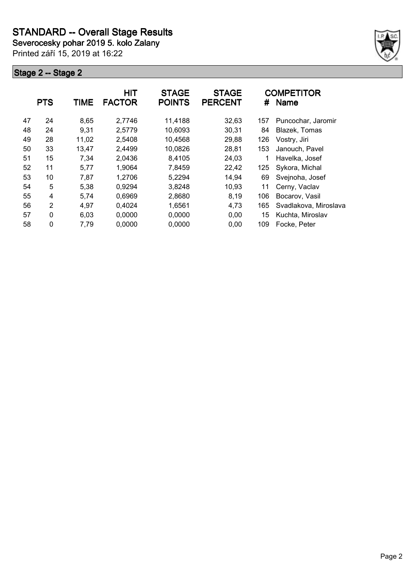**Severocesky pohar 2019 5. kolo Zalany**

Printed září 15, 2019 at 16:22



|    | <b>PTS</b> | <b>TIME</b> | HIT<br><b>FACTOR</b> | <b>STAGE</b><br><b>POINTS</b> | <b>STAGE</b><br><b>PERCENT</b> | #   | <b>COMPETITOR</b><br><b>Name</b> |
|----|------------|-------------|----------------------|-------------------------------|--------------------------------|-----|----------------------------------|
| 47 | 24         | 8,65        | 2,7746               | 11,4188                       | 32,63                          | 157 | Puncochar, Jaromir               |
| 48 | 24         | 9,31        | 2,5779               | 10,6093                       | 30,31                          | 84  | Blazek, Tomas                    |
| 49 | 28         | 11,02       | 2,5408               | 10,4568                       | 29,88                          | 126 | Vostry, Jiri                     |
| 50 | 33         | 13,47       | 2,4499               | 10,0826                       | 28,81                          | 153 | Janouch, Pavel                   |
| 51 | 15         | 7,34        | 2,0436               | 8,4105                        | 24,03                          | 1   | Havelka, Josef                   |
| 52 | 11         | 5,77        | 1,9064               | 7,8459                        | 22,42                          | 125 | Sykora, Michal                   |
| 53 | 10         | 7,87        | 1,2706               | 5,2294                        | 14,94                          | 69  | Svejnoha, Josef                  |
| 54 | 5          | 5,38        | 0,9294               | 3,8248                        | 10,93                          | 11  | Cerny, Vaclav                    |
| 55 | 4          | 5,74        | 0,6969               | 2,8680                        | 8,19                           | 106 | Bocarov, Vasil                   |
| 56 | 2          | 4,97        | 0,4024               | 1,6561                        | 4,73                           | 165 | Svadlakova, Miroslava            |
| 57 | 0          | 6,03        | 0,0000               | 0,0000                        | 0,00                           | 15  | Kuchta, Miroslav                 |
| 58 | 0          | 7,79        | 0,0000               | 0,0000                        | 0,00                           | 109 | Focke, Peter                     |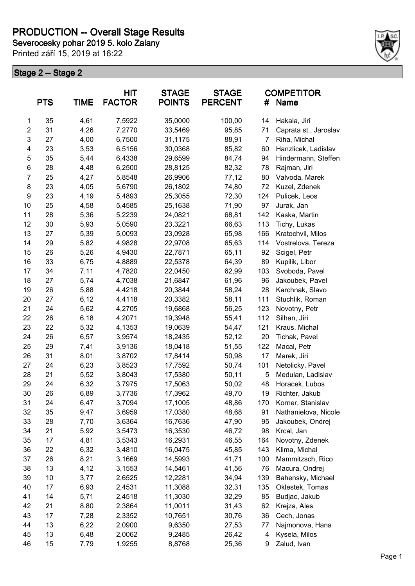# **PRODUCTION -- Overall Stage Results**

**Severocesky pohar 2019 5. kolo Zalany**

Printed září 15, 2019 at 16:22



|                | <b>PTS</b> | <b>TIME</b> | <b>HIT</b><br><b>FACTOR</b> | <b>STAGE</b><br><b>POINTS</b> | <b>STAGE</b><br><b>PERCENT</b> | #              | <b>COMPETITOR</b><br>Name |
|----------------|------------|-------------|-----------------------------|-------------------------------|--------------------------------|----------------|---------------------------|
| 1              | 35         | 4,61        | 7,5922                      | 35,0000                       | 100,00                         | 14             | Hakala, Jiri              |
| $\overline{2}$ | 31         | 4,26        | 7,2770                      | 33,5469                       | 95,85                          | 71             | Caprata st., Jaroslav     |
| 3              | 27         | 4,00        | 6,7500                      | 31,1175                       | 88,91                          | $\overline{7}$ | Riha, Michal              |
| 4              | 23         | 3,53        | 6,5156                      | 30,0368                       | 85,82                          | 60             | Hanzlicek, Ladislav       |
| 5              | 35         | 5,44        | 6,4338                      | 29,6599                       | 84,74                          | 94             | Hindermann, Steffen       |
| 6              | 28         | 4,48        | 6,2500                      | 28,8125                       | 82,32                          | 78             | Rajman, Jiri              |
| 7              | 25         | 4,27        | 5,8548                      | 26,9906                       | 77,12                          | 80             | Valvoda, Marek            |
| 8              | 23         | 4,05        | 5,6790                      | 26,1802                       | 74,80                          | 72             | Kuzel, Zdenek             |
| 9              | 23         | 4,19        | 5,4893                      | 25,3055                       | 72,30                          | 124            | Pulicek, Leos             |
| 10             | 25         | 4,58        | 5,4585                      | 25,1638                       | 71,90                          | 97             | Jurak, Jan                |
| 11             | 28         | 5,36        | 5,2239                      | 24,0821                       | 68,81                          | 142            | Kaska, Martin             |
| 12             | 30         | 5,93        | 5,0590                      | 23,3221                       | 66,63                          | 113            | Tichy, Lukas              |
| 13             | 27         | 5,39        | 5,0093                      | 23,0928                       | 65,98                          | 166            | Kratochvil, Milos         |
| 14             | 29         | 5,82        | 4,9828                      | 22,9708                       | 65,63                          | 114            | Vostrelova, Tereza        |
| 15             | 26         | 5,26        | 4,9430                      | 22,7871                       | 65,11                          | 92             | Scigel, Petr              |
| 16             | 33         | 6,75        | 4,8889                      | 22,5378                       | 64,39                          | 89             | Kupilik, Libor            |
| 17             | 34         | 7,11        | 4,7820                      | 22,0450                       | 62,99                          | 103            | Svoboda, Pavel            |
| 18             | 27         | 5,74        | 4,7038                      | 21,6847                       | 61,96                          | 96             | Jakoubek, Pavel           |
| 19             | 26         | 5,88        | 4,4218                      | 20,3844                       | 58,24                          | 28             | Karchnak, Slavo           |
| 20             | 27         | 6,12        | 4,4118                      | 20,3382                       | 58,11                          | 111            | Stuchlik, Roman           |
| 21             | 24         | 5,62        | 4,2705                      | 19,6868                       | 56,25                          | 123            | Novotny, Petr             |
| 22             | 26         | 6,18        | 4,2071                      | 19,3948                       | 55,41                          | 112            | Silhan, Jiri              |
| 23             | 22         | 5,32        | 4,1353                      | 19,0639                       | 54,47                          | 121            | Kraus, Michal             |
| 24             | 26         | 6,57        | 3,9574                      | 18,2435                       | 52,12                          | 20             | Tichak, Pavel             |
| 25             | 29         | 7,41        | 3,9136                      | 18,0418                       | 51,55                          | 122            | Macal, Petr               |
| 26             | 31         | 8,01        | 3,8702                      | 17,8414                       | 50,98                          | 17             | Marek, Jiri               |
| 27             | 24         | 6,23        | 3,8523                      | 17,7592                       | 50,74                          | 101            | Netolicky, Pavel          |
| 28             | 21         | 5,52        | 3,8043                      | 17,5380                       | 50,11                          | 5              | Medulan, Ladislav         |
| 29             | 24         | 6,32        | 3,7975                      | 17,5063                       | 50,02                          | 48             | Horacek, Lubos            |
| 30             | 26         | 6,89        | 3,7736                      | 17,3962                       | 49,70                          | 19             | Richter, Jakub            |
| 31             | 24         | 6,47        | 3,7094                      | 17,1005                       | 48,86                          | 170            | Korner, Stanislav         |
| 32             | 35         | 9,47        | 3,6959                      | 17,0380                       | 48,68                          | 91             | Nathanielova, Nicole      |
| 33             | 28         | 7,70        | 3,6364                      | 16,7636                       | 47,90                          | 95             | Jakoubek, Ondrej          |
| 34             | 21         | 5,92        | 3,5473                      | 16,3530                       | 46,72                          | 98             | Krcal, Jan                |
| 35             | 17         | 4,81        | 3,5343                      | 16,2931                       | 46,55                          | 164            | Novotny, Zdenek           |
| 36             | 22         | 6,32        | 3,4810                      | 16,0475                       | 45,85                          | 143            | Klima, Michal             |
| 37             | 26         | 8,21        | 3,1669                      | 14,5993                       | 41,71                          | 100            | Mammitzsch, Rico          |
| 38             | 13         | 4,12        | 3,1553                      | 14,5461                       | 41,56                          | 76             | Macura, Ondrej            |
| 39             | 10         | 3,77        | 2,6525                      | 12,2281                       | 34,94                          | 139            | Bahensky, Michael         |
| 40             | 17         | 6,93        | 2,4531                      | 11,3088                       | 32,31                          | 135            | Oklestek, Tomas           |
| 41             | 14         | 5,71        | 2,4518                      | 11,3030                       | 32,29                          | 85             | Budjac, Jakub             |
| 42             | 21         | 8,80        | 2,3864                      | 11,0011                       | 31,43                          | 62             | Krejza, Ales              |
| 43             | 17         | 7,28        | 2,3352                      | 10,7651                       | 30,76                          | 36             | Cech, Jonas               |
| 44             | 13         | 6,22        | 2,0900                      | 9,6350                        | 27,53                          | 77             | Najmonova, Hana           |
| 45             | 13         | 6,48        | 2,0062                      | 9,2485                        | 26,42                          | 4              | Kysela, Milos             |
| 46             | 15         | 7,79        | 1,9255                      | 8,8768                        | 25,36                          | 9              | Zalud, Ivan               |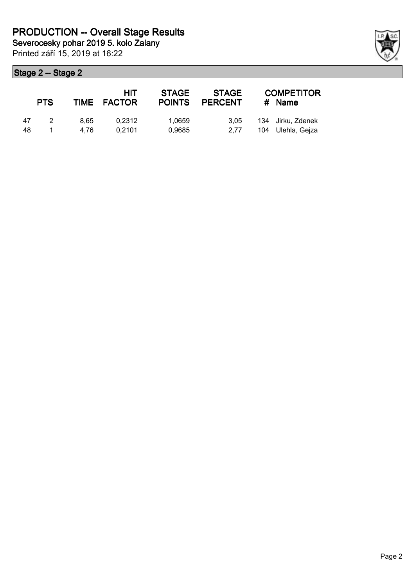Printed září 15, 2019 at 16:22

|    | <b>PTS</b>    |      | <b>HIT</b><br>TIME FACTOR | <b>STAGE</b> | <b>STAGE</b><br>POINTS PERCENT | <b>COMPETITOR</b><br># Name |
|----|---------------|------|---------------------------|--------------|--------------------------------|-----------------------------|
| 47 | $\mathcal{P}$ | 8.65 | 0.2312                    | 1.0659       | 3.05                           | 134 Jirku, Zdenek           |
| 48 |               | 4.76 | 0.2101                    | 0,9685       | 2.77                           | 104 Ulehla, Gejza           |

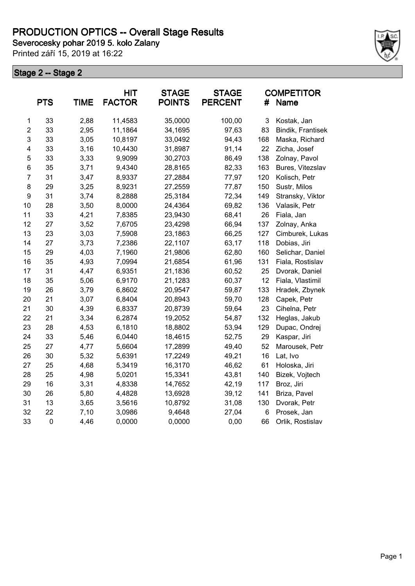Printed září 15, 2019 at 16:22



|                | <b>PTS</b>  | <b>TIME</b> | <b>HIT</b><br><b>FACTOR</b> | <b>STAGE</b><br><b>POINTS</b> | <b>STAGE</b><br><b>PERCENT</b> | #   | <b>COMPETITOR</b><br>Name |
|----------------|-------------|-------------|-----------------------------|-------------------------------|--------------------------------|-----|---------------------------|
| 1              | 33          | 2,88        | 11,4583                     | 35,0000                       | 100,00                         | 3   | Kostak, Jan               |
| $\overline{c}$ | 33          | 2,95        | 11,1864                     | 34,1695                       | 97,63                          | 83  | Bindik, Frantisek         |
| 3              | 33          | 3,05        | 10,8197                     | 33,0492                       | 94,43                          | 168 | Maska, Richard            |
| 4              | 33          | 3,16        | 10,4430                     | 31,8987                       | 91,14                          | 22  | Zicha, Josef              |
| 5              | 33          | 3,33        | 9,9099                      | 30,2703                       | 86,49                          | 138 | Zolnay, Pavol             |
| 6              | 35          | 3,71        | 9,4340                      | 28,8165                       | 82,33                          | 163 | Bures, Vitezslav          |
| $\overline{7}$ | 31          | 3,47        | 8,9337                      | 27,2884                       | 77,97                          | 120 | Kolisch, Petr             |
| 8              | 29          | 3,25        | 8,9231                      | 27,2559                       | 77,87                          | 150 | Sustr, Milos              |
| 9              | 31          | 3,74        | 8,2888                      | 25,3184                       | 72,34                          | 149 | Stransky, Viktor          |
| 10             | 28          | 3,50        | 8,0000                      | 24,4364                       | 69,82                          | 136 | Valasik, Petr             |
| 11             | 33          | 4,21        | 7,8385                      | 23,9430                       | 68,41                          | 26  | Fiala, Jan                |
| 12             | 27          | 3,52        | 7,6705                      | 23,4298                       | 66,94                          | 137 | Zolnay, Anka              |
| 13             | 23          | 3,03        | 7,5908                      | 23,1863                       | 66,25                          | 127 | Cimburek, Lukas           |
| 14             | 27          | 3,73        | 7,2386                      | 22,1107                       | 63,17                          | 118 | Dobias, Jiri              |
| 15             | 29          | 4,03        | 7,1960                      | 21,9806                       | 62,80                          | 160 | Selichar, Daniel          |
| 16             | 35          | 4,93        | 7,0994                      | 21,6854                       | 61,96                          | 131 | Fiala, Rostislav          |
| 17             | 31          | 4,47        | 6,9351                      | 21,1836                       | 60,52                          | 25  | Dvorak, Daniel            |
| 18             | 35          | 5,06        | 6,9170                      | 21,1283                       | 60,37                          | 12  | Fiala, Vlastimil          |
| 19             | 26          | 3,79        | 6,8602                      | 20,9547                       | 59,87                          | 133 | Hradek, Zbynek            |
| 20             | 21          | 3,07        | 6,8404                      | 20,8943                       | 59,70                          | 128 | Capek, Petr               |
| 21             | 30          | 4,39        | 6,8337                      | 20,8739                       | 59,64                          | 23  | Cihelna, Petr             |
| 22             | 21          | 3,34        | 6,2874                      | 19,2052                       | 54,87                          | 132 | Heglas, Jakub             |
| 23             | 28          | 4,53        | 6,1810                      | 18,8802                       | 53,94                          | 129 | Dupac, Ondrej             |
| 24             | 33          | 5,46        | 6,0440                      | 18,4615                       | 52,75                          | 29  | Kaspar, Jiri              |
| 25             | 27          | 4,77        | 5,6604                      | 17,2899                       | 49,40                          | 52  | Marousek, Petr            |
| 26             | 30          | 5,32        | 5,6391                      | 17,2249                       | 49,21                          | 16  | Lat, Ivo                  |
| 27             | 25          | 4,68        | 5,3419                      | 16,3170                       | 46,62                          | 61  | Holoska, Jiri             |
| 28             | 25          | 4,98        | 5,0201                      | 15,3341                       | 43,81                          | 140 | Bizek, Vojtech            |
| 29             | 16          | 3,31        | 4,8338                      | 14,7652                       | 42,19                          | 117 | Broz, Jiri                |
| 30             | 26          | 5,80        | 4,4828                      | 13,6928                       | 39,12                          | 141 | Briza, Pavel              |
| 31             | 13          | 3,65        | 3,5616                      | 10,8792                       | 31,08                          | 130 | Dvorak, Petr              |
| 32             | 22          | 7,10        | 3,0986                      | 9,4648                        | 27,04                          | 6   | Prosek, Jan               |
| 33             | $\mathbf 0$ | 4,46        | 0,0000                      | 0,0000                        | 0,00                           | 66  | Orlik, Rostislav          |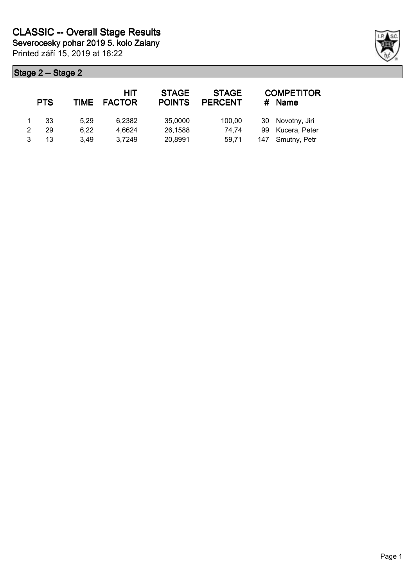| <b>PTS</b> | <b>TIME</b> | HIT<br><b>FACTOR</b> | <b>STAGE</b><br><b>POINTS</b> | <b>STAGE</b><br><b>PERCENT</b> | #  | <b>COMPETITOR</b><br><b>Name</b> |
|------------|-------------|----------------------|-------------------------------|--------------------------------|----|----------------------------------|
| 33         | 5.29        | 6,2382               | 35,0000                       | 100,00                         |    | 30 Novotny, Jiri                 |
| 29         | 6,22        | 4.6624               | 26,1588                       | 74,74                          | 99 | Kucera, Peter                    |
| 13         | 3.49        | 3,7249               | 20,8991                       | 59.71                          |    | 147 Smutny, Petr                 |

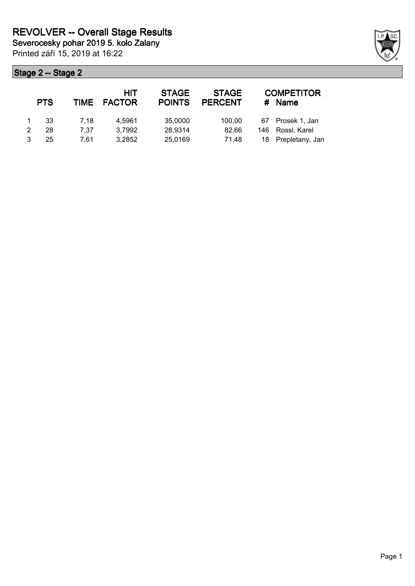Printed září 15, 2019 at 16:22

|   | <b>PTS</b> | TIME | HIT<br><b>FACTOR</b> | <b>STAGE</b><br><b>POINTS</b> | <b>STAGE</b><br><b>PERCENT</b> | #    | <b>COMPETITOR</b><br><b>Name</b> |
|---|------------|------|----------------------|-------------------------------|--------------------------------|------|----------------------------------|
|   | -33        | 7.18 | 4.5961               | 35,0000                       | 100.00                         |      | 67 Prosek 1, Jan                 |
| 2 | 28         | 7.37 | 3,7992               | 28,9314                       | 82.66                          | 146  | Rossl, Karel                     |
| 3 | 25         | 7.61 | 3,2852               | 25,0169                       | 71.48                          | 18 - | Prepletany, Jan                  |

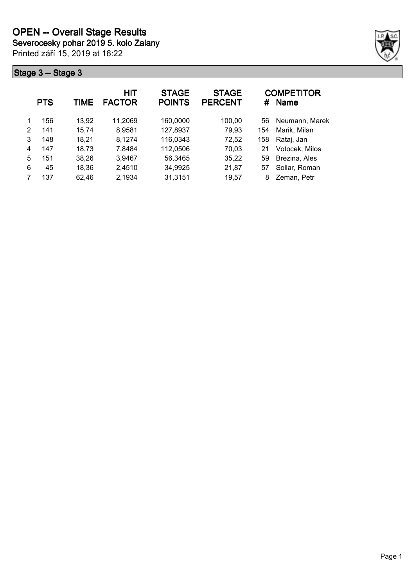Printed září 15, 2019 at 16:22



|   | <b>PTS</b> | TIME  | <b>HIT</b><br><b>FACTOR</b> | <b>STAGE</b><br><b>POINTS</b> | <b>STAGE</b><br><b>PERCENT</b> | #   | <b>COMPETITOR</b><br><b>Name</b> |
|---|------------|-------|-----------------------------|-------------------------------|--------------------------------|-----|----------------------------------|
| 1 | 156        | 13,92 | 11,2069                     | 160,0000                      | 100,00                         | 56  | Neumann, Marek                   |
| 2 | 141        | 15,74 | 8,9581                      | 127,8937                      | 79,93                          | 154 | Marik, Milan                     |
| 3 | 148        | 18,21 | 8,1274                      | 116,0343                      | 72,52                          | 158 | Rataj, Jan                       |
| 4 | 147        | 18,73 | 7,8484                      | 112,0506                      | 70,03                          | 21  | Votocek, Milos                   |
| 5 | 151        | 38,26 | 3,9467                      | 56,3465                       | 35,22                          | 59  | Brezina, Ales                    |
| 6 | 45         | 18,36 | 2,4510                      | 34,9925                       | 21,87                          | 57  | Sollar, Roman                    |
|   | 137        | 62,46 | 2,1934                      | 31,3151                       | 19,57                          | 8   | Zeman, Petr                      |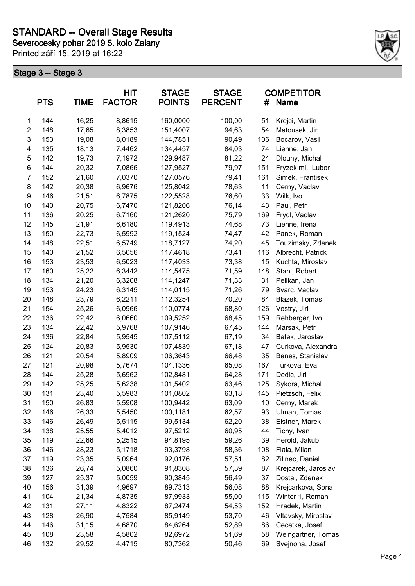**Severocesky pohar 2019 5. kolo Zalany**

Printed září 15, 2019 at 16:22



|                | <b>PTS</b> | <b>TIME</b> | <b>HIT</b><br><b>FACTOR</b> | <b>STAGE</b><br><b>POINTS</b> | <b>STAGE</b><br><b>PERCENT</b> | #   | <b>COMPETITOR</b><br>Name |
|----------------|------------|-------------|-----------------------------|-------------------------------|--------------------------------|-----|---------------------------|
| 1              | 144        | 16,25       | 8,8615                      | 160,0000                      | 100,00                         | 51  | Krejci, Martin            |
| $\overline{2}$ | 148        | 17,65       | 8,3853                      | 151,4007                      | 94,63                          | 54  | Matousek, Jiri            |
| 3              | 153        | 19,08       | 8,0189                      | 144,7851                      | 90,49                          | 106 | Bocarov, Vasil            |
| 4              | 135        | 18,13       | 7,4462                      | 134,4457                      | 84,03                          | 74  | Liehne, Jan               |
| 5              | 142        | 19,73       | 7,1972                      | 129,9487                      | 81,22                          | 24  | Dlouhy, Michal            |
| 6              | 144        | 20,32       | 7,0866                      | 127,9527                      | 79,97                          | 151 | Fryzek ml., Lubor         |
| 7              | 152        | 21,60       | 7,0370                      | 127,0576                      | 79,41                          | 161 | Simek, Frantisek          |
| 8              | 142        | 20,38       | 6,9676                      | 125,8042                      | 78,63                          | 11  | Cerny, Vaclav             |
| 9              | 146        | 21,51       | 6,7875                      | 122,5528                      | 76,60                          | 33  | Wilk, Ivo                 |
| 10             | 140        | 20,75       | 6,7470                      | 121,8206                      | 76,14                          | 43  | Paul, Petr                |
| 11             | 136        | 20,25       | 6,7160                      | 121,2620                      | 75,79                          | 169 | Frydl, Vaclav             |
| 12             | 145        | 21,91       | 6,6180                      | 119,4913                      | 74,68                          | 73  | Liehne, Irena             |
| 13             | 150        | 22,73       | 6,5992                      | 119,1524                      | 74,47                          | 42  | Panek, Roman              |
| 14             | 148        | 22,51       | 6,5749                      | 118,7127                      | 74,20                          | 45  | Touzimsky, Zdenek         |
| 15             | 140        | 21,52       | 6,5056                      | 117,4618                      | 73,41                          | 116 | Albrecht, Patrick         |
| 16             | 153        | 23,53       | 6,5023                      | 117,4033                      | 73,38                          | 15  | Kuchta, Miroslav          |
| 17             | 160        | 25,22       | 6,3442                      | 114,5475                      | 71,59                          | 148 | Stahl, Robert             |
| 18             | 134        | 21,20       | 6,3208                      | 114,1247                      | 71,33                          | 31  | Pelikan, Jan              |
| 19             | 153        | 24,23       | 6,3145                      | 114,0115                      | 71,26                          | 79  | Svarc, Vaclav             |
| 20             | 148        | 23,79       | 6,2211                      | 112,3254                      | 70,20                          | 84  | Blazek, Tomas             |
| 21             | 154        | 25,26       | 6,0966                      | 110,0774                      | 68,80                          | 126 | Vostry, Jiri              |
| 22             | 136        | 22,42       | 6,0660                      | 109,5252                      | 68,45                          | 159 | Rehberger, Ivo            |
| 23             | 134        | 22,42       | 5,9768                      | 107,9146                      | 67,45                          | 144 | Marsak, Petr              |
| 24             | 136        | 22,84       | 5,9545                      | 107,5112                      | 67,19                          | 34  | Batek, Jaroslav           |
| 25             | 124        | 20,83       | 5,9530                      | 107,4839                      | 67,18                          | 47  | Curkova, Alexandra        |
| 26             | 121        | 20,54       | 5,8909                      | 106,3643                      | 66,48                          | 35  | Benes, Stanislav          |
| 27             | 121        | 20,98       | 5,7674                      | 104,1336                      | 65,08                          | 167 | Turkova, Eva              |
| 28             | 144        | 25,28       | 5,6962                      | 102,8481                      | 64,28                          | 171 | Dedic, Jiri               |
| 29             | 142        | 25,25       | 5,6238                      | 101,5402                      | 63,46                          | 125 | Sykora, Michal            |
| 30             | 131        | 23,40       | 5,5983                      | 101,0802                      | 63,18                          | 145 | Pietzsch, Felix           |
| 31             | 150        | 26,83       | 5,5908                      | 100,9442                      | 63,09                          | 10  | Cerny, Marek              |
| 32             | 146        | 26,33       | 5,5450                      | 100,1181                      | 62,57                          | 93  | Ulman, Tomas              |
| 33             | 146        | 26,49       | 5,5115                      | 99,5134                       | 62,20                          | 38  | Elstner, Marek            |
| 34             | 138        | 25,55       | 5,4012                      | 97,5212                       | 60,95                          | 44  | Tichy, Ivan               |
| 35             | 119        | 22,66       | 5,2515                      | 94,8195                       | 59,26                          | 39  | Herold, Jakub             |
| 36             | 146        | 28,23       | 5,1718                      | 93,3798                       | 58,36                          | 108 | Fiala, Milan              |
| 37             | 119        | 23,35       | 5,0964                      | 92,0176                       | 57,51                          | 82  | Zilinec, Daniel           |
| 38             | 136        | 26,74       | 5,0860                      | 91,8308                       | 57,39                          | 87  | Krejcarek, Jaroslav       |
| 39             | 127        | 25,37       | 5,0059                      | 90,3845                       | 56,49                          | 37  | Dostal, Zdenek            |
| 40             | 156        | 31,39       | 4,9697                      | 89,7313                       | 56,08                          | 88  | Krejcarkova, Sona         |
| 41             | 104        | 21,34       | 4,8735                      | 87,9933                       | 55,00                          | 115 | Winter 1, Roman           |
| 42             | 131        | 27,11       | 4,8322                      | 87,2474                       | 54,53                          | 152 | Hradek, Martin            |
| 43             | 128        | 26,90       | 4,7584                      | 85,9149                       | 53,70                          | 46  | Vltavsky, Miroslav        |
| 44             | 146        | 31,15       | 4,6870                      | 84,6264                       | 52,89                          | 86  | Cecetka, Josef            |
| 45             | 108        | 23,58       | 4,5802                      | 82,6972                       | 51,69                          | 58  | Weingartner, Tomas        |
| 46             | 132        | 29,52       | 4,4715                      | 80,7362                       | 50,46                          | 69  | Svejnoha, Josef           |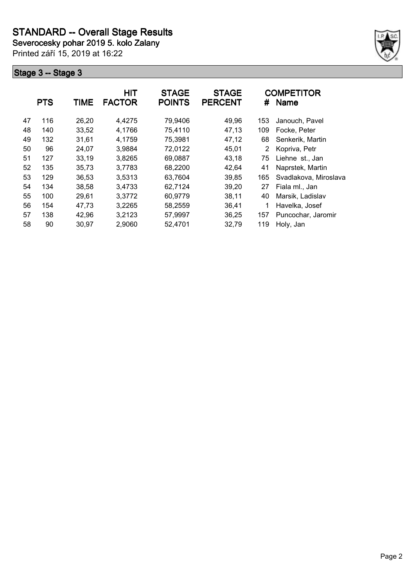**Severocesky pohar 2019 5. kolo Zalany**

Printed září 15, 2019 at 16:22



|    | <b>PTS</b> | <b>TIME</b> | HIT<br><b>FACTOR</b> | <b>STAGE</b><br><b>POINTS</b> | <b>STAGE</b><br><b>PERCENT</b> | #   | <b>COMPETITOR</b><br><b>Name</b> |
|----|------------|-------------|----------------------|-------------------------------|--------------------------------|-----|----------------------------------|
| 47 | 116        | 26,20       | 4,4275               | 79,9406                       | 49,96                          | 153 | Janouch, Pavel                   |
| 48 | 140        | 33,52       | 4,1766               | 75,4110                       | 47,13                          | 109 | Focke, Peter                     |
| 49 | 132        | 31,61       | 4,1759               | 75,3981                       | 47,12                          | 68  | Senkerik, Martin                 |
| 50 | 96         | 24,07       | 3,9884               | 72,0122                       | 45,01                          | 2   | Kopriva, Petr                    |
| 51 | 127        | 33,19       | 3,8265               | 69,0887                       | 43,18                          | 75  | Liehne st., Jan                  |
| 52 | 135        | 35,73       | 3,7783               | 68,2200                       | 42,64                          | 41  | Naprstek, Martin                 |
| 53 | 129        | 36,53       | 3,5313               | 63,7604                       | 39,85                          | 165 | Svadlakova, Miroslava            |
| 54 | 134        | 38,58       | 3,4733               | 62,7124                       | 39,20                          | 27  | Fiala ml., Jan                   |
| 55 | 100        | 29,61       | 3,3772               | 60,9779                       | 38,11                          | 40  | Marsik, Ladislav                 |
| 56 | 154        | 47.73       | 3,2265               | 58,2559                       | 36,41                          | 1   | Havelka, Josef                   |
| 57 | 138        | 42,96       | 3,2123               | 57,9997                       | 36,25                          | 157 | Puncochar, Jaromir               |
| 58 | 90         | 30,97       | 2,9060               | 52,4701                       | 32,79                          | 119 | Holy, Jan                        |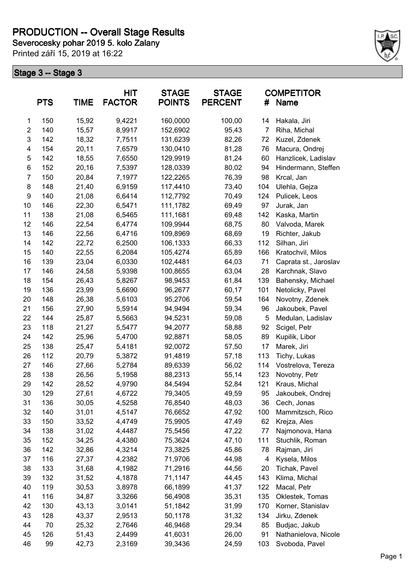# **PRODUCTION -- Overall Stage Results**

**Severocesky pohar 2019 5. kolo Zalany**

Printed září 15, 2019 at 16:22



|                  | <b>PTS</b> | <b>TIME</b> | HIT<br><b>FACTOR</b> | <b>STAGE</b><br><b>POINTS</b> | <b>STAGE</b><br><b>PERCENT</b> | #              | <b>COMPETITOR</b><br>Name |
|------------------|------------|-------------|----------------------|-------------------------------|--------------------------------|----------------|---------------------------|
| $\mathbf{1}$     | 150        | 15,92       | 9,4221               | 160,0000                      | 100,00                         | 14             | Hakala, Jiri              |
| $\overline{2}$   | 140        | 15,57       | 8,9917               | 152,6902                      | 95,43                          | $\overline{7}$ | Riha, Michal              |
| $\mathsf 3$      | 142        | 18,32       | 7,7511               | 131,6239                      | 82,26                          | 72             | Kuzel, Zdenek             |
| 4                | 154        | 20,11       | 7,6579               | 130,0410                      | 81,28                          | 76             | Macura, Ondrej            |
| 5                | 142        | 18,55       | 7,6550               | 129,9919                      | 81,24                          | 60             | Hanzlicek, Ladislav       |
| 6                | 152        | 20,16       | 7,5397               | 128,0339                      | 80,02                          | 94             | Hindermann, Steffen       |
| $\overline{7}$   | 150        | 20,84       | 7,1977               | 122,2265                      | 76,39                          | 98             | Krcal, Jan                |
| 8                | 148        | 21,40       | 6,9159               | 117,4410                      | 73,40                          | 104            | Ulehla, Gejza             |
| $\boldsymbol{9}$ | 140        | 21,08       | 6,6414               | 112,7792                      | 70,49                          | 124            | Pulicek, Leos             |
| 10               | 146        | 22,30       | 6,5471               | 111,1782                      | 69,49                          | 97             | Jurak, Jan                |
| 11               | 138        | 21,08       | 6,5465               | 111,1681                      | 69,48                          | 142            | Kaska, Martin             |
| 12               | 146        | 22,54       | 6,4774               | 109,9944                      | 68,75                          | 80             | Valvoda, Marek            |
| 13               | 146        | 22,56       | 6,4716               | 109,8969                      | 68,69                          | 19             | Richter, Jakub            |
| 14               | 142        | 22,72       | 6,2500               | 106,1333                      | 66,33                          | 112            | Silhan, Jiri              |
| 15               | 140        | 22,55       | 6,2084               | 105,4274                      | 65,89                          | 166            | Kratochvil, Milos         |
| 16               | 139        | 23,04       | 6,0330               | 102,4481                      | 64,03                          | 71             | Caprata st., Jaroslav     |
| 17               | 146        | 24,58       | 5,9398               | 100,8655                      | 63,04                          | 28             | Karchnak, Slavo           |
| 18               | 154        | 26,43       | 5,8267               | 98,9453                       | 61,84                          | 139            | Bahensky, Michael         |
| 19               | 136        | 23,99       | 5,6690               | 96,2677                       | 60,17                          | 101            | Netolicky, Pavel          |
| 20               | 148        | 26,38       | 5,6103               | 95,2706                       | 59,54                          | 164            | Novotny, Zdenek           |
| 21               | 156        | 27,90       | 5,5914               | 94,9494                       | 59,34                          | 96             | Jakoubek, Pavel           |
| 22               | 144        | 25,87       | 5,5663               | 94,5231                       | 59,08                          | 5              | Medulan, Ladislav         |
| 23               | 118        | 21,27       | 5,5477               | 94,2077                       | 58,88                          | 92             | Scigel, Petr              |
| 24               | 142        | 25,96       | 5,4700               | 92,8871                       | 58,05                          | 89             | Kupilik, Libor            |
| 25               | 138        | 25,47       | 5,4181               | 92,0072                       | 57,50                          | 17             | Marek, Jiri               |
| 26               | 112        | 20,79       | 5,3872               | 91,4819                       | 57,18                          | 113            | Tichy, Lukas              |
| 27               | 146        | 27,66       | 5,2784               | 89,6339                       | 56,02                          | 114            | Vostrelova, Tereza        |
| 28               | 138        | 26,56       | 5,1958               | 88,2313                       | 55,14                          | 123            | Novotny, Petr             |
| 29               | 142        | 28,52       | 4,9790               | 84,5494                       | 52,84                          | 121            | Kraus, Michal             |
| 30               | 129        | 27,61       | 4,6722               | 79,3405                       | 49,59                          | 95             | Jakoubek, Ondrej          |
| 31               | 136        | 30,05       | 4,5258               | 76,8540                       | 48,03                          | 36             | Cech, Jonas               |
| 32               | 140        | 31,01       | 4,5147               | 76,6652                       | 47,92                          | 100            | Mammitzsch, Rico          |
| 33               | 150        | 33,52       | 4,4749               | 75,9905                       | 47,49                          | 62             | Krejza, Ales              |
| 34               | 138        | 31,02       | 4,4487               | 75,5456                       | 47,22                          | 77             | Najmonova, Hana           |
| 35               | 152        | 34,25       | 4,4380               | 75,3624                       | 47,10                          | 111            | Stuchlik, Roman           |
| 36               | 142        | 32,86       | 4,3214               | 73,3825                       | 45,86                          | 78             | Rajman, Jiri              |
| 37               | 116        | 27,37       | 4,2382               | 71,9706                       | 44,98                          | 4              | Kysela, Milos             |
| 38               | 133        | 31,68       | 4,1982               | 71,2916                       | 44,56                          | 20             | Tichak, Pavel             |
| 39               | 132        | 31,52       | 4,1878               | 71,1147                       | 44,45                          | 143            | Klima, Michal             |
| 40               | 119        | 30,53       | 3,8978               | 66,1899                       | 41,37                          | 122            | Macal, Petr               |
| 41               | 116        | 34,87       | 3,3266               | 56,4908                       | 35,31                          | 135            | Oklestek, Tomas           |
| 42               | 130        | 43,13       | 3,0141               | 51,1842                       | 31,99                          | 170            | Korner, Stanislav         |
| 43               | 128        | 43,37       | 2,9513               | 50,1178                       | 31,32                          | 134            | Jirku, Zdenek             |
| 44               | 70         | 25,32       | 2,7646               | 46,9468                       | 29,34                          | 85             | Budjac, Jakub             |
| 45               | 126        | 51,43       | 2,4499               | 41,6031                       | 26,00                          | 91             | Nathanielova, Nicole      |
| 46               | 99         | 42,73       | 2,3169               | 39,3436                       | 24,59                          | 103            | Svoboda, Pavel            |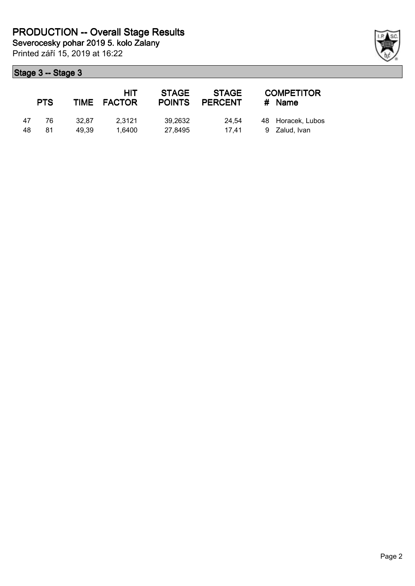Printed září 15, 2019 at 16:22

|    | <b>PTS</b> |       | HIT<br>TIME FACTOR | <b>STAGE</b><br><b>POINTS</b> | <b>STAGE</b><br><b>PERCENT</b> | <b>COMPETITOR</b><br># Name |
|----|------------|-------|--------------------|-------------------------------|--------------------------------|-----------------------------|
| 47 | 76         | 32.87 | 2.3121             | 39.2632                       | 24.54                          | 48 Horacek, Lubos           |
| 48 | 81         | 49.39 | 1.6400             | 27.8495                       | 17.41                          | 9 Zalud, Ivan               |

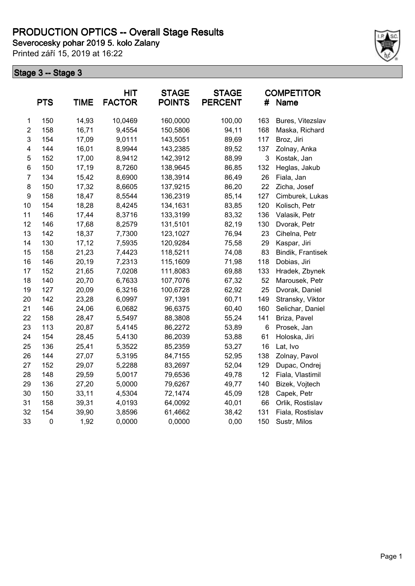Printed září 15, 2019 at 16:22



|                | <b>PTS</b> | <b>TIME</b> | HIT<br><b>FACTOR</b> | <b>STAGE</b><br><b>POINTS</b> | <b>STAGE</b><br><b>PERCENT</b> | #            | <b>COMPETITOR</b><br><b>Name</b> |
|----------------|------------|-------------|----------------------|-------------------------------|--------------------------------|--------------|----------------------------------|
| 1              | 150        | 14,93       | 10,0469              | 160,0000                      | 100,00                         | 163          | Bures, Vitezslav                 |
| $\overline{2}$ | 158        | 16,71       | 9,4554               | 150,5806                      | 94,11                          | 168          | Maska, Richard                   |
| 3              | 154        | 17,09       | 9,0111               | 143,5051                      | 89,69                          | 117          | Broz, Jiri                       |
| 4              | 144        | 16,01       | 8,9944               | 143,2385                      | 89,52                          | 137          | Zolnay, Anka                     |
| 5              | 152        | 17,00       | 8,9412               | 142,3912                      | 88,99                          | $\mathbf{3}$ | Kostak, Jan                      |
| 6              | 150        | 17,19       | 8,7260               | 138,9645                      | 86,85                          | 132          | Heglas, Jakub                    |
| $\overline{7}$ | 134        | 15,42       | 8,6900               | 138,3914                      | 86,49                          | 26           | Fiala, Jan                       |
| 8              | 150        | 17,32       | 8,6605               | 137,9215                      | 86,20                          | 22           | Zicha, Josef                     |
| 9              | 158        | 18,47       | 8,5544               | 136,2319                      | 85,14                          | 127          | Cimburek, Lukas                  |
| 10             | 154        | 18,28       | 8,4245               | 134,1631                      | 83,85                          | 120          | Kolisch, Petr                    |
| 11             | 146        | 17,44       | 8,3716               | 133,3199                      | 83,32                          | 136          | Valasik, Petr                    |
| 12             | 146        | 17,68       | 8,2579               | 131,5101                      | 82,19                          | 130          | Dvorak, Petr                     |
| 13             | 142        | 18,37       | 7,7300               | 123,1027                      | 76,94                          | 23           | Cihelna, Petr                    |
| 14             | 130        | 17,12       | 7,5935               | 120,9284                      | 75,58                          | 29           | Kaspar, Jiri                     |
| 15             | 158        | 21,23       | 7,4423               | 118,5211                      | 74,08                          | 83           | Bindik, Frantisek                |
| 16             | 146        | 20,19       | 7,2313               | 115,1609                      | 71,98                          | 118          | Dobias, Jiri                     |
| 17             | 152        | 21,65       | 7,0208               | 111,8083                      | 69,88                          | 133          | Hradek, Zbynek                   |
| 18             | 140        | 20,70       | 6,7633               | 107,7076                      | 67,32                          | 52           | Marousek, Petr                   |
| 19             | 127        | 20,09       | 6,3216               | 100,6728                      | 62,92                          | 25           | Dvorak, Daniel                   |
| 20             | 142        | 23,28       | 6,0997               | 97,1391                       | 60,71                          | 149          | Stransky, Viktor                 |
| 21             | 146        | 24,06       | 6,0682               | 96,6375                       | 60,40                          | 160          | Selichar, Daniel                 |
| 22             | 158        | 28,47       | 5,5497               | 88,3808                       | 55,24                          | 141          | Briza, Pavel                     |
| 23             | 113        | 20,87       | 5,4145               | 86,2272                       | 53,89                          | 6            | Prosek, Jan                      |
| 24             | 154        | 28,45       | 5,4130               | 86,2039                       | 53,88                          | 61           | Holoska, Jiri                    |
| 25             | 136        | 25,41       | 5,3522               | 85,2359                       | 53,27                          | 16           | Lat, Ivo                         |
| 26             | 144        | 27,07       | 5,3195               | 84,7155                       | 52,95                          | 138          | Zolnay, Pavol                    |
| 27             | 152        | 29,07       | 5,2288               | 83,2697                       | 52,04                          | 129          | Dupac, Ondrej                    |
| 28             | 148        | 29,59       | 5,0017               | 79,6536                       | 49,78                          | 12           | Fiala, Vlastimil                 |
| 29             | 136        | 27,20       | 5,0000               | 79,6267                       | 49,77                          | 140          | Bizek, Vojtech                   |
| 30             | 150        | 33,11       | 4,5304               | 72,1474                       | 45,09                          | 128          | Capek, Petr                      |
| 31             | 158        | 39,31       | 4,0193               | 64,0092                       | 40,01                          | 66           | Orlik, Rostislav                 |
| 32             | 154        | 39,90       | 3,8596               | 61,4662                       | 38,42                          | 131          | Fiala, Rostislav                 |
| 33             | $\pmb{0}$  | 1,92        | 0,0000               | 0,0000                        | 0,00                           | 150          | Sustr, Milos                     |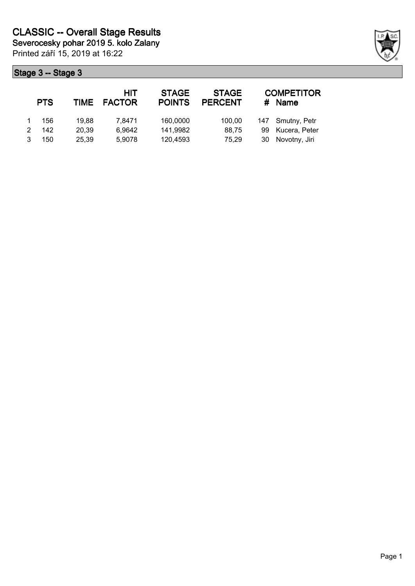| <b>PTS</b> | <b>TIME</b> | HIT<br><b>FACTOR</b> | <b>STAGE</b><br><b>POINTS</b> | <b>STAGE</b><br><b>PERCENT</b> |    | <b>COMPETITOR</b><br><b>Name</b> |
|------------|-------------|----------------------|-------------------------------|--------------------------------|----|----------------------------------|
| 156        | 19.88       | 7.8471               | 160,0000                      | 100.00                         |    | 147 Smutny, Petr                 |
| 142        | 20,39       | 6,9642               | 141,9982                      | 88.75                          | 99 | Kucera, Peter                    |
| 150        | 25,39       | 5,9078               | 120,4593                      | 75.29                          | 30 | Novotny, Jiri                    |

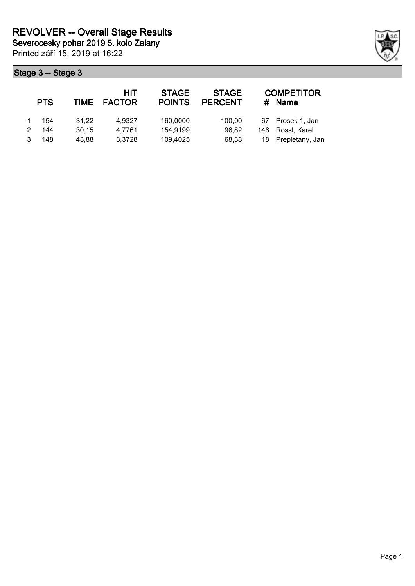Printed září 15, 2019 at 16:22

| <b>PTS</b> | TIME  | HIT<br><b>FACTOR</b> | <b>STAGE</b><br><b>POINTS</b> | <b>STAGE</b><br><b>PERCENT</b> | <b>COMPETITOR</b><br># Name |
|------------|-------|----------------------|-------------------------------|--------------------------------|-----------------------------|
| 154        | 31.22 | 4.9327               | 160,0000                      | 100,00                         | 67 Prosek 1, Jan            |
| 144        | 30.15 | 4.7761               | 154,9199                      | 96,82                          | 146 Rossl, Karel            |
| 148        | 43.88 | 3,3728               | 109,4025                      | 68,38                          | 18 Prepletany, Jan          |

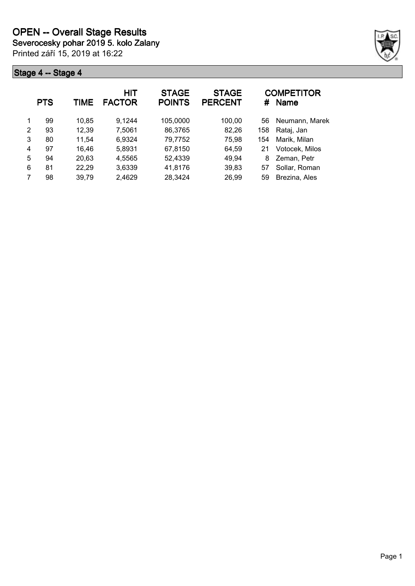Printed září 15, 2019 at 16:22



|   | <b>PTS</b> | TIME  | HIT<br><b>FACTOR</b> | <b>STAGE</b><br><b>POINTS</b> | <b>STAGE</b><br><b>PERCENT</b> | #   | <b>COMPETITOR</b><br><b>Name</b> |
|---|------------|-------|----------------------|-------------------------------|--------------------------------|-----|----------------------------------|
| 1 | 99         | 10,85 | 9.1244               | 105,0000                      | 100,00                         | 56  | Neumann, Marek                   |
| 2 | 93         | 12,39 | 7,5061               | 86,3765                       | 82,26                          | 158 | Rataj, Jan                       |
| 3 | 80         | 11.54 | 6,9324               | 79,7752                       | 75,98                          | 154 | Marik, Milan                     |
| 4 | 97         | 16.46 | 5,8931               | 67,8150                       | 64.59                          | 21  | Votocek, Milos                   |
| 5 | 94         | 20,63 | 4,5565               | 52,4339                       | 49,94                          | 8   | Zeman, Petr                      |
| 6 | 81         | 22,29 | 3,6339               | 41,8176                       | 39,83                          | 57  | Sollar, Roman                    |
|   | 98         | 39,79 | 2,4629               | 28,3424                       | 26,99                          | 59  | Brezina, Ales                    |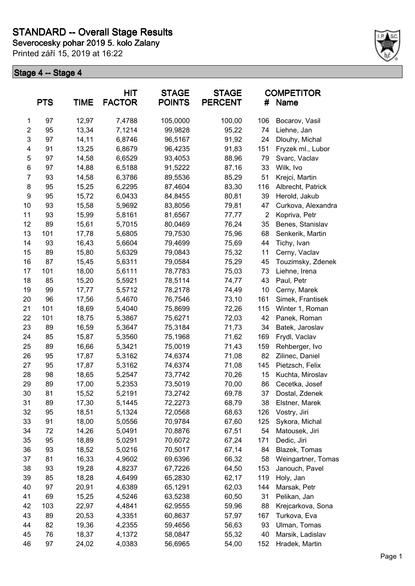**Severocesky pohar 2019 5. kolo Zalany**

Printed září 15, 2019 at 16:22



|                | <b>PTS</b> | <b>TIME</b> | <b>HIT</b><br><b>FACTOR</b> | <b>STAGE</b><br><b>POINTS</b> | <b>STAGE</b><br><b>PERCENT</b> | #              | <b>COMPETITOR</b><br>Name |
|----------------|------------|-------------|-----------------------------|-------------------------------|--------------------------------|----------------|---------------------------|
| 1              | 97         | 12,97       | 7,4788                      | 105,0000                      | 100,00                         | 106            | Bocarov, Vasil            |
| $\mathbf{2}$   | 95         | 13,34       | 7,1214                      | 99,9828                       | 95,22                          | 74             | Liehne, Jan               |
| 3              | 97         | 14,11       | 6,8746                      | 96,5167                       | 91,92                          | 24             | Dlouhy, Michal            |
| 4              | 91         | 13,25       | 6,8679                      | 96,4235                       | 91,83                          | 151            | Fryzek ml., Lubor         |
| 5              | 97         | 14,58       | 6,6529                      | 93,4053                       | 88,96                          | 79             | Svarc, Vaclav             |
| 6              | 97         | 14,88       | 6,5188                      | 91,5222                       | 87,16                          | 33             | Wilk, Ivo                 |
| $\overline{7}$ | 93         | 14,58       | 6,3786                      | 89,5536                       | 85,29                          | 51             | Krejci, Martin            |
| 8              | 95         | 15,25       | 6,2295                      | 87,4604                       | 83,30                          | 116            | Albrecht, Patrick         |
| 9              | 95         | 15,72       | 6,0433                      | 84,8455                       | 80,81                          | 39             | Herold, Jakub             |
| 10             | 93         | 15,58       | 5,9692                      | 83,8056                       | 79,81                          | 47             | Curkova, Alexandra        |
| 11             | 93         | 15,99       | 5,8161                      | 81,6567                       | 77,77                          | $\overline{2}$ | Kopriva, Petr             |
| 12             | 89         | 15,61       | 5,7015                      | 80,0469                       | 76,24                          | 35             | Benes, Stanislav          |
| 13             | 101        | 17,78       | 5,6805                      | 79,7530                       | 75,96                          | 68             | Senkerik, Martin          |
| 14             | 93         | 16,43       | 5,6604                      | 79,4699                       | 75,69                          | 44             | Tichy, Ivan               |
| 15             | 89         | 15,80       | 5,6329                      | 79,0843                       | 75,32                          | 11             | Cerny, Vaclav             |
| 16             | 87         | 15,45       | 5,6311                      | 79,0584                       | 75,29                          | 45             | Touzimsky, Zdenek         |
| 17             | 101        | 18,00       | 5,6111                      | 78,7783                       | 75,03                          | 73             | Liehne, Irena             |
| 18             | 85         | 15,20       | 5,5921                      | 78,5114                       | 74,77                          | 43             | Paul, Petr                |
| 19             | 99         | 17,77       | 5,5712                      | 78,2178                       | 74,49                          | 10             | Cerny, Marek              |
| 20             | 96         | 17,56       | 5,4670                      | 76,7546                       | 73,10                          | 161            | Simek, Frantisek          |
| 21             | 101        | 18,69       | 5,4040                      | 75,8699                       | 72,26                          | 115            | Winter 1, Roman           |
| 22             | 101        | 18,75       | 5,3867                      | 75,6271                       | 72,03                          | 42             | Panek, Roman              |
| 23             | 89         | 16,59       | 5,3647                      | 75,3184                       | 71,73                          | 34             | Batek, Jaroslav           |
| 24             | 85         | 15,87       | 5,3560                      | 75,1968                       | 71,62                          | 169            | Frydl, Vaclav             |
| 25             | 89         | 16,66       | 5,3421                      | 75,0019                       | 71,43                          | 159            | Rehberger, Ivo            |
| 26             | 95         | 17,87       | 5,3162                      | 74,6374                       | 71,08                          | 82             | Zilinec, Daniel           |
| 27             | 95         | 17,87       | 5,3162                      | 74,6374                       | 71,08                          | 145            | Pietzsch, Felix           |
| 28             | 98         | 18,65       | 5,2547                      | 73,7742                       | 70,26                          | 15             | Kuchta, Miroslav          |
| 29             | 89         | 17,00       | 5,2353                      | 73,5019                       | 70,00                          | 86             | Cecetka, Josef            |
| 30             | 81         | 15,52       | 5,2191                      | 73,2742                       | 69,78                          | 37             | Dostal, Zdenek            |
| 31             | 89         | 17,30       | 5,1445                      | 72,2273                       | 68,79                          | 38             | Elstner, Marek            |
| 32             | 95         | 18,51       | 5,1324                      | 72,0568                       | 68,63                          | 126            | Vostry, Jiri              |
| 33             | 91         | 18,00       | 5,0556                      | 70,9784                       | 67,60                          | 125            | Sykora, Michal            |
| 34             | 72         | 14,26       | 5,0491                      | 70,8876                       | 67,51                          | 54             | Matousek, Jiri            |
| 35             | 95         | 18,89       | 5,0291                      | 70,6072                       | 67,24                          | 171            | Dedic, Jiri               |
| 36             | 93         | 18,52       | 5,0216                      | 70,5017                       | 67,14                          | 84             | Blazek, Tomas             |
| 37             | 81         | 16,33       | 4,9602                      | 69,6396                       | 66,32                          | 58             | Weingartner, Tomas        |
| 38             | 93         | 19,28       | 4,8237                      | 67,7226                       | 64,50                          | 153            | Janouch, Pavel            |
| 39             | 85         | 18,28       | 4,6499                      | 65,2830                       | 62,17                          | 119            | Holy, Jan                 |
| 40             | 97         | 20,91       | 4,6389                      | 65,1291                       | 62,03                          | 144            | Marsak, Petr              |
| 41             | 69         | 15,25       | 4,5246                      | 63,5238                       | 60,50                          | 31             | Pelikan, Jan              |
| 42             | 103        | 22,97       | 4,4841                      | 62,9555                       | 59,96                          | 88             | Krejcarkova, Sona         |
| 43             | 89         | 20,53       | 4,3351                      | 60,8637                       | 57,97                          | 167            | Turkova, Eva              |
| 44             | 82         | 19,36       | 4,2355                      | 59,4656                       | 56,63                          | 93             | Ulman, Tomas              |
| 45             | 76         | 18,37       | 4,1372                      | 58,0847                       | 55,32                          | 40             | Marsik, Ladislav          |
| 46             | 97         | 24,02       | 4,0383                      | 56,6965                       | 54,00                          | 152            | Hradek, Martin            |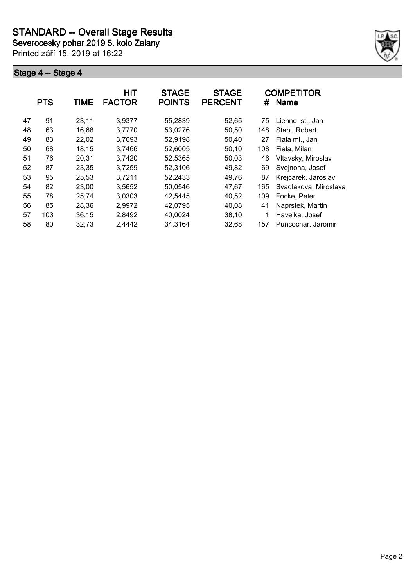**Severocesky pohar 2019 5. kolo Zalany**

Printed září 15, 2019 at 16:22



|    | <b>PTS</b> | <b>TIME</b> | <b>HIT</b><br><b>FACTOR</b> | <b>STAGE</b><br><b>POINTS</b> | <b>STAGE</b><br><b>PERCENT</b> | #   | <b>COMPETITOR</b><br><b>Name</b> |
|----|------------|-------------|-----------------------------|-------------------------------|--------------------------------|-----|----------------------------------|
| 47 | 91         | 23,11       | 3,9377                      | 55,2839                       | 52,65                          | 75  | Liehne st., Jan                  |
| 48 | 63         | 16,68       | 3,7770                      | 53,0276                       | 50,50                          | 148 | Stahl, Robert                    |
| 49 | 83         | 22,02       | 3,7693                      | 52,9198                       | 50,40                          | 27  | Fiala ml., Jan                   |
| 50 | 68         | 18,15       | 3,7466                      | 52,6005                       | 50,10                          | 108 | Fiala, Milan                     |
| 51 | 76         | 20,31       | 3,7420                      | 52,5365                       | 50,03                          | 46  | Vltavsky, Miroslav               |
| 52 | 87         | 23,35       | 3,7259                      | 52,3106                       | 49,82                          | 69  | Svejnoha, Josef                  |
| 53 | 95         | 25,53       | 3,7211                      | 52,2433                       | 49,76                          | 87  | Krejcarek, Jaroslav              |
| 54 | 82         | 23,00       | 3,5652                      | 50,0546                       | 47,67                          | 165 | Svadlakova, Miroslava            |
| 55 | 78         | 25,74       | 3,0303                      | 42,5445                       | 40,52                          | 109 | Focke, Peter                     |
| 56 | 85         | 28,36       | 2,9972                      | 42,0795                       | 40,08                          | 41  | Naprstek, Martin                 |
| 57 | 103        | 36,15       | 2,8492                      | 40,0024                       | 38,10                          |     | Havelka, Josef                   |
| 58 | 80         | 32,73       | 2,4442                      | 34,3164                       | 32,68                          | 157 | Puncochar, Jaromir               |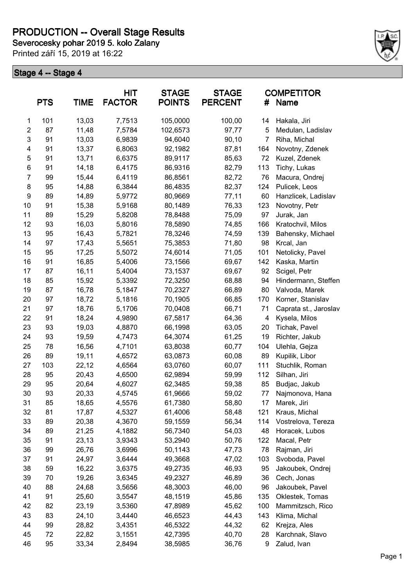# **PRODUCTION -- Overall Stage Results**

**Severocesky pohar 2019 5. kolo Zalany**

Printed září 15, 2019 at 16:22



|                | <b>PTS</b> | <b>TIME</b> | HIT<br><b>FACTOR</b> | <b>STAGE</b><br><b>POINTS</b> | <b>STAGE</b><br><b>PERCENT</b> | #              | <b>COMPETITOR</b><br><b>Name</b> |
|----------------|------------|-------------|----------------------|-------------------------------|--------------------------------|----------------|----------------------------------|
| $\mathbf{1}$   | 101        | 13,03       | 7,7513               | 105,0000                      | 100,00                         | 14             | Hakala, Jiri                     |
| $\overline{c}$ | 87         | 11,48       | 7,5784               | 102,6573                      | 97,77                          | 5              | Medulan, Ladislav                |
| 3              | 91         | 13,03       | 6,9839               | 94,6040                       | 90,10                          | $\overline{7}$ | Riha, Michal                     |
| 4              | 91         | 13,37       | 6,8063               | 92,1982                       | 87,81                          | 164            | Novotny, Zdenek                  |
| 5              | 91         | 13,71       | 6,6375               | 89,9117                       | 85,63                          | 72             | Kuzel, Zdenek                    |
| 6              | 91         | 14,18       | 6,4175               | 86,9316                       | 82,79                          | 113            | Tichy, Lukas                     |
| $\overline{7}$ | 99         | 15,44       | 6,4119               | 86,8561                       | 82,72                          | 76             | Macura, Ondrej                   |
| 8              | 95         | 14,88       | 6,3844               | 86,4835                       | 82,37                          | 124            | Pulicek, Leos                    |
| 9              | 89         | 14,89       | 5,9772               | 80,9669                       | 77,11                          | 60             | Hanzlicek, Ladislav              |
| 10             | 91         | 15,38       | 5,9168               | 80,1489                       | 76,33                          | 123            | Novotny, Petr                    |
| 11             | 89         | 15,29       | 5,8208               | 78,8488                       | 75,09                          | 97             | Jurak, Jan                       |
| 12             | 93         | 16,03       | 5,8016               | 78,5890                       | 74,85                          | 166            | Kratochvil, Milos                |
| 13             | 95         | 16,43       | 5,7821               | 78,3246                       | 74,59                          | 139            | Bahensky, Michael                |
| 14             | 97         | 17,43       | 5,5651               | 75,3853                       | 71,80                          | 98             | Krcal, Jan                       |
| 15             | 95         | 17,25       | 5,5072               | 74,6014                       | 71,05                          | 101            | Netolicky, Pavel                 |
| 16             | 91         | 16,85       | 5,4006               | 73,1566                       | 69,67                          | 142            | Kaska, Martin                    |
| 17             | 87         | 16,11       | 5,4004               | 73,1537                       | 69,67                          | 92             | Scigel, Petr                     |
| 18             | 85         | 15,92       | 5,3392               | 72,3250                       | 68,88                          | 94             | Hindermann, Steffen              |
| 19             | 87         | 16,78       | 5,1847               | 70,2327                       | 66,89                          | 80             | Valvoda, Marek                   |
| 20             | 97         | 18,72       | 5,1816               | 70,1905                       | 66,85                          | 170            | Korner, Stanislav                |
| 21             | 97         | 18,76       | 5,1706               | 70,0408                       | 66,71                          | 71             | Caprata st., Jaroslav            |
| 22             | 91         | 18,24       | 4,9890               | 67,5817                       | 64,36                          | 4              | Kysela, Milos                    |
| 23             | 93         | 19,03       | 4,8870               | 66,1998                       | 63,05                          | 20             | Tichak, Pavel                    |
| 24             | 93         | 19,59       | 4,7473               | 64,3074                       | 61,25                          | 19             | Richter, Jakub                   |
| 25             | 78         | 16,56       | 4,7101               | 63,8038                       | 60,77                          | 104            | Ulehla, Gejza                    |
| 26             | 89         | 19,11       | 4,6572               | 63,0873                       | 60,08                          | 89             | Kupilik, Libor                   |
| 27             | 103        | 22,12       | 4,6564               | 63,0760                       | 60,07                          | 111            | Stuchlik, Roman                  |
| 28             | 95         | 20,43       | 4,6500               | 62,9894                       | 59,99                          | 112            | Silhan, Jiri                     |
| 29             | 95         | 20,64       | 4,6027               | 62,3485                       | 59,38                          | 85             | Budjac, Jakub                    |
| 30             | 93         | 20,33       | 4,5745               | 61,9666                       | 59,02                          | 77             | Najmonova, Hana                  |
| 31             | 85         | 18,65       | 4,5576               | 61,7380                       | 58,80                          | 17             | Marek, Jiri                      |
| 32             | 81         | 17,87       | 4,5327               | 61,4006                       | 58,48                          | 121            | Kraus, Michal                    |
| 33             | 89         | 20,38       | 4,3670               | 59,1559                       | 56,34                          | 114            | Vostrelova, Tereza               |
| 34             | 89         | 21,25       | 4,1882               | 56,7340                       | 54,03                          | 48             | Horacek, Lubos                   |
| 35             | 91         | 23,13       | 3,9343               | 53,2940                       | 50,76                          | 122            | Macal, Petr                      |
| 36             | 99         | 26,76       | 3,6996               | 50,1143                       | 47,73                          | 78             | Rajman, Jiri                     |
| 37             | 91         | 24,97       | 3,6444               | 49,3668                       | 47,02                          | 103            | Svoboda, Pavel                   |
| 38             | 59         | 16,22       | 3,6375               | 49,2735                       | 46,93                          | 95             | Jakoubek, Ondrej                 |
| 39             | 70         | 19,26       | 3,6345               | 49,2327                       | 46,89                          | 36             | Cech, Jonas                      |
| 40             | 88         | 24,68       | 3,5656               | 48,3003                       | 46,00                          | 96             | Jakoubek, Pavel                  |
| 41             | 91         | 25,60       | 3,5547               | 48,1519                       | 45,86                          | 135            | Oklestek, Tomas                  |
| 42             | 82         | 23,19       | 3,5360               | 47,8989                       | 45,62                          | 100            | Mammitzsch, Rico                 |
| 43             | 83         | 24,10       | 3,4440               | 46,6523                       | 44,43                          | 143            | Klima, Michal                    |
| 44             | 99         | 28,82       | 3,4351               | 46,5322                       | 44,32                          | 62             | Krejza, Ales                     |
| 45             | 72         | 22,82       | 3,1551               | 42,7395                       | 40,70                          | 28             | Karchnak, Slavo                  |
| 46             | 95         | 33,34       | 2,8494               | 38,5985                       | 36,76                          | 9              | Zalud, Ivan                      |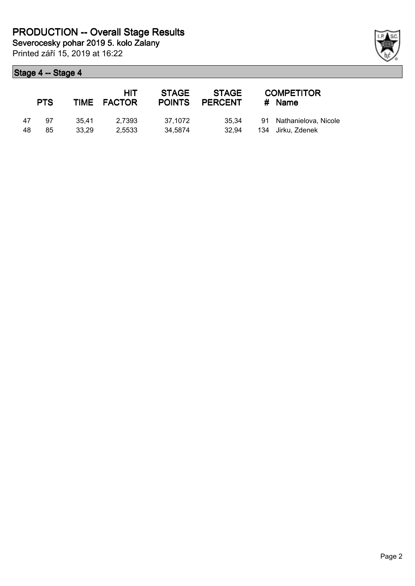Printed září 15, 2019 at 16:22

|    | <b>PTS</b> |       | HIT<br>TIME FACTOR | <b>STAGE</b><br><b>POINTS</b> | <b>STAGE</b><br><b>PERCENT</b> | <b>COMPETITOR</b><br>$#$ Name |
|----|------------|-------|--------------------|-------------------------------|--------------------------------|-------------------------------|
| 47 | 97         | 35.41 | 2.7393             | 37.1072                       | 35.34                          | 91 Nathanielova, Nicole       |
| 48 | 85         | 33.29 | 2.5533             | 34.5874                       | 32.94                          | 134 Jirku, Zdenek             |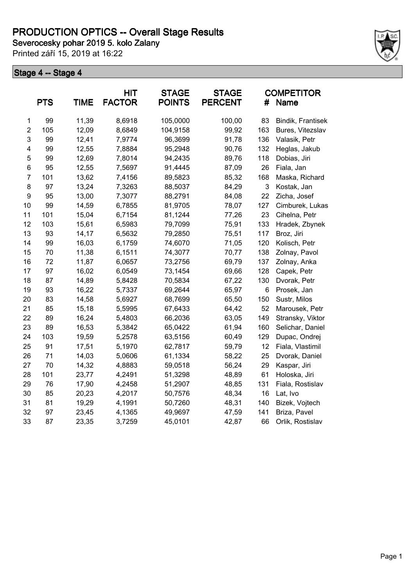Printed září 15, 2019 at 16:22



|                | <b>PTS</b> | <b>TIME</b> | <b>HIT</b><br><b>FACTOR</b> | <b>STAGE</b><br><b>POINTS</b> | <b>STAGE</b><br><b>PERCENT</b> | #   | <b>COMPETITOR</b><br>Name |
|----------------|------------|-------------|-----------------------------|-------------------------------|--------------------------------|-----|---------------------------|
| $\mathbf 1$    | 99         | 11,39       | 8,6918                      | 105,0000                      | 100,00                         | 83  | Bindik, Frantisek         |
| $\overline{2}$ | 105        | 12,09       | 8,6849                      | 104,9158                      | 99,92                          | 163 | Bures, Vitezslav          |
| 3              | 99         | 12,41       | 7,9774                      | 96,3699                       | 91,78                          | 136 | Valasik, Petr             |
| 4              | 99         | 12,55       | 7,8884                      | 95,2948                       | 90,76                          | 132 | Heglas, Jakub             |
| 5              | 99         | 12,69       | 7,8014                      | 94,2435                       | 89,76                          | 118 | Dobias, Jiri              |
| 6              | 95         | 12,55       | 7,5697                      | 91,4445                       | 87,09                          | 26  | Fiala, Jan                |
| $\overline{7}$ | 101        | 13,62       | 7,4156                      | 89,5823                       | 85,32                          | 168 | Maska, Richard            |
| 8              | 97         | 13,24       | 7,3263                      | 88,5037                       | 84,29                          | 3   | Kostak, Jan               |
| 9              | 95         | 13,00       | 7,3077                      | 88,2791                       | 84,08                          | 22  | Zicha, Josef              |
| 10             | 99         | 14,59       | 6,7855                      | 81,9705                       | 78,07                          | 127 | Cimburek, Lukas           |
| 11             | 101        | 15,04       | 6,7154                      | 81,1244                       | 77,26                          | 23  | Cihelna, Petr             |
| 12             | 103        | 15,61       | 6,5983                      | 79,7099                       | 75,91                          | 133 | Hradek, Zbynek            |
| 13             | 93         | 14,17       | 6,5632                      | 79,2850                       | 75,51                          | 117 | Broz, Jiri                |
| 14             | 99         | 16,03       | 6,1759                      | 74,6070                       | 71,05                          | 120 | Kolisch, Petr             |
| 15             | 70         | 11,38       | 6,1511                      | 74,3077                       | 70,77                          | 138 | Zolnay, Pavol             |
| 16             | 72         | 11,87       | 6,0657                      | 73,2756                       | 69,79                          | 137 | Zolnay, Anka              |
| 17             | 97         | 16,02       | 6,0549                      | 73,1454                       | 69,66                          | 128 | Capek, Petr               |
| 18             | 87         | 14,89       | 5,8428                      | 70,5834                       | 67,22                          | 130 | Dvorak, Petr              |
| 19             | 93         | 16,22       | 5,7337                      | 69,2644                       | 65,97                          | 6   | Prosek, Jan               |
| 20             | 83         | 14,58       | 5,6927                      | 68,7699                       | 65,50                          | 150 | Sustr, Milos              |
| 21             | 85         | 15,18       | 5,5995                      | 67,6433                       | 64,42                          | 52  | Marousek, Petr            |
| 22             | 89         | 16,24       | 5,4803                      | 66,2036                       | 63,05                          | 149 | Stransky, Viktor          |
| 23             | 89         | 16,53       | 5,3842                      | 65,0422                       | 61,94                          | 160 | Selichar, Daniel          |
| 24             | 103        | 19,59       | 5,2578                      | 63,5156                       | 60,49                          | 129 | Dupac, Ondrej             |
| 25             | 91         | 17,51       | 5,1970                      | 62,7817                       | 59,79                          | 12  | Fiala, Vlastimil          |
| 26             | 71         | 14,03       | 5,0606                      | 61,1334                       | 58,22                          | 25  | Dvorak, Daniel            |
| 27             | 70         | 14,32       | 4,8883                      | 59,0518                       | 56,24                          | 29  | Kaspar, Jiri              |
| 28             | 101        | 23,77       | 4,2491                      | 51,3298                       | 48,89                          | 61  | Holoska, Jiri             |
| 29             | 76         | 17,90       | 4,2458                      | 51,2907                       | 48,85                          | 131 | Fiala, Rostislav          |
| 30             | 85         | 20,23       | 4,2017                      | 50,7576                       | 48,34                          | 16  | Lat, Ivo                  |
| 31             | 81         | 19,29       | 4,1991                      | 50,7260                       | 48,31                          | 140 | Bizek, Vojtech            |
| 32             | 97         | 23,45       | 4,1365                      | 49,9697                       | 47,59                          | 141 | Briza, Pavel              |
| 33             | 87         | 23,35       | 3,7259                      | 45,0101                       | 42,87                          | 66  | Orlik, Rostislav          |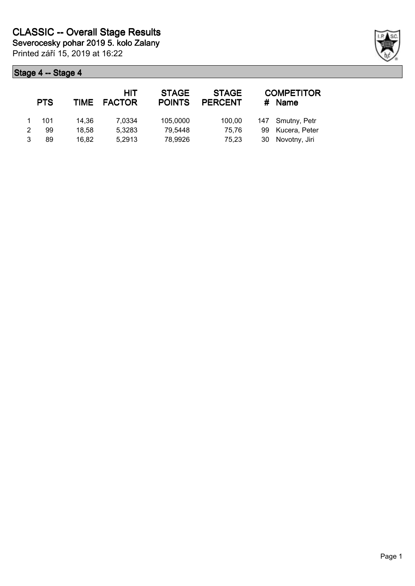| <b>PTS</b> | <b>TIME</b> | HIT<br><b>FACTOR</b> | <b>STAGE</b><br><b>POINTS</b> | <b>STAGE</b><br><b>PERCENT</b> | #  | <b>COMPETITOR</b><br>Name |
|------------|-------------|----------------------|-------------------------------|--------------------------------|----|---------------------------|
| 101        | 14.36       | 7,0334               | 105,0000                      | 100,00                         |    | 147 Smutny, Petr          |
| 99         | 18.58       | 5,3283               | 79,5448                       | 75.76                          | 99 | Kucera, Peter             |
| 89         | 16.82       | 5,2913               | 78,9926                       | 75.23                          |    | 30 Novotny, Jiri          |

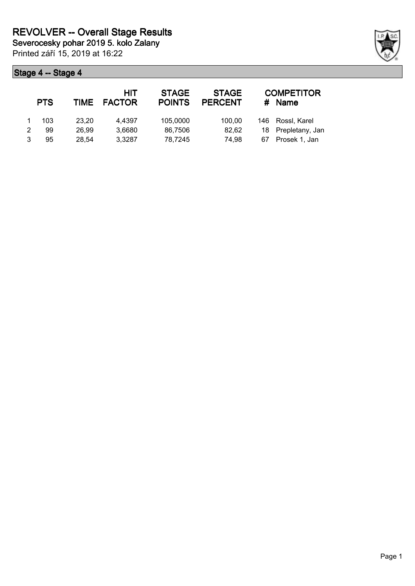Printed září 15, 2019 at 16:22

| <b>PTS</b> | TIME  | HIT<br><b>FACTOR</b> | <b>STAGE</b><br><b>POINTS</b> | <b>STAGE</b><br><b>PERCENT</b> | #   | <b>COMPETITOR</b><br><b>Name</b> |
|------------|-------|----------------------|-------------------------------|--------------------------------|-----|----------------------------------|
| 103        | 23.20 | 4.4397               | 105,0000                      | 100.00                         | 146 | Rossl, Karel                     |
| 99         | 26.99 | 3,6680               | 86,7506                       | 82,62                          |     | 18 Prepletany, Jan               |
| 95         | 28.54 | 3.3287               | 78,7245                       | 74.98                          | 67  | Prosek 1, Jan                    |

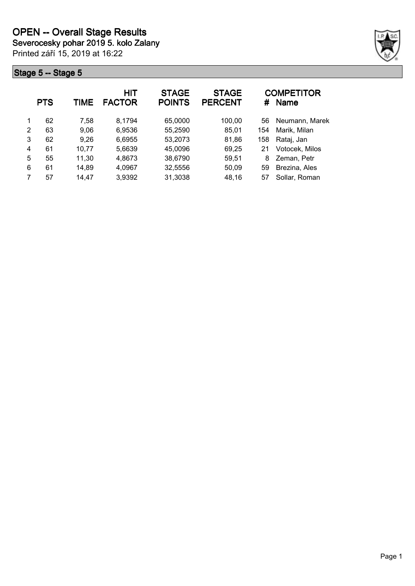Printed září 15, 2019 at 16:22



|   | <b>PTS</b> | TIME  | <b>HIT</b><br><b>FACTOR</b> | <b>STAGE</b><br><b>POINTS</b> | <b>STAGE</b><br><b>PERCENT</b> | #   | <b>COMPETITOR</b><br><b>Name</b> |
|---|------------|-------|-----------------------------|-------------------------------|--------------------------------|-----|----------------------------------|
| 1 | 62         | 7,58  | 8.1794                      | 65,0000                       | 100,00                         | 56  | Neumann, Marek                   |
| 2 | 63         | 9,06  | 6,9536                      | 55,2590                       | 85,01                          | 154 | Marik, Milan                     |
| 3 | 62         | 9,26  | 6,6955                      | 53,2073                       | 81,86                          | 158 | Rataj, Jan                       |
| 4 | 61         | 10,77 | 5,6639                      | 45,0096                       | 69,25                          | 21  | Votocek, Milos                   |
| 5 | 55         | 11,30 | 4,8673                      | 38,6790                       | 59,51                          | 8   | Zeman, Petr                      |
| 6 | 61         | 14,89 | 4,0967                      | 32,5556                       | 50,09                          | 59  | Brezina, Ales                    |
|   | 57         | 14,47 | 3,9392                      | 31,3038                       | 48,16                          | 57  | Sollar, Roman                    |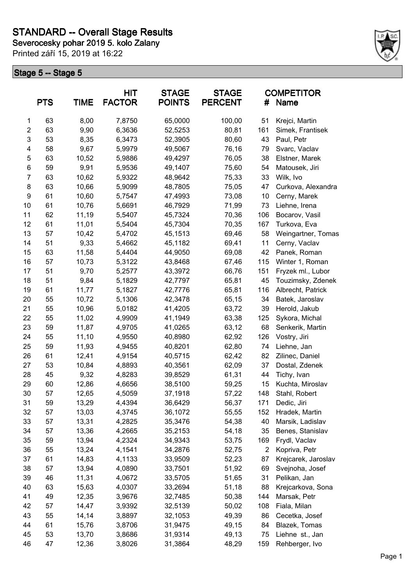**Severocesky pohar 2019 5. kolo Zalany**

Printed září 15, 2019 at 16:22



|                         | <b>PTS</b> | <b>TIME</b> | <b>HIT</b><br><b>FACTOR</b> | <b>STAGE</b><br><b>POINTS</b> | <b>STAGE</b><br><b>PERCENT</b> | #              | <b>COMPETITOR</b><br>Name |
|-------------------------|------------|-------------|-----------------------------|-------------------------------|--------------------------------|----------------|---------------------------|
| 1                       | 63         | 8,00        | 7,8750                      | 65,0000                       | 100,00                         | 51             | Krejci, Martin            |
| $\overline{\mathbf{c}}$ | 63         | 9,90        | 6,3636                      | 52,5253                       | 80,81                          | 161            | Simek, Frantisek          |
| 3                       | 53         | 8,35        | 6,3473                      | 52,3905                       | 80,60                          | 43             | Paul, Petr                |
| 4                       | 58         | 9,67        | 5,9979                      | 49,5067                       | 76,16                          | 79             | Svarc, Vaclav             |
| 5                       | 63         | 10,52       | 5,9886                      | 49,4297                       | 76,05                          | 38             | Elstner, Marek            |
| $\,6$                   | 59         | 9,91        | 5,9536                      | 49,1407                       | 75,60                          | 54             | Matousek, Jiri            |
| 7                       | 63         | 10,62       | 5,9322                      | 48,9642                       | 75,33                          | 33             | Wilk, Ivo                 |
| 8                       | 63         | 10,66       | 5,9099                      | 48,7805                       | 75,05                          | 47             | Curkova, Alexandra        |
| 9                       | 61         | 10,60       | 5,7547                      | 47,4993                       | 73,08                          | 10             | Cerny, Marek              |
| 10                      | 61         | 10,76       | 5,6691                      | 46,7929                       | 71,99                          | 73             | Liehne, Irena             |
| 11                      | 62         | 11,19       | 5,5407                      | 45,7324                       | 70,36                          | 106            | Bocarov, Vasil            |
| 12                      | 61         | 11,01       | 5,5404                      | 45,7304                       | 70,35                          | 167            | Turkova, Eva              |
| 13                      | 57         | 10,42       | 5,4702                      | 45,1513                       | 69,46                          | 58             | Weingartner, Tomas        |
| 14                      | 51         | 9,33        | 5,4662                      | 45,1182                       | 69,41                          | 11             | Cerny, Vaclav             |
| 15                      | 63         | 11,58       | 5,4404                      | 44,9050                       | 69,08                          | 42             | Panek, Roman              |
| 16                      | 57         | 10,73       | 5,3122                      | 43,8468                       | 67,46                          | 115            | Winter 1, Roman           |
| 17                      | 51         | 9,70        | 5,2577                      | 43,3972                       | 66,76                          | 151            | Fryzek ml., Lubor         |
| 18                      | 51         | 9,84        | 5,1829                      | 42,7797                       | 65,81                          | 45             | Touzimsky, Zdenek         |
| 19                      | 61         | 11,77       | 5,1827                      | 42,7776                       | 65,81                          | 116            | Albrecht, Patrick         |
| 20                      | 55         | 10,72       | 5,1306                      | 42,3478                       | 65,15                          | 34             | Batek, Jaroslav           |
| 21                      | 55         | 10,96       | 5,0182                      | 41,4205                       | 63,72                          | 39             | Herold, Jakub             |
| 22                      | 55         | 11,02       | 4,9909                      | 41,1949                       | 63,38                          | 125            | Sykora, Michal            |
| 23                      | 59         | 11,87       | 4,9705                      | 41,0265                       | 63,12                          | 68             | Senkerik, Martin          |
| 24                      | 55         | 11,10       | 4,9550                      | 40,8980                       | 62,92                          | 126            | Vostry, Jiri              |
| 25                      | 59         | 11,93       | 4,9455                      | 40,8201                       | 62,80                          | 74             | Liehne, Jan               |
| 26                      | 61         | 12,41       | 4,9154                      | 40,5715                       | 62,42                          | 82             | Zilinec, Daniel           |
| 27                      | 53         | 10,84       | 4,8893                      | 40,3561                       | 62,09                          | 37             | Dostal, Zdenek            |
| 28                      | 45         | 9,32        | 4,8283                      | 39,8529                       | 61,31                          | 44             | Tichy, Ivan               |
| 29                      | 60         | 12,86       | 4,6656                      | 38,5100                       | 59,25                          | 15             | Kuchta, Miroslav          |
| 30                      | 57         | 12,65       | 4,5059                      | 37,1918                       | 57,22                          | 148            | Stahl, Robert             |
| 31                      | 59         | 13,29       | 4,4394                      | 36,6429                       | 56,37                          | 171            | Dedic, Jiri               |
| 32                      | 57         | 13,03       | 4,3745                      | 36,1072                       | 55,55                          | 152            | Hradek, Martin            |
| 33                      | 57         | 13,31       | 4,2825                      | 35,3476                       | 54,38                          | 40             | Marsik, Ladislav          |
| 34                      | 57         | 13,36       | 4,2665                      | 35,2153                       | 54,18                          | 35             | Benes, Stanislav          |
| 35                      | 59         | 13,94       | 4,2324                      | 34,9343                       | 53,75                          | 169            | Frydl, Vaclav             |
| 36                      | 55         | 13,24       | 4,1541                      | 34,2876                       | 52,75                          | $\overline{c}$ | Kopriva, Petr             |
| 37                      | 61         | 14,83       | 4,1133                      | 33,9509                       | 52,23                          | 87             | Krejcarek, Jaroslav       |
| 38                      | 57         | 13,94       | 4,0890                      | 33,7501                       | 51,92                          | 69             | Svejnoha, Josef           |
| 39                      | 46         | 11,31       | 4,0672                      | 33,5705                       | 51,65                          | 31             | Pelikan, Jan              |
| 40                      | 63         | 15,63       | 4,0307                      | 33,2694                       | 51,18                          | 88             | Krejcarkova, Sona         |
| 41                      | 49         | 12,35       | 3,9676                      | 32,7485                       | 50,38                          | 144            | Marsak, Petr              |
| 42                      | 57         | 14,47       | 3,9392                      | 32,5139                       | 50,02                          | 108            | Fiala, Milan              |
| 43                      | 55         | 14,14       | 3,8897                      | 32,1053                       | 49,39                          | 86             | Cecetka, Josef            |
| 44                      | 61         | 15,76       | 3,8706                      | 31,9475                       | 49,15                          | 84             | Blazek, Tomas             |
| 45                      | 53         | 13,70       | 3,8686                      | 31,9314                       | 49,13                          | 75             | Liehne st., Jan           |
| 46                      | 47         | 12,36       | 3,8026                      | 31,3864                       | 48,29                          | 159            | Rehberger, Ivo            |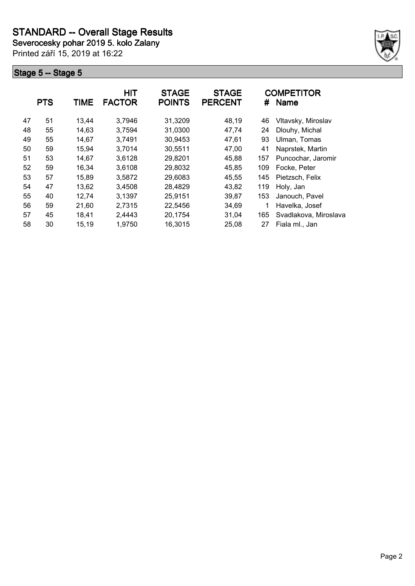**Severocesky pohar 2019 5. kolo Zalany**

Printed září 15, 2019 at 16:22



|    | <b>PTS</b> | <b>TIME</b> | HIT<br><b>FACTOR</b> | <b>STAGE</b><br><b>POINTS</b> | <b>STAGE</b><br><b>PERCENT</b> | #   | <b>COMPETITOR</b><br><b>Name</b> |
|----|------------|-------------|----------------------|-------------------------------|--------------------------------|-----|----------------------------------|
| 47 | 51         | 13,44       | 3,7946               | 31,3209                       | 48,19                          | 46  | Vltavsky, Miroslav               |
| 48 | 55         | 14,63       | 3,7594               | 31,0300                       | 47,74                          | 24  | Dlouhy, Michal                   |
| 49 | 55         | 14,67       | 3,7491               | 30,9453                       | 47,61                          | 93  | Ulman, Tomas                     |
| 50 | 59         | 15,94       | 3,7014               | 30,5511                       | 47,00                          | 41  | Naprstek, Martin                 |
| 51 | 53         | 14.67       | 3,6128               | 29,8201                       | 45,88                          | 157 | Puncochar, Jaromir               |
| 52 | 59         | 16,34       | 3,6108               | 29,8032                       | 45,85                          | 109 | Focke, Peter                     |
| 53 | 57         | 15,89       | 3,5872               | 29,6083                       | 45,55                          | 145 | Pietzsch, Felix                  |
| 54 | 47         | 13,62       | 3,4508               | 28,4829                       | 43,82                          | 119 | Holy, Jan                        |
| 55 | 40         | 12,74       | 3,1397               | 25,9151                       | 39,87                          | 153 | Janouch, Pavel                   |
| 56 | 59         | 21,60       | 2,7315               | 22,5456                       | 34,69                          | 1   | Havelka, Josef                   |
| 57 | 45         | 18,41       | 2,4443               | 20,1754                       | 31,04                          | 165 | Svadlakova, Miroslava            |
| 58 | 30         | 15,19       | 1,9750               | 16,3015                       | 25,08                          | 27  | Fiala ml., Jan                   |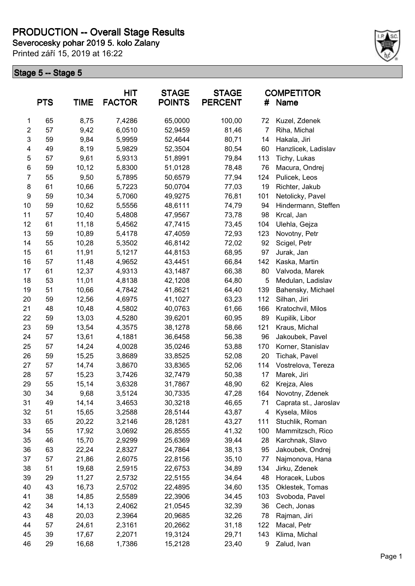# **PRODUCTION -- Overall Stage Results**

**Severocesky pohar 2019 5. kolo Zalany**

Printed září 15, 2019 at 16:22



|                | <b>PTS</b> | <b>TIME</b> | HIT<br><b>FACTOR</b> | <b>STAGE</b><br><b>POINTS</b> | <b>STAGE</b><br><b>PERCENT</b> | #   | <b>COMPETITOR</b><br><b>Name</b> |
|----------------|------------|-------------|----------------------|-------------------------------|--------------------------------|-----|----------------------------------|
| 1              | 65         | 8,75        | 7,4286               | 65,0000                       | 100,00                         | 72  | Kuzel, Zdenek                    |
| $\overline{c}$ | 57         | 9,42        | 6,0510               | 52,9459                       | 81,46                          | 7   | Riha, Michal                     |
| 3              | 59         | 9,84        | 5,9959               | 52,4644                       | 80,71                          | 14  | Hakala, Jiri                     |
| 4              | 49         | 8,19        | 5,9829               | 52,3504                       | 80,54                          | 60  | Hanzlicek, Ladislav              |
| 5              | 57         | 9,61        | 5,9313               | 51,8991                       | 79,84                          | 113 | Tichy, Lukas                     |
| 6              | 59         | 10,12       | 5,8300               | 51,0128                       | 78,48                          | 76  | Macura, Ondrej                   |
| $\overline{7}$ | 55         | 9,50        | 5,7895               | 50,6579                       | 77,94                          | 124 | Pulicek, Leos                    |
| 8              | 61         | 10,66       | 5,7223               | 50,0704                       | 77,03                          | 19  | Richter, Jakub                   |
| 9              | 59         | 10,34       | 5,7060               | 49,9275                       | 76,81                          | 101 | Netolicky, Pavel                 |
| 10             | 59         | 10,62       | 5,5556               | 48,6111                       | 74,79                          | 94  | Hindermann, Steffen              |
| 11             | 57         | 10,40       | 5,4808               | 47,9567                       | 73,78                          | 98  | Krcal, Jan                       |
| 12             | 61         | 11,18       | 5,4562               | 47,7415                       | 73,45                          | 104 | Ulehla, Gejza                    |
| 13             | 59         | 10,89       | 5,4178               | 47,4059                       | 72,93                          | 123 | Novotny, Petr                    |
| 14             | 55         | 10,28       | 5,3502               | 46,8142                       | 72,02                          | 92  | Scigel, Petr                     |
| 15             | 61         | 11,91       | 5,1217               | 44,8153                       | 68,95                          | 97  | Jurak, Jan                       |
| 16             | 57         | 11,48       | 4,9652               | 43,4451                       | 66,84                          | 142 | Kaska, Martin                    |
| 17             | 61         | 12,37       | 4,9313               | 43,1487                       | 66,38                          | 80  | Valvoda, Marek                   |
| 18             | 53         | 11,01       | 4,8138               | 42,1208                       | 64,80                          | 5   | Medulan, Ladislav                |
| 19             | 51         | 10,66       | 4,7842               | 41,8621                       | 64,40                          | 139 | Bahensky, Michael                |
| 20             | 59         | 12,56       | 4,6975               | 41,1027                       | 63,23                          | 112 | Silhan, Jiri                     |
| 21             | 48         | 10,48       | 4,5802               | 40,0763                       | 61,66                          | 166 | Kratochvil, Milos                |
| 22             | 59         | 13,03       | 4,5280               | 39,6201                       | 60,95                          | 89  | Kupilik, Libor                   |
| 23             | 59         | 13,54       | 4,3575               | 38,1278                       | 58,66                          | 121 | Kraus, Michal                    |
| 24             | 57         | 13,61       | 4,1881               | 36,6458                       | 56,38                          | 96  | Jakoubek, Pavel                  |
| 25             | 57         | 14,24       | 4,0028               | 35,0246                       | 53,88                          | 170 | Korner, Stanislav                |
| 26             | 59         | 15,25       | 3,8689               | 33,8525                       | 52,08                          | 20  | Tichak, Pavel                    |
| 27             | 57         | 14,74       | 3,8670               | 33,8365                       | 52,06                          | 114 | Vostrelova, Tereza               |
| 28             | 57         | 15,23       | 3,7426               | 32,7479                       | 50,38                          | 17  | Marek, Jiri                      |
| 29             | 55         | 15,14       | 3,6328               | 31,7867                       | 48,90                          | 62  | Krejza, Ales                     |
| 30             | 34         | 9,68        | 3,5124               | 30,7335                       | 47,28                          | 164 | Novotny, Zdenek                  |
| 31             | 49         | 14,14       | 3,4653               | 30,3218                       | 46,65                          | 71  | Caprata st., Jaroslav            |
| 32             | 51         | 15,65       | 3,2588               | 28,5144                       | 43,87                          | 4   | Kysela, Milos                    |
| 33             | 65         | 20,22       | 3,2146               | 28,1281                       | 43,27                          | 111 | Stuchlik, Roman                  |
| 34             | 55         | 17,92       | 3,0692               | 26,8555                       | 41,32                          | 100 | Mammitzsch, Rico                 |
| 35             | 46         | 15,70       | 2,9299               | 25,6369                       | 39,44                          | 28  | Karchnak, Slavo                  |
| 36             | 63         | 22,24       | 2,8327               | 24,7864                       | 38,13                          | 95  | Jakoubek, Ondrej                 |
| 37             | 57         | 21,86       | 2,6075               | 22,8156                       | 35,10                          | 77  | Najmonova, Hana                  |
| 38             | 51         | 19,68       | 2,5915               | 22,6753                       | 34,89                          | 134 | Jirku, Zdenek                    |
| 39             | 29         | 11,27       | 2,5732               | 22,5155                       | 34,64                          | 48  | Horacek, Lubos                   |
| 40             | 43         | 16,73       | 2,5702               | 22,4895                       | 34,60                          | 135 | Oklestek, Tomas                  |
| 41             | 38         | 14,85       | 2,5589               | 22,3906                       | 34,45                          | 103 | Svoboda, Pavel                   |
| 42             | 34         | 14,13       | 2,4062               | 21,0545                       | 32,39                          | 36  | Cech, Jonas                      |
| 43             | 48         | 20,03       | 2,3964               | 20,9685                       | 32,26                          | 78  | Rajman, Jiri                     |
| 44             | 57         | 24,61       | 2,3161               | 20,2662                       | 31,18                          | 122 | Macal, Petr                      |
| 45             | 39         | 17,67       | 2,2071               | 19,3124                       | 29,71                          | 143 | Klima, Michal                    |
| 46             | 29         | 16,68       | 1,7386               | 15,2128                       | 23,40                          | 9   | Zalud, Ivan                      |
|                |            |             |                      |                               |                                |     |                                  |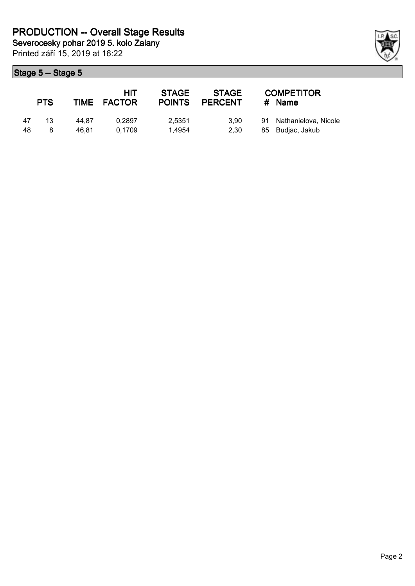|    | <b>PTS</b> |       | <b>HIT</b><br>TIME FACTOR | <b>STAGE</b><br><b>POINTS</b> | <b>STAGE</b><br><b>PERCENT</b> | <b>COMPETITOR</b><br># Name |
|----|------------|-------|---------------------------|-------------------------------|--------------------------------|-----------------------------|
| 47 | 13         | 44.87 | 0.2897                    | 2.5351                        | 3.90                           | 91 Nathanielova, Nicole     |
| 48 | 8          | 46.81 | 0.1709                    | 1.4954                        | 2.30                           | 85 Budjac, Jakub            |

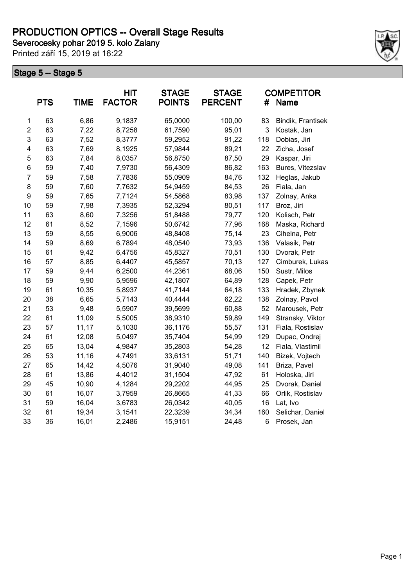**Severocesky pohar 2019 5. kolo Zalany**

Printed září 15, 2019 at 16:22



|                | <b>PTS</b> | <b>TIME</b> | HIT<br><b>FACTOR</b> | <b>STAGE</b><br><b>POINTS</b> | <b>STAGE</b><br><b>PERCENT</b> | #   | <b>COMPETITOR</b><br>Name |
|----------------|------------|-------------|----------------------|-------------------------------|--------------------------------|-----|---------------------------|
| 1              | 63         | 6,86        | 9,1837               | 65,0000                       | 100,00                         | 83  | Bindik, Frantisek         |
| $\overline{c}$ | 63         | 7,22        | 8,7258               | 61,7590                       | 95,01                          | 3   | Kostak, Jan               |
| 3              | 63         | 7,52        | 8,3777               | 59,2952                       | 91,22                          | 118 | Dobias, Jiri              |
| 4              | 63         | 7,69        | 8,1925               | 57,9844                       | 89,21                          | 22  | Zicha, Josef              |
| 5              | 63         | 7,84        | 8,0357               | 56,8750                       | 87,50                          | 29  | Kaspar, Jiri              |
| 6              | 59         | 7,40        | 7,9730               | 56,4309                       | 86,82                          | 163 | Bures, Vitezslav          |
| $\overline{7}$ | 59         | 7,58        | 7,7836               | 55,0909                       | 84,76                          | 132 | Heglas, Jakub             |
| 8              | 59         | 7,60        | 7,7632               | 54,9459                       | 84,53                          | 26  | Fiala, Jan                |
| 9              | 59         | 7,65        | 7,7124               | 54,5868                       | 83,98                          | 137 | Zolnay, Anka              |
| 10             | 59         | 7,98        | 7,3935               | 52,3294                       | 80,51                          | 117 | Broz, Jiri                |
| 11             | 63         | 8,60        | 7,3256               | 51,8488                       | 79,77                          | 120 | Kolisch, Petr             |
| 12             | 61         | 8,52        | 7,1596               | 50,6742                       | 77,96                          | 168 | Maska, Richard            |
| 13             | 59         | 8,55        | 6,9006               | 48,8408                       | 75,14                          | 23  | Cihelna, Petr             |
| 14             | 59         | 8,69        | 6,7894               | 48,0540                       | 73,93                          | 136 | Valasik, Petr             |
| 15             | 61         | 9,42        | 6,4756               | 45,8327                       | 70,51                          | 130 | Dvorak, Petr              |
| 16             | 57         | 8,85        | 6,4407               | 45,5857                       | 70,13                          | 127 | Cimburek, Lukas           |
| 17             | 59         | 9,44        | 6,2500               | 44,2361                       | 68,06                          | 150 | Sustr, Milos              |
| 18             | 59         | 9,90        | 5,9596               | 42,1807                       | 64,89                          | 128 | Capek, Petr               |
| 19             | 61         | 10,35       | 5,8937               | 41,7144                       | 64,18                          | 133 | Hradek, Zbynek            |
| 20             | 38         | 6,65        | 5,7143               | 40,4444                       | 62,22                          | 138 | Zolnay, Pavol             |
| 21             | 53         | 9,48        | 5,5907               | 39,5699                       | 60,88                          | 52  | Marousek, Petr            |
| 22             | 61         | 11,09       | 5,5005               | 38,9310                       | 59,89                          | 149 | Stransky, Viktor          |
| 23             | 57         | 11,17       | 5,1030               | 36,1176                       | 55,57                          | 131 | Fiala, Rostislav          |
| 24             | 61         | 12,08       | 5,0497               | 35,7404                       | 54,99                          | 129 | Dupac, Ondrej             |
| 25             | 65         | 13,04       | 4,9847               | 35,2803                       | 54,28                          | 12  | Fiala, Vlastimil          |
| 26             | 53         | 11,16       | 4,7491               | 33,6131                       | 51,71                          | 140 | Bizek, Vojtech            |
| 27             | 65         | 14,42       | 4,5076               | 31,9040                       | 49,08                          | 141 | Briza, Pavel              |
| 28             | 61         | 13,86       | 4,4012               | 31,1504                       | 47,92                          | 61  | Holoska, Jiri             |
| 29             | 45         | 10,90       | 4,1284               | 29,2202                       | 44,95                          | 25  | Dvorak, Daniel            |
| 30             | 61         | 16,07       | 3,7959               | 26,8665                       | 41,33                          | 66  | Orlik, Rostislav          |
| 31             | 59         | 16,04       | 3,6783               | 26,0342                       | 40,05                          | 16  | Lat, Ivo                  |
| 32             | 61         | 19,34       | 3,1541               | 22,3239                       | 34,34                          | 160 | Selichar, Daniel          |
| 33             | 36         | 16,01       | 2,2486               | 15,9151                       | 24,48                          | 6   | Prosek, Jan               |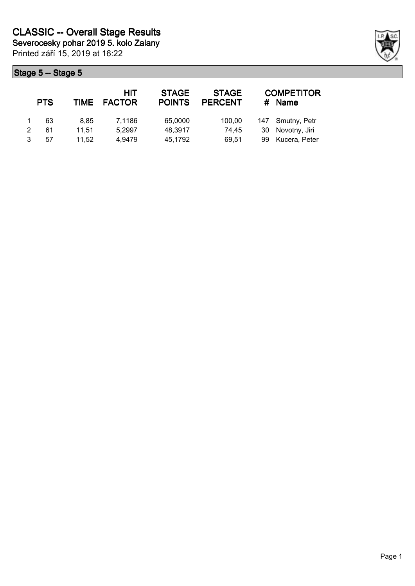Printed září 15, 2019 at 16:22 **Severocesky pohar 2019 5. kolo Zalany**

| <b>PTS</b> | <b>TIME</b> | HIT<br><b>FACTOR</b> | <b>STAGE</b><br><b>POINTS</b> | <b>STAGE</b><br><b>PERCENT</b> |    | <b>COMPETITOR</b><br><b>Name</b> |
|------------|-------------|----------------------|-------------------------------|--------------------------------|----|----------------------------------|
| 63         | 8.85        | 7.1186               | 65,0000                       | 100,00                         |    | 147 Smutny, Petr                 |
| 61         | 11.51       | 5,2997               | 48,3917                       | 74.45                          | 30 | Novotny, Jiri                    |
| 57         | 11.52       | 4,9479               | 45,1792                       | 69.51                          | 99 | Kucera, Peter                    |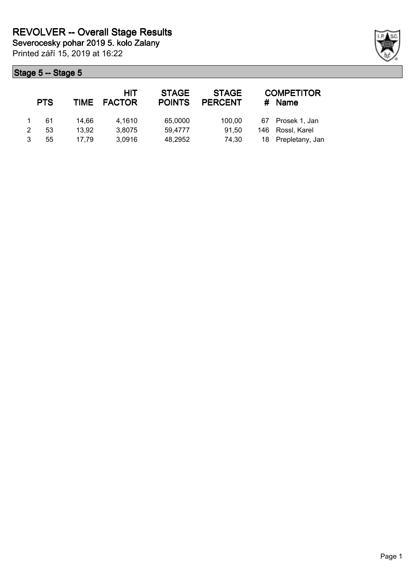|   | <b>PTS</b> | <b>TIME</b> | <b>HIT</b><br><b>FACTOR</b> | <b>STAGE</b><br><b>POINTS</b> | <b>STAGE</b><br><b>PERCENT</b> | #   | <b>COMPETITOR</b><br><b>Name</b> |
|---|------------|-------------|-----------------------------|-------------------------------|--------------------------------|-----|----------------------------------|
|   | 61         | 14.66       | 4.1610                      | 65,0000                       | 100.00                         | 67  | Prosek 1, Jan                    |
| 2 | 53         | 13.92       | 3,8075                      | 59.4777                       | 91,50                          | 146 | Rossl, Karel                     |
|   | 55         | 17.79       | 3,0916                      | 48,2952                       | 74.30                          |     | 18 Prepletany, Jan               |

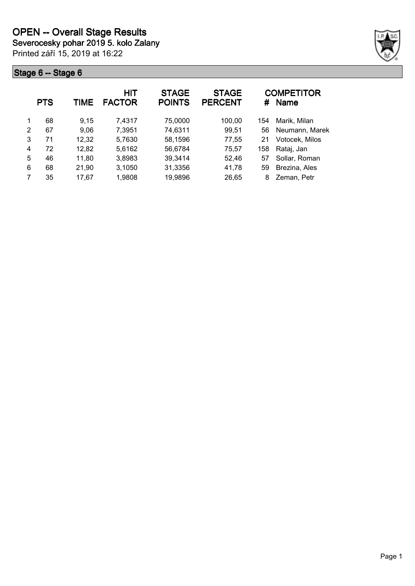Printed září 15, 2019 at 16:22 **Severocesky pohar 2019 5. kolo Zalany**



|               | <b>PTS</b> | TIME  | <b>HIT</b><br><b>FACTOR</b> | <b>STAGE</b><br><b>POINTS</b> | <b>STAGE</b><br><b>PERCENT</b> | #   | <b>COMPETITOR</b><br>Name |
|---------------|------------|-------|-----------------------------|-------------------------------|--------------------------------|-----|---------------------------|
| 1             | 68         | 9,15  | 7,4317                      | 75,0000                       | 100,00                         | 154 | Marik, Milan              |
| $\mathcal{P}$ | 67         | 9,06  | 7,3951                      | 74,6311                       | 99,51                          | 56  | Neumann, Marek            |
| 3             | 71         | 12,32 | 5,7630                      | 58,1596                       | 77,55                          | 21  | Votocek, Milos            |
| 4             | 72         | 12,82 | 5,6162                      | 56,6784                       | 75,57                          | 158 | Rataj, Jan                |
| 5             | 46         | 11,80 | 3,8983                      | 39,3414                       | 52,46                          | 57  | Sollar, Roman             |
| 6             | 68         | 21,90 | 3,1050                      | 31,3356                       | 41,78                          | 59  | Brezina, Ales             |
| 7             | 35         | 17,67 | 1,9808                      | 19,9896                       | 26,65                          | 8   | Zeman, Petr               |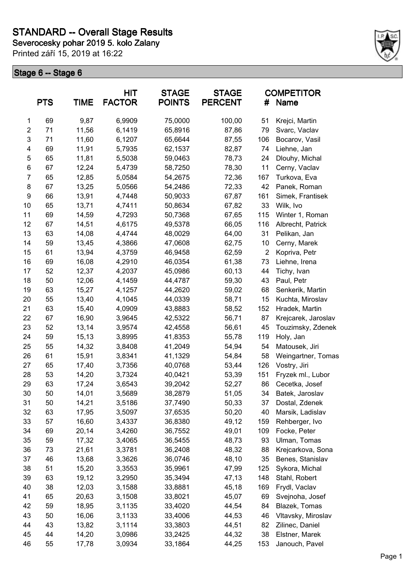**Severocesky pohar 2019 5. kolo Zalany**

Printed září 15, 2019 at 16:22



| 69<br>9,87<br>6,9909<br>75,0000<br>100,00<br>51<br>Krejci, Martin<br>1<br>$\overline{c}$<br>11,56<br>71<br>6,1419<br>65,8916<br>87,86<br>79<br>Svarc, Vaclav<br>3<br>11,60<br>6,1207<br>71<br>65,6644<br>87,55<br>106<br>Bocarov, Vasil<br>4<br>69<br>11,91<br>5,7935<br>62,1537<br>74<br>82,87<br>Liehne, Jan<br>5<br>65<br>11,81<br>5,5038<br>59,0463<br>78,73<br>24<br>Dlouhy, Michal<br>6<br>67<br>12,24<br>5,4739<br>58,7250<br>78,30<br>11<br>Cerny, Vaclav<br>$\overline{7}$<br>12,85<br>5,0584<br>54,2675<br>72,36<br>65<br>167<br>Turkova, Eva<br>8<br>67<br>13,25<br>5,0566<br>54,2486<br>72,33<br>42<br>Panek, Roman<br>9<br>66<br>13,91<br>4,7448<br>50,9033<br>67,87<br>161<br>Simek, Frantisek<br>10<br>65<br>13,71<br>4,7411<br>50,8634<br>67,82<br>33<br>Wilk, Ivo<br>4,7293<br>69<br>14,59<br>50,7368<br>67,65<br>115<br>11<br>Winter 1, Roman |  |
|-----------------------------------------------------------------------------------------------------------------------------------------------------------------------------------------------------------------------------------------------------------------------------------------------------------------------------------------------------------------------------------------------------------------------------------------------------------------------------------------------------------------------------------------------------------------------------------------------------------------------------------------------------------------------------------------------------------------------------------------------------------------------------------------------------------------------------------------------------------------|--|
|                                                                                                                                                                                                                                                                                                                                                                                                                                                                                                                                                                                                                                                                                                                                                                                                                                                                 |  |
|                                                                                                                                                                                                                                                                                                                                                                                                                                                                                                                                                                                                                                                                                                                                                                                                                                                                 |  |
|                                                                                                                                                                                                                                                                                                                                                                                                                                                                                                                                                                                                                                                                                                                                                                                                                                                                 |  |
|                                                                                                                                                                                                                                                                                                                                                                                                                                                                                                                                                                                                                                                                                                                                                                                                                                                                 |  |
|                                                                                                                                                                                                                                                                                                                                                                                                                                                                                                                                                                                                                                                                                                                                                                                                                                                                 |  |
|                                                                                                                                                                                                                                                                                                                                                                                                                                                                                                                                                                                                                                                                                                                                                                                                                                                                 |  |
|                                                                                                                                                                                                                                                                                                                                                                                                                                                                                                                                                                                                                                                                                                                                                                                                                                                                 |  |
|                                                                                                                                                                                                                                                                                                                                                                                                                                                                                                                                                                                                                                                                                                                                                                                                                                                                 |  |
|                                                                                                                                                                                                                                                                                                                                                                                                                                                                                                                                                                                                                                                                                                                                                                                                                                                                 |  |
|                                                                                                                                                                                                                                                                                                                                                                                                                                                                                                                                                                                                                                                                                                                                                                                                                                                                 |  |
|                                                                                                                                                                                                                                                                                                                                                                                                                                                                                                                                                                                                                                                                                                                                                                                                                                                                 |  |
| 67<br>4,6175<br>49,5378<br>116<br>12<br>14,51<br>66,05<br>Albrecht, Patrick                                                                                                                                                                                                                                                                                                                                                                                                                                                                                                                                                                                                                                                                                                                                                                                     |  |
| 14,08<br>13<br>63<br>4,4744<br>48,0029<br>64,00<br>31<br>Pelikan, Jan                                                                                                                                                                                                                                                                                                                                                                                                                                                                                                                                                                                                                                                                                                                                                                                           |  |
| 4,3866<br>14<br>59<br>13,45<br>47,0608<br>62,75<br>10<br>Cerny, Marek                                                                                                                                                                                                                                                                                                                                                                                                                                                                                                                                                                                                                                                                                                                                                                                           |  |
| 4,3759<br>61<br>13,94<br>46,9458<br>62,59<br>$\overline{2}$<br>Kopriva, Petr<br>15                                                                                                                                                                                                                                                                                                                                                                                                                                                                                                                                                                                                                                                                                                                                                                              |  |
| 16<br>69<br>16,08<br>4,2910<br>46,0354<br>61,38<br>73<br>Liehne, Irena                                                                                                                                                                                                                                                                                                                                                                                                                                                                                                                                                                                                                                                                                                                                                                                          |  |
| 52<br>17<br>12,37<br>4,2037<br>45,0986<br>60,13<br>44<br>Tichy, Ivan                                                                                                                                                                                                                                                                                                                                                                                                                                                                                                                                                                                                                                                                                                                                                                                            |  |
| 43<br>18<br>50<br>12,06<br>4,1459<br>44,4787<br>59,30<br>Paul, Petr                                                                                                                                                                                                                                                                                                                                                                                                                                                                                                                                                                                                                                                                                                                                                                                             |  |
| 15,27<br>19<br>63<br>4,1257<br>44,2620<br>59,02<br>68<br>Senkerik, Martin                                                                                                                                                                                                                                                                                                                                                                                                                                                                                                                                                                                                                                                                                                                                                                                       |  |
| 55<br>13,40<br>4,1045<br>44,0339<br>58,71<br>15<br>20<br>Kuchta, Miroslav                                                                                                                                                                                                                                                                                                                                                                                                                                                                                                                                                                                                                                                                                                                                                                                       |  |
| 63<br>15,40<br>4,0909<br>58,52<br>152<br>21<br>43,8883<br>Hradek, Martin                                                                                                                                                                                                                                                                                                                                                                                                                                                                                                                                                                                                                                                                                                                                                                                        |  |
| 16,90<br>22<br>67<br>3,9645<br>42,5322<br>56,71<br>87<br>Krejcarek, Jaroslav                                                                                                                                                                                                                                                                                                                                                                                                                                                                                                                                                                                                                                                                                                                                                                                    |  |
| 52<br>13,14<br>3,9574<br>42,4558<br>56,61<br>45<br>23<br>Touzimsky, Zdenek                                                                                                                                                                                                                                                                                                                                                                                                                                                                                                                                                                                                                                                                                                                                                                                      |  |
| 59<br>15,13<br>3,8995<br>41,8353<br>55,78<br>119<br>Holy, Jan<br>24                                                                                                                                                                                                                                                                                                                                                                                                                                                                                                                                                                                                                                                                                                                                                                                             |  |
| 25<br>55<br>14,32<br>3,8408<br>41,2049<br>54,94<br>54<br>Matousek, Jiri                                                                                                                                                                                                                                                                                                                                                                                                                                                                                                                                                                                                                                                                                                                                                                                         |  |
| 61<br>15,91<br>3,8341<br>41,1329<br>54,84<br>58<br>26<br>Weingartner, Tomas                                                                                                                                                                                                                                                                                                                                                                                                                                                                                                                                                                                                                                                                                                                                                                                     |  |
| 27<br>17,40<br>3,7356<br>40,0768<br>53,44<br>126<br>Vostry, Jiri<br>65                                                                                                                                                                                                                                                                                                                                                                                                                                                                                                                                                                                                                                                                                                                                                                                          |  |
| 53<br>53,39<br>151<br>28<br>14,20<br>3,7324<br>40,0421<br>Fryzek ml., Lubor                                                                                                                                                                                                                                                                                                                                                                                                                                                                                                                                                                                                                                                                                                                                                                                     |  |
| 29<br>63<br>17,24<br>3,6543<br>39,2042<br>52,27<br>86<br>Cecetka, Josef                                                                                                                                                                                                                                                                                                                                                                                                                                                                                                                                                                                                                                                                                                                                                                                         |  |
| 50<br>34<br>30<br>14,01<br>3,5689<br>38,2879<br>51,05<br>Batek, Jaroslav                                                                                                                                                                                                                                                                                                                                                                                                                                                                                                                                                                                                                                                                                                                                                                                        |  |
| 31<br>50<br>14,21<br>3,5186<br>37,7490<br>50,33<br>37<br>Dostal, Zdenek                                                                                                                                                                                                                                                                                                                                                                                                                                                                                                                                                                                                                                                                                                                                                                                         |  |
| 63<br>17,95<br>40<br>32<br>3,5097<br>37,6535<br>50,20<br>Marsik, Ladislav                                                                                                                                                                                                                                                                                                                                                                                                                                                                                                                                                                                                                                                                                                                                                                                       |  |
| 57<br>33<br>16,60<br>36,8380<br>49,12<br>159<br>Rehberger, Ivo<br>3,4337                                                                                                                                                                                                                                                                                                                                                                                                                                                                                                                                                                                                                                                                                                                                                                                        |  |
| 34<br>69<br>20,14<br>3,4260<br>49,01<br>109<br>Focke, Peter<br>36,7552                                                                                                                                                                                                                                                                                                                                                                                                                                                                                                                                                                                                                                                                                                                                                                                          |  |
| 59<br>17,32<br>35<br>3,4065<br>36,5455<br>48,73<br>93<br>Ulman, Tomas                                                                                                                                                                                                                                                                                                                                                                                                                                                                                                                                                                                                                                                                                                                                                                                           |  |
| 73<br>36<br>21,61<br>3,3781<br>36,2408<br>48,32<br>88<br>Krejcarkova, Sona                                                                                                                                                                                                                                                                                                                                                                                                                                                                                                                                                                                                                                                                                                                                                                                      |  |
| 37<br>46<br>13,68<br>3,3626<br>36,0746<br>48,10<br>35<br>Benes, Stanislav                                                                                                                                                                                                                                                                                                                                                                                                                                                                                                                                                                                                                                                                                                                                                                                       |  |
| 51<br>38<br>15,20<br>3,3553<br>35,9961<br>47,99<br>125<br>Sykora, Michal                                                                                                                                                                                                                                                                                                                                                                                                                                                                                                                                                                                                                                                                                                                                                                                        |  |
| 39<br>63<br>19,12<br>3,2950<br>35,3494<br>47,13<br>148<br>Stahl, Robert                                                                                                                                                                                                                                                                                                                                                                                                                                                                                                                                                                                                                                                                                                                                                                                         |  |
| 40<br>38<br>12,03<br>3,1588<br>33,8881<br>45,18<br>169<br>Frydl, Vaclav                                                                                                                                                                                                                                                                                                                                                                                                                                                                                                                                                                                                                                                                                                                                                                                         |  |
| 65<br>45,07<br>69<br>41<br>20,63<br>3,1508<br>33,8021<br>Svejnoha, Josef                                                                                                                                                                                                                                                                                                                                                                                                                                                                                                                                                                                                                                                                                                                                                                                        |  |
| 42<br>59<br>18,95<br>3,1135<br>44,54<br>84<br>Blazek, Tomas<br>33,4020                                                                                                                                                                                                                                                                                                                                                                                                                                                                                                                                                                                                                                                                                                                                                                                          |  |
| 50<br>43<br>16,06<br>3,1133<br>33,4006<br>44,53<br>46<br>Vltavsky, Miroslav                                                                                                                                                                                                                                                                                                                                                                                                                                                                                                                                                                                                                                                                                                                                                                                     |  |
| 43<br>82<br>44<br>13,82<br>3,1114<br>33,3803<br>44,51<br>Zilinec, Daniel                                                                                                                                                                                                                                                                                                                                                                                                                                                                                                                                                                                                                                                                                                                                                                                        |  |
| 38<br>45<br>44<br>14,20<br>3,0986<br>33,2425<br>44,32<br>Elstner, Marek                                                                                                                                                                                                                                                                                                                                                                                                                                                                                                                                                                                                                                                                                                                                                                                         |  |
| 46<br>55<br>17,78<br>3,0934<br>33,1864<br>44,25<br>153<br>Janouch, Pavel                                                                                                                                                                                                                                                                                                                                                                                                                                                                                                                                                                                                                                                                                                                                                                                        |  |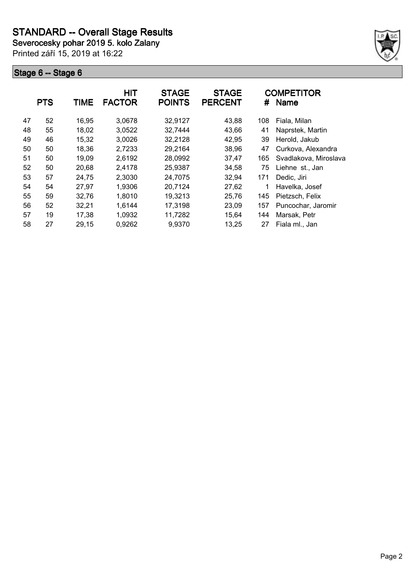**Severocesky pohar 2019 5. kolo Zalany**

Printed září 15, 2019 at 16:22



|    | <b>PTS</b> | TIME  | HIT<br><b>FACTOR</b> | <b>STAGE</b><br><b>POINTS</b> | <b>STAGE</b><br><b>PERCENT</b> | #   | <b>COMPETITOR</b><br><b>Name</b> |
|----|------------|-------|----------------------|-------------------------------|--------------------------------|-----|----------------------------------|
| 47 | 52         | 16,95 | 3,0678               | 32,9127                       | 43,88                          | 108 | Fiala, Milan                     |
| 48 | 55         | 18,02 | 3,0522               | 32,7444                       | 43,66                          | 41  | Naprstek, Martin                 |
| 49 | 46         | 15,32 | 3,0026               | 32,2128                       | 42,95                          | 39  | Herold, Jakub                    |
| 50 | 50         | 18,36 | 2,7233               | 29,2164                       | 38,96                          | 47  | Curkova, Alexandra               |
| 51 | 50         | 19,09 | 2,6192               | 28,0992                       | 37,47                          | 165 | Svadlakova, Miroslava            |
| 52 | 50         | 20,68 | 2,4178               | 25,9387                       | 34,58                          | 75  | Liehne st., Jan                  |
| 53 | 57         | 24,75 | 2,3030               | 24,7075                       | 32,94                          | 171 | Dedic, Jiri                      |
| 54 | 54         | 27,97 | 1,9306               | 20,7124                       | 27,62                          | 1   | Havelka, Josef                   |
| 55 | 59         | 32,76 | 1,8010               | 19,3213                       | 25,76                          | 145 | Pietzsch, Felix                  |
| 56 | 52         | 32,21 | 1,6144               | 17,3198                       | 23,09                          | 157 | Puncochar, Jaromir               |
| 57 | 19         | 17,38 | 1,0932               | 11,7282                       | 15,64                          | 144 | Marsak, Petr                     |
| 58 | 27         | 29,15 | 0,9262               | 9,9370                        | 13,25                          | 27  | Fiala ml., Jan                   |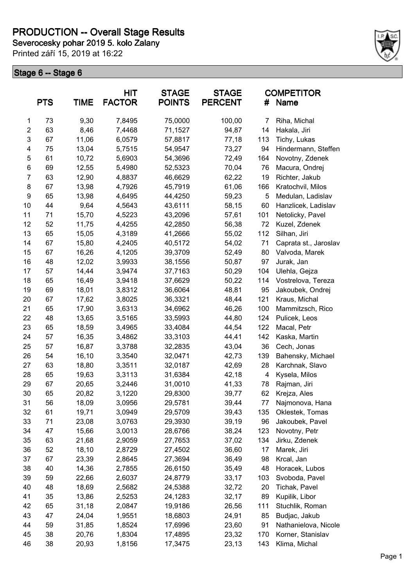# **PRODUCTION -- Overall Stage Results**

**Severocesky pohar 2019 5. kolo Zalany**

Printed září 15, 2019 at 16:22



|                | <b>PTS</b> | <b>TIME</b> | HIT<br><b>FACTOR</b> | <b>STAGE</b><br><b>POINTS</b> | <b>STAGE</b><br><b>PERCENT</b> | #   | <b>COMPETITOR</b><br>Name |
|----------------|------------|-------------|----------------------|-------------------------------|--------------------------------|-----|---------------------------|
| $\mathbf{1}$   | 73         | 9,30        | 7,8495               | 75,0000                       | 100,00                         | 7   | Riha, Michal              |
| $\overline{2}$ | 63         | 8,46        | 7,4468               | 71,1527                       | 94,87                          | 14  | Hakala, Jiri              |
| 3              | 67         | 11,06       | 6,0579               | 57,8817                       | 77,18                          | 113 | Tichy, Lukas              |
| 4              | 75         | 13,04       | 5,7515               | 54,9547                       | 73,27                          | 94  | Hindermann, Steffen       |
| 5              | 61         | 10,72       | 5,6903               | 54,3696                       | 72,49                          | 164 | Novotny, Zdenek           |
| 6              | 69         | 12,55       | 5,4980               | 52,5323                       | 70,04                          | 76  | Macura, Ondrej            |
| $\overline{7}$ | 63         | 12,90       | 4,8837               | 46,6629                       | 62,22                          | 19  | Richter, Jakub            |
| 8              | 67         | 13,98       | 4,7926               | 45,7919                       | 61,06                          | 166 | Kratochvil, Milos         |
| 9              | 65         | 13,98       | 4,6495               | 44,4250                       | 59,23                          | 5   | Medulan, Ladislav         |
| 10             | 44         | 9,64        | 4,5643               | 43,6111                       | 58,15                          | 60  | Hanzlicek, Ladislav       |
| 11             | 71         | 15,70       | 4,5223               | 43,2096                       | 57,61                          | 101 | Netolicky, Pavel          |
| 12             | 52         | 11,75       | 4,4255               | 42,2850                       | 56,38                          | 72  | Kuzel, Zdenek             |
| 13             | 65         | 15,05       | 4,3189               | 41,2666                       | 55,02                          | 112 | Silhan, Jiri              |
| 14             | 67         | 15,80       | 4,2405               | 40,5172                       | 54,02                          | 71  | Caprata st., Jaroslav     |
| 15             | 67         | 16,26       | 4,1205               | 39,3709                       | 52,49                          | 80  | Valvoda, Marek            |
| 16             | 48         | 12,02       | 3,9933               | 38,1556                       | 50,87                          | 97  | Jurak, Jan                |
| 17             | 57         | 14,44       | 3,9474               | 37,7163                       | 50,29                          | 104 | Ulehla, Gejza             |
| 18             | 65         | 16,49       | 3,9418               | 37,6629                       | 50,22                          | 114 | Vostrelova, Tereza        |
| 19             | 69         | 18,01       | 3,8312               | 36,6064                       | 48,81                          | 95  | Jakoubek, Ondrej          |
| 20             | 67         | 17,62       | 3,8025               | 36,3321                       | 48,44                          | 121 | Kraus, Michal             |
| 21             | 65         | 17,90       | 3,6313               | 34,6962                       | 46,26                          | 100 | Mammitzsch, Rico          |
| 22             | 48         | 13,65       | 3,5165               | 33,5993                       | 44,80                          | 124 | Pulicek, Leos             |
| 23             | 65         | 18,59       | 3,4965               | 33,4084                       | 44,54                          | 122 | Macal, Petr               |
| 24             | 57         | 16,35       | 3,4862               | 33,3103                       | 44,41                          | 142 | Kaska, Martin             |
| 25             | 57         | 16,87       | 3,3788               | 32,2835                       | 43,04                          | 36  | Cech, Jonas               |
| 26             | 54         | 16,10       | 3,3540               | 32,0471                       | 42,73                          | 139 | Bahensky, Michael         |
| 27             | 63         | 18,80       | 3,3511               | 32,0187                       | 42,69                          | 28  | Karchnak, Slavo           |
| 28             | 65         | 19,63       | 3,3113               | 31,6384                       | 42,18                          | 4   | Kysela, Milos             |
| 29             | 67         | 20,65       | 3,2446               | 31,0010                       | 41,33                          | 78  | Rajman, Jiri              |
| 30             | 65         | 20,82       | 3,1220               | 29,8300                       | 39,77                          | 62  | Krejza, Ales              |
| 31             | 56         | 18,09       | 3,0956               | 29,5781                       | 39,44                          | 77  | Najmonova, Hana           |
| 32             | 61         | 19,71       | 3,0949               | 29,5709                       | 39,43                          | 135 | Oklestek, Tomas           |
| 33             | 71         | 23,08       | 3,0763               | 29,3930                       | 39,19                          | 96  | Jakoubek, Pavel           |
| 34             | 47         | 15,66       | 3,0013               | 28,6766                       | 38,24                          | 123 | Novotny, Petr             |
| 35             | 63         | 21,68       | 2,9059               | 27,7653                       | 37,02                          | 134 | Jirku, Zdenek             |
| 36             | 52         | 18,10       | 2,8729               | 27,4502                       | 36,60                          | 17  | Marek, Jiri               |
| 37             | 67         | 23,39       | 2,8645               | 27,3694                       | 36,49                          | 98  | Krcal, Jan                |
| 38             | 40         | 14,36       | 2,7855               | 26,6150                       | 35,49                          | 48  | Horacek, Lubos            |
| 39             | 59         | 22,66       | 2,6037               | 24,8779                       | 33,17                          | 103 | Svoboda, Pavel            |
| 40             | 48         | 18,69       | 2,5682               | 24,5388                       | 32,72                          | 20  | Tichak, Pavel             |
| 41             | 35         | 13,86       | 2,5253               | 24,1283                       | 32,17                          | 89  | Kupilik, Libor            |
| 42             | 65         | 31,18       | 2,0847               | 19,9186                       | 26,56                          | 111 | Stuchlik, Roman           |
| 43             | 47         | 24,04       | 1,9551               | 18,6803                       | 24,91                          | 85  | Budjac, Jakub             |
| 44             | 59         | 31,85       | 1,8524               | 17,6996                       | 23,60                          | 91  | Nathanielova, Nicole      |
| 45             | 38         | 20,76       | 1,8304               | 17,4895                       | 23,32                          | 170 | Korner, Stanislav         |
| 46             | 38         | 20,93       | 1,8156               | 17,3475                       | 23,13                          | 143 | Klima, Michal             |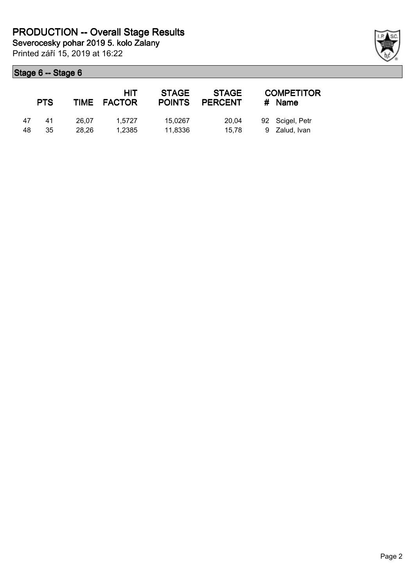|    | <b>PTS</b> |       | HIT<br>TIME FACTOR | <b>STAGE</b><br><b>POINTS</b> | <b>STAGE</b><br><b>PERCENT</b> | <b>COMPETITOR</b><br># Name |
|----|------------|-------|--------------------|-------------------------------|--------------------------------|-----------------------------|
| 47 | 41         | 26.07 | 1.5727             | 15.0267                       | 20.04                          | 92 Scigel, Petr             |
| 48 | 35         | 28.26 | 1.2385             | 11.8336                       | 15.78                          | 9 Zalud, Ivan               |

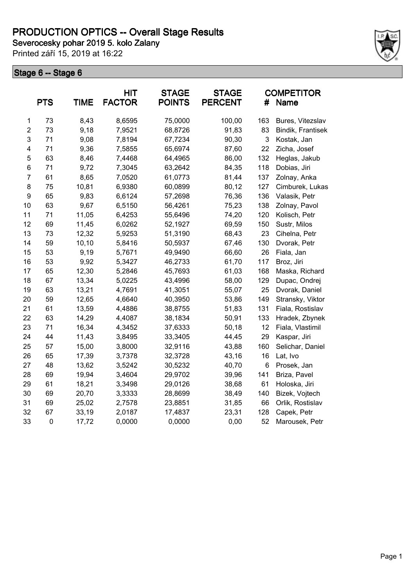**Severocesky pohar 2019 5. kolo Zalany**

Printed září 15, 2019 at 16:22



|                  | <b>PTS</b> | <b>TIME</b> | HIT<br><b>FACTOR</b> | <b>STAGE</b><br><b>POINTS</b> | <b>STAGE</b><br><b>PERCENT</b> | #   | <b>COMPETITOR</b><br><b>Name</b> |
|------------------|------------|-------------|----------------------|-------------------------------|--------------------------------|-----|----------------------------------|
| 1                | 73         | 8,43        | 8,6595               | 75,0000                       | 100,00                         | 163 | Bures, Vitezslav                 |
| $\overline{c}$   | 73         | 9,18        | 7,9521               | 68,8726                       | 91,83                          | 83  | Bindik, Frantisek                |
| 3                | 71         | 9,08        | 7,8194               | 67,7234                       | 90,30                          | 3   | Kostak, Jan                      |
| 4                | 71         | 9,36        | 7,5855               | 65,6974                       | 87,60                          | 22  | Zicha, Josef                     |
| 5                | 63         | 8,46        | 7,4468               | 64,4965                       | 86,00                          | 132 | Heglas, Jakub                    |
| 6                | 71         | 9,72        | 7,3045               | 63,2642                       | 84,35                          | 118 | Dobias, Jiri                     |
| $\overline{7}$   | 61         | 8,65        | 7,0520               | 61,0773                       | 81,44                          | 137 | Zolnay, Anka                     |
| 8                | 75         | 10,81       | 6,9380               | 60,0899                       | 80,12                          | 127 | Cimburek, Lukas                  |
| $\boldsymbol{9}$ | 65         | 9,83        | 6,6124               | 57,2698                       | 76,36                          | 136 | Valasik, Petr                    |
| 10               | 63         | 9,67        | 6,5150               | 56,4261                       | 75,23                          | 138 | Zolnay, Pavol                    |
| 11               | 71         | 11,05       | 6,4253               | 55,6496                       | 74,20                          | 120 | Kolisch, Petr                    |
| 12               | 69         | 11,45       | 6,0262               | 52,1927                       | 69,59                          | 150 | Sustr, Milos                     |
| 13               | 73         | 12,32       | 5,9253               | 51,3190                       | 68,43                          | 23  | Cihelna, Petr                    |
| 14               | 59         | 10,10       | 5,8416               | 50,5937                       | 67,46                          | 130 | Dvorak, Petr                     |
| 15               | 53         | 9,19        | 5,7671               | 49,9490                       | 66,60                          | 26  | Fiala, Jan                       |
| 16               | 53         | 9,92        | 5,3427               | 46,2733                       | 61,70                          | 117 | Broz, Jiri                       |
| 17               | 65         | 12,30       | 5,2846               | 45,7693                       | 61,03                          | 168 | Maska, Richard                   |
| 18               | 67         | 13,34       | 5,0225               | 43,4996                       | 58,00                          | 129 | Dupac, Ondrej                    |
| 19               | 63         | 13,21       | 4,7691               | 41,3051                       | 55,07                          | 25  | Dvorak, Daniel                   |
| 20               | 59         | 12,65       | 4,6640               | 40,3950                       | 53,86                          | 149 | Stransky, Viktor                 |
| 21               | 61         | 13,59       | 4,4886               | 38,8755                       | 51,83                          | 131 | Fiala, Rostislav                 |
| 22               | 63         | 14,29       | 4,4087               | 38,1834                       | 50,91                          | 133 | Hradek, Zbynek                   |
| 23               | 71         | 16,34       | 4,3452               | 37,6333                       | 50,18                          | 12  | Fiala, Vlastimil                 |
| 24               | 44         | 11,43       | 3,8495               | 33,3405                       | 44,45                          | 29  | Kaspar, Jiri                     |
| 25               | 57         | 15,00       | 3,8000               | 32,9116                       | 43,88                          | 160 | Selichar, Daniel                 |
| 26               | 65         | 17,39       | 3,7378               | 32,3728                       | 43,16                          | 16  | Lat, Ivo                         |
| 27               | 48         | 13,62       | 3,5242               | 30,5232                       | 40,70                          | 6   | Prosek, Jan                      |
| 28               | 69         | 19,94       | 3,4604               | 29,9702                       | 39,96                          | 141 | Briza, Pavel                     |
| 29               | 61         | 18,21       | 3,3498               | 29,0126                       | 38,68                          | 61  | Holoska, Jiri                    |
| 30               | 69         | 20,70       | 3,3333               | 28,8699                       | 38,49                          | 140 | Bizek, Vojtech                   |
| 31               | 69         | 25,02       | 2,7578               | 23,8851                       | 31,85                          | 66  | Orlik, Rostislav                 |
| 32               | 67         | 33,19       | 2,0187               | 17,4837                       | 23,31                          | 128 | Capek, Petr                      |
| 33               | $\pmb{0}$  | 17,72       | 0,0000               | 0,0000                        | 0,00                           | 52  | Marousek, Petr                   |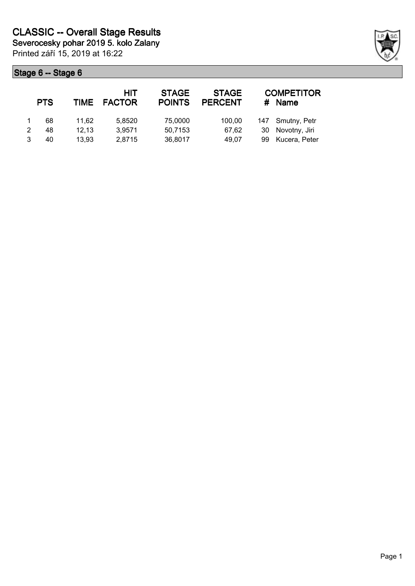Printed září 15, 2019 at 16:22 **Severocesky pohar 2019 5. kolo Zalany**

| <b>PTS</b> | <b>TIME</b> | HIT<br><b>FACTOR</b> | <b>STAGE</b><br><b>POINTS</b> | <b>STAGE</b><br><b>PERCENT</b> |    | <b>COMPETITOR</b><br><b>Name</b> |
|------------|-------------|----------------------|-------------------------------|--------------------------------|----|----------------------------------|
| 68         | 11.62       | 5,8520               | 75,0000                       | 100.00                         |    | 147 Smutny, Petr                 |
| 48         | 12.13       | 3,9571               | 50,7153                       | 67.62                          | 30 | Novotny, Jiri                    |
| 40         | 13.93       | 2,8715               | 36,8017                       | 49.07                          | 99 | Kucera, Peter                    |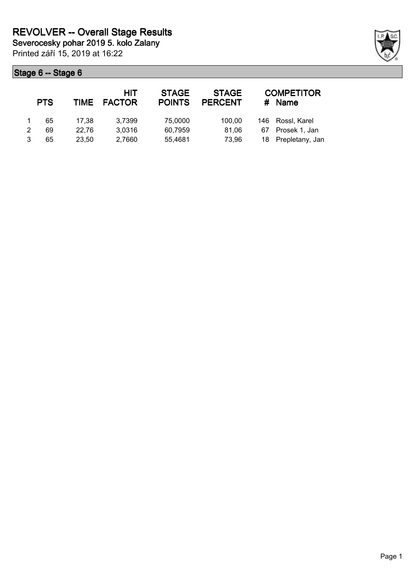|   | <b>PTS</b> |       | HIT<br>TIME FACTOR | <b>STAGE</b><br><b>POINTS</b> | <b>STAGE</b><br><b>PERCENT</b> | #  | <b>COMPETITOR</b><br><b>Name</b> |
|---|------------|-------|--------------------|-------------------------------|--------------------------------|----|----------------------------------|
|   | 65         | 17.38 | 3,7399             | 75,0000                       | 100.00                         |    | 146 Rossl, Karel                 |
| 2 | 69         | 22.76 | 3,0316             | 60,7959                       | 81.06                          | 67 | Prosek 1, Jan                    |
|   | 65         | 23.50 | 2,7660             | 55,4681                       | 73.96                          |    | 18 Prepletany, Jan               |

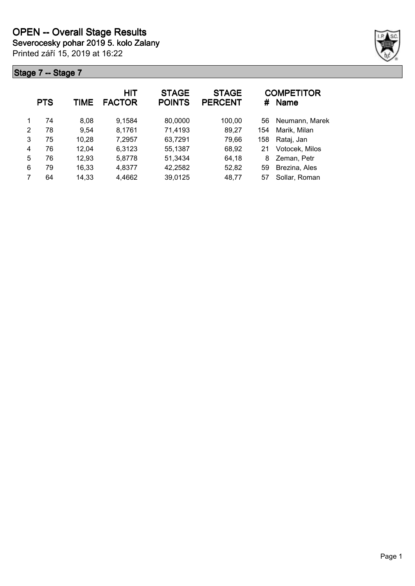Printed září 15, 2019 at 16:22 **Severocesky pohar 2019 5. kolo Zalany**



|   | <b>PTS</b> | TIME  | HIT<br><b>FACTOR</b> | <b>STAGE</b><br><b>POINTS</b> | <b>STAGE</b><br><b>PERCENT</b> | #   | <b>COMPETITOR</b><br><b>Name</b> |
|---|------------|-------|----------------------|-------------------------------|--------------------------------|-----|----------------------------------|
| 1 | 74         | 8,08  | 9,1584               | 80,0000                       | 100,00                         | 56  | Neumann, Marek                   |
| 2 | 78         | 9,54  | 8,1761               | 71,4193                       | 89,27                          | 154 | Marik, Milan                     |
| 3 | 75         | 10,28 | 7,2957               | 63,7291                       | 79,66                          | 158 | Rataj, Jan                       |
| 4 | 76         | 12,04 | 6,3123               | 55,1387                       | 68,92                          | 21  | Votocek, Milos                   |
| 5 | 76         | 12,93 | 5,8778               | 51,3434                       | 64,18                          | 8   | Zeman, Petr                      |
| 6 | 79         | 16,33 | 4,8377               | 42,2582                       | 52,82                          | 59  | Brezina, Ales                    |
|   | 64         | 14,33 | 4,4662               | 39,0125                       | 48,77                          | 57  | Sollar, Roman                    |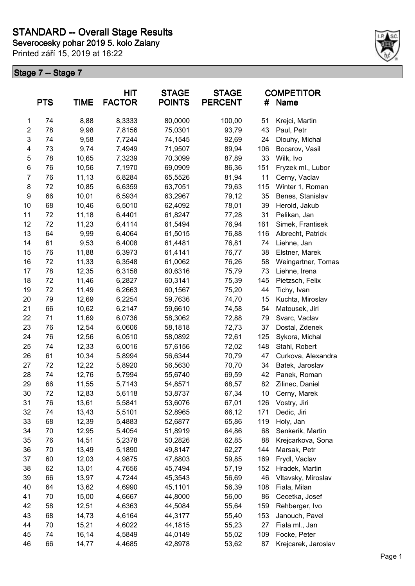**Severocesky pohar 2019 5. kolo Zalany**

Printed září 15, 2019 at 16:22



|                  | <b>PTS</b> | <b>TIME</b> | <b>HIT</b><br><b>FACTOR</b> | <b>STAGE</b><br><b>POINTS</b> | <b>STAGE</b><br><b>PERCENT</b> | #   | <b>COMPETITOR</b><br>Name |
|------------------|------------|-------------|-----------------------------|-------------------------------|--------------------------------|-----|---------------------------|
| 1                | 74         | 8,88        | 8,3333                      | 80,0000                       | 100,00                         | 51  | Krejci, Martin            |
| $\boldsymbol{2}$ | 78         | 9,98        | 7,8156                      | 75,0301                       | 93,79                          | 43  | Paul, Petr                |
| 3                | 74         | 9,58        | 7,7244                      | 74,1545                       | 92,69                          | 24  | Dlouhy, Michal            |
| 4                | 73         | 9,74        | 7,4949                      | 71,9507                       | 89,94                          | 106 | Bocarov, Vasil            |
| 5                | 78         | 10,65       | 7,3239                      | 70,3099                       | 87,89                          | 33  | Wilk, Ivo                 |
| $\,6$            | 76         | 10,56       | 7,1970                      | 69,0909                       | 86,36                          | 151 | Fryzek ml., Lubor         |
| $\overline{7}$   | 76         | 11,13       | 6,8284                      | 65,5526                       | 81,94                          | 11  | Cerny, Vaclav             |
| 8                | 72         | 10,85       | 6,6359                      | 63,7051                       | 79,63                          | 115 | Winter 1, Roman           |
| 9                | 66         | 10,01       | 6,5934                      | 63,2967                       | 79,12                          | 35  | Benes, Stanislav          |
| 10               | 68         | 10,46       | 6,5010                      | 62,4092                       | 78,01                          | 39  | Herold, Jakub             |
| 11               | 72         | 11,18       | 6,4401                      | 61,8247                       | 77,28                          | 31  | Pelikan, Jan              |
| 12               | 72         | 11,23       | 6,4114                      | 61,5494                       | 76,94                          | 161 | Simek, Frantisek          |
| 13               | 64         | 9,99        | 6,4064                      | 61,5015                       | 76,88                          | 116 | Albrecht, Patrick         |
| 14               | 61         | 9,53        | 6,4008                      | 61,4481                       | 76,81                          | 74  | Liehne, Jan               |
| 15               | 76         | 11,88       | 6,3973                      | 61,4141                       | 76,77                          | 38  | Elstner, Marek            |
| 16               | 72         | 11,33       | 6,3548                      | 61,0062                       | 76,26                          | 58  | Weingartner, Tomas        |
| 17               | 78         | 12,35       | 6,3158                      | 60,6316                       | 75,79                          | 73  | Liehne, Irena             |
| 18               | 72         | 11,46       | 6,2827                      | 60,3141                       | 75,39                          | 145 | Pietzsch, Felix           |
| 19               | 72         | 11,49       | 6,2663                      | 60,1567                       | 75,20                          | 44  | Tichy, Ivan               |
| 20               | 79         | 12,69       | 6,2254                      | 59,7636                       | 74,70                          | 15  | Kuchta, Miroslav          |
| 21               | 66         | 10,62       | 6,2147                      | 59,6610                       | 74,58                          | 54  | Matousek, Jiri            |
| 22               | 71         | 11,69       | 6,0736                      | 58,3062                       | 72,88                          | 79  | Svarc, Vaclav             |
| 23               | 76         | 12,54       | 6,0606                      | 58,1818                       | 72,73                          | 37  | Dostal, Zdenek            |
| 24               | 76         | 12,56       | 6,0510                      | 58,0892                       | 72,61                          | 125 | Sykora, Michal            |
| 25               | 74         | 12,33       | 6,0016                      | 57,6156                       | 72,02                          | 148 | Stahl, Robert             |
| 26               | 61         | 10,34       | 5,8994                      | 56,6344                       | 70,79                          | 47  | Curkova, Alexandra        |
| 27               | 72         | 12,22       | 5,8920                      | 56,5630                       | 70,70                          | 34  | Batek, Jaroslav           |
| 28               | 74         | 12,76       | 5,7994                      | 55,6740                       | 69,59                          | 42  | Panek, Roman              |
| 29               | 66         | 11,55       | 5,7143                      | 54,8571                       | 68,57                          | 82  | Zilinec, Daniel           |
| 30               | 72         | 12,83       | 5,6118                      | 53,8737                       | 67,34                          | 10  | Cerny, Marek              |
| 31               | 76         | 13,61       | 5,5841                      | 53,6076                       | 67,01                          | 126 | Vostry, Jiri              |
| 32               | 74         | 13,43       | 5,5101                      | 52,8965                       | 66,12                          | 171 | Dedic, Jiri               |
| 33               | 68         | 12,39       | 5,4883                      | 52,6877                       | 65,86                          | 119 | Holy, Jan                 |
| 34               | 70         | 12,95       | 5,4054                      | 51,8919                       | 64,86                          | 68  | Senkerik, Martin          |
| 35               | 76         | 14,51       | 5,2378                      | 50,2826                       | 62,85                          | 88  | Krejcarkova, Sona         |
| 36               | 70         | 13,49       | 5,1890                      | 49,8147                       | 62,27                          | 144 | Marsak, Petr              |
| 37               | 60         | 12,03       | 4,9875                      | 47,8803                       | 59,85                          | 169 | Frydl, Vaclav             |
| 38               | 62         | 13,01       | 4,7656                      | 45,7494                       | 57,19                          | 152 | Hradek, Martin            |
| 39               | 66         | 13,97       | 4,7244                      | 45,3543                       | 56,69                          | 46  | Vltavsky, Miroslav        |
| 40               | 64         | 13,62       | 4,6990                      | 45,1101                       | 56,39                          | 108 | Fiala, Milan              |
| 41               | 70         | 15,00       | 4,6667                      | 44,8000                       | 56,00                          | 86  | Cecetka, Josef            |
| 42               | 58         | 12,51       | 4,6363                      | 44,5084                       | 55,64                          | 159 | Rehberger, Ivo            |
| 43               | 68         | 14,73       | 4,6164                      | 44,3177                       | 55,40                          | 153 | Janouch, Pavel            |
| 44               | 70         | 15,21       | 4,6022                      | 44,1815                       | 55,23                          | 27  | Fiala ml., Jan            |
| 45               | 74         | 16,14       | 4,5849                      | 44,0149                       | 55,02                          | 109 | Focke, Peter              |
| 46               | 66         | 14,77       | 4,4685                      | 42,8978                       | 53,62                          | 87  | Krejcarek, Jaroslav       |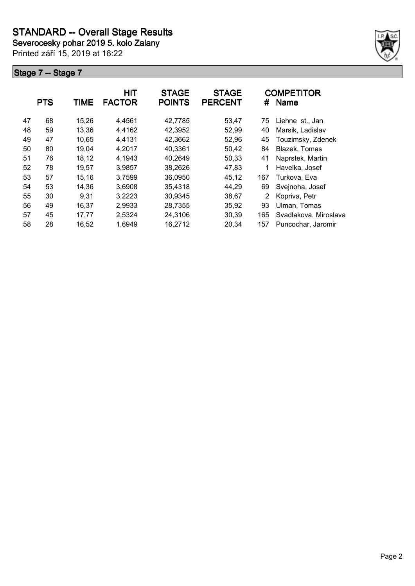**Severocesky pohar 2019 5. kolo Zalany**

Printed září 15, 2019 at 16:22



|    | <b>PTS</b> | <b>TIME</b> | HIT<br><b>FACTOR</b> | <b>STAGE</b><br><b>POINTS</b> | <b>STAGE</b><br><b>PERCENT</b> | #   | <b>COMPETITOR</b><br><b>Name</b> |
|----|------------|-------------|----------------------|-------------------------------|--------------------------------|-----|----------------------------------|
| 47 | 68         | 15,26       | 4,4561               | 42,7785                       | 53,47                          | 75  | Liehne st., Jan                  |
| 48 | 59         | 13,36       | 4,4162               | 42,3952                       | 52,99                          | 40  | Marsik, Ladislav                 |
| 49 | 47         | 10,65       | 4,4131               | 42,3662                       | 52,96                          | 45  | Touzimsky, Zdenek                |
| 50 | 80         | 19,04       | 4,2017               | 40,3361                       | 50,42                          | 84  | Blazek, Tomas                    |
| 51 | 76         | 18,12       | 4,1943               | 40,2649                       | 50,33                          | 41  | Naprstek, Martin                 |
| 52 | 78         | 19,57       | 3,9857               | 38,2626                       | 47,83                          |     | Havelka, Josef                   |
| 53 | 57         | 15,16       | 3,7599               | 36,0950                       | 45,12                          | 167 | Turkova, Eva                     |
| 54 | 53         | 14,36       | 3,6908               | 35,4318                       | 44,29                          | 69  | Svejnoha, Josef                  |
| 55 | 30         | 9,31        | 3,2223               | 30,9345                       | 38,67                          | 2   | Kopriva, Petr                    |
| 56 | 49         | 16.37       | 2,9933               | 28,7355                       | 35,92                          | 93  | Ulman, Tomas                     |
| 57 | 45         | 17,77       | 2,5324               | 24,3106                       | 30,39                          | 165 | Svadlakova, Miroslava            |
| 58 | 28         | 16,52       | 1,6949               | 16,2712                       | 20,34                          | 157 | Puncochar, Jaromir               |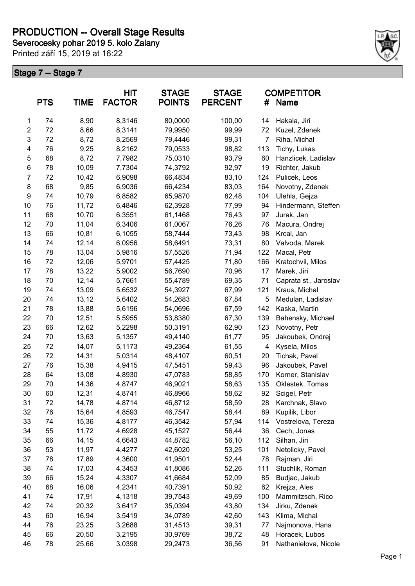## **PRODUCTION -- Overall Stage Results**

**Severocesky pohar 2019 5. kolo Zalany**

Printed září 15, 2019 at 16:22



|                  | <b>PTS</b> | <b>TIME</b> | HIT<br><b>FACTOR</b> | <b>STAGE</b><br><b>POINTS</b> | <b>STAGE</b><br><b>PERCENT</b> | #              | <b>COMPETITOR</b><br>Name |
|------------------|------------|-------------|----------------------|-------------------------------|--------------------------------|----------------|---------------------------|
| $\mathbf{1}$     | 74         | 8,90        | 8,3146               | 80,0000                       | 100,00                         | 14             | Hakala, Jiri              |
| $\boldsymbol{2}$ | 72         | 8,66        | 8,3141               | 79,9950                       | 99,99                          | 72             | Kuzel, Zdenek             |
| 3                | 72         | 8,72        | 8,2569               | 79,4446                       | 99,31                          | $\overline{7}$ | Riha, Michal              |
| 4                | 76         | 9,25        | 8,2162               | 79,0533                       | 98,82                          | 113            | Tichy, Lukas              |
| 5                | 68         | 8,72        | 7,7982               | 75,0310                       | 93,79                          | 60             | Hanzlicek, Ladislav       |
| $\,6$            | 78         | 10,09       | 7,7304               | 74,3792                       | 92,97                          | 19             | Richter, Jakub            |
| $\boldsymbol{7}$ | 72         | 10,42       | 6,9098               | 66,4834                       | 83,10                          | 124            | Pulicek, Leos             |
| 8                | 68         | 9,85        | 6,9036               | 66,4234                       | 83,03                          | 164            | Novotny, Zdenek           |
| 9                | 74         | 10,79       | 6,8582               | 65,9870                       | 82,48                          | 104            | Ulehla, Gejza             |
| 10               | 76         | 11,72       | 6,4846               | 62,3928                       | 77,99                          | 94             | Hindermann, Steffen       |
| 11               | 68         | 10,70       | 6,3551               | 61,1468                       | 76,43                          | 97             | Jurak, Jan                |
| 12               | 70         | 11,04       | 6,3406               | 61,0067                       | 76,26                          | 76             | Macura, Ondrej            |
| 13               | 66         | 10,81       | 6,1055               | 58,7444                       | 73,43                          | 98             | Krcal, Jan                |
| 14               | 74         | 12,14       | 6,0956               | 58,6491                       | 73,31                          | 80             | Valvoda, Marek            |
| 15               | 78         | 13,04       | 5,9816               | 57,5526                       | 71,94                          | 122            | Macal, Petr               |
| 16               | 72         | 12,06       | 5,9701               | 57,4425                       | 71,80                          | 166            | Kratochvil, Milos         |
| 17               | 78         | 13,22       | 5,9002               | 56,7690                       | 70,96                          | 17             | Marek, Jiri               |
| 18               | 70         | 12,14       | 5,7661               | 55,4789                       | 69,35                          | 71             | Caprata st., Jaroslav     |
| 19               | 74         | 13,09       | 5,6532               | 54,3927                       | 67,99                          | 121            | Kraus, Michal             |
| 20               | 74         | 13,12       | 5,6402               | 54,2683                       | 67,84                          | 5              | Medulan, Ladislav         |
| 21               | 78         | 13,88       | 5,6196               | 54,0696                       | 67,59                          | 142            | Kaska, Martin             |
| 22               | 70         | 12,51       | 5,5955               | 53,8380                       | 67,30                          | 139            | Bahensky, Michael         |
| 23               | 66         | 12,62       | 5,2298               | 50,3191                       | 62,90                          | 123            | Novotny, Petr             |
| 24               | 70         | 13,63       | 5,1357               | 49,4140                       | 61,77                          | 95             | Jakoubek, Ondrej          |
| 25               | 72         | 14,07       | 5,1173               | 49,2364                       | 61,55                          | 4              | Kysela, Milos             |
| 26               | 72         | 14,31       | 5,0314               | 48,4107                       | 60,51                          | 20             | Tichak, Pavel             |
| 27               | 76         | 15,38       | 4,9415               | 47,5451                       | 59,43                          | 96             | Jakoubek, Pavel           |
| 28               | 64         | 13,08       | 4,8930               | 47,0783                       | 58,85                          | 170            | Korner, Stanislav         |
| 29               | 70         | 14,36       | 4,8747               | 46,9021                       | 58,63                          | 135            | Oklestek, Tomas           |
| 30               | 60         | 12,31       | 4,8741               | 46,8966                       | 58,62                          | 92             | Scigel, Petr              |
| 31               | 72         | 14,78       | 4,8714               | 46,8712                       | 58,59                          | 28             | Karchnak, Slavo           |
| 32               | 76         | 15,64       | 4,8593               | 46,7547                       | 58,44                          | 89             | Kupilik, Libor            |
| 33               | 74         | 15,36       | 4,8177               | 46,3542                       | 57,94                          | 114            | Vostrelova, Tereza        |
| 34               | 55         | 11,72       | 4,6928               | 45,1527                       | 56,44                          | 36             | Cech, Jonas               |
| 35               | 66         | 14,15       | 4,6643               | 44,8782                       | 56,10                          | 112            | Silhan, Jiri              |
| 36               | 53         | 11,97       | 4,4277               | 42,6020                       | 53,25                          | 101            | Netolicky, Pavel          |
| 37               | 78         | 17,89       | 4,3600               | 41,9501                       | 52,44                          | 78             | Rajman, Jiri              |
| 38               | 74         | 17,03       | 4,3453               | 41,8086                       | 52,26                          | 111            | Stuchlik, Roman           |
| 39               | 66         | 15,24       | 4,3307               | 41,6684                       | 52,09                          | 85             | Budjac, Jakub             |
| 40               | 68         | 16,06       | 4,2341               | 40,7391                       | 50,92                          | 62             | Krejza, Ales              |
| 41               | 74         | 17,91       | 4,1318               | 39,7543                       | 49,69                          | 100            | Mammitzsch, Rico          |
| 42               | 74         | 20,32       | 3,6417               | 35,0394                       | 43,80                          | 134            | Jirku, Zdenek             |
| 43               | 60         | 16,94       | 3,5419               | 34,0789                       | 42,60                          | 143            | Klima, Michal             |
| 44               | 76         | 23,25       | 3,2688               | 31,4513                       | 39,31                          | 77             | Najmonova, Hana           |
| 45               | 66         | 20,50       | 3,2195               | 30,9769                       | 38,72                          | 48             | Horacek, Lubos            |
| 46               | 78         | 25,66       | 3,0398               | 29,2473                       | 36,56                          | 91             | Nathanielova, Nicole      |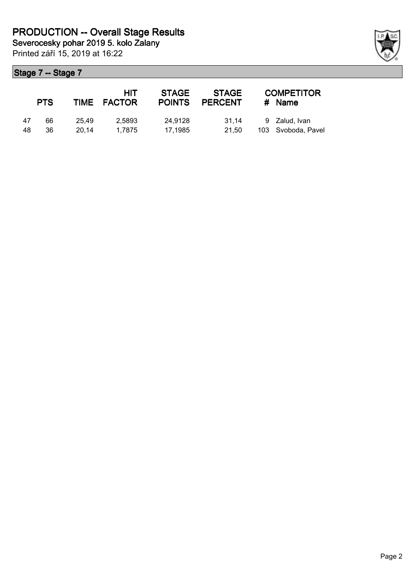|    | <b>PTS</b> |       | HIT<br>TIME FACTOR | <b>STAGE</b><br><b>POINTS</b> | STAGE<br>PERCENT | <b>COMPETITOR</b><br>$#$ Name |
|----|------------|-------|--------------------|-------------------------------|------------------|-------------------------------|
| 47 | 66         | 25.49 | 2.5893             | 24.9128                       | 31.14            | 9 Zalud, Ivan                 |
| 48 | 36         | 20.14 | 1.7875             | 17.1985                       | 21.50            | 103 Svoboda, Pavel            |

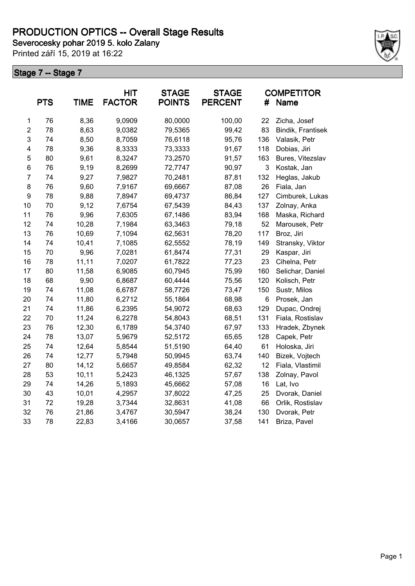**Severocesky pohar 2019 5. kolo Zalany**

Printed září 15, 2019 at 16:22



|                | <b>PTS</b> | <b>TIME</b> | <b>HIT</b><br><b>FACTOR</b> | <b>STAGE</b><br><b>POINTS</b> | <b>STAGE</b><br><b>PERCENT</b> | #            | <b>COMPETITOR</b><br>Name |
|----------------|------------|-------------|-----------------------------|-------------------------------|--------------------------------|--------------|---------------------------|
| $\mathbf 1$    | 76         | 8,36        | 9,0909                      | 80,0000                       | 100,00                         | 22           | Zicha, Josef              |
| $\overline{2}$ | 78         | 8,63        | 9,0382                      | 79,5365                       | 99,42                          | 83           | Bindik, Frantisek         |
| 3              | 74         | 8,50        | 8,7059                      | 76,6118                       | 95,76                          | 136          | Valasik, Petr             |
| 4              | 78         | 9,36        | 8,3333                      | 73,3333                       | 91,67                          | 118          | Dobias, Jiri              |
| 5              | 80         | 9,61        | 8,3247                      | 73,2570                       | 91,57                          | 163          | Bures, Vitezslav          |
| 6              | 76         | 9,19        | 8,2699                      | 72,7747                       | 90,97                          | $\mathbf{3}$ | Kostak, Jan               |
| $\overline{7}$ | 74         | 9,27        | 7,9827                      | 70,2481                       | 87,81                          | 132          | Heglas, Jakub             |
| 8              | 76         | 9,60        | 7,9167                      | 69,6667                       | 87,08                          | 26           | Fiala, Jan                |
| 9              | 78         | 9,88        | 7,8947                      | 69,4737                       | 86,84                          | 127          | Cimburek, Lukas           |
| 10             | 70         | 9,12        | 7,6754                      | 67,5439                       | 84,43                          | 137          | Zolnay, Anka              |
| 11             | 76         | 9,96        | 7,6305                      | 67,1486                       | 83,94                          | 168          | Maska, Richard            |
| 12             | 74         | 10,28       | 7,1984                      | 63,3463                       | 79,18                          | 52           | Marousek, Petr            |
| 13             | 76         | 10,69       | 7,1094                      | 62,5631                       | 78,20                          | 117          | Broz, Jiri                |
| 14             | 74         | 10,41       | 7,1085                      | 62,5552                       | 78,19                          | 149          | Stransky, Viktor          |
| 15             | 70         | 9,96        | 7,0281                      | 61,8474                       | 77,31                          | 29           | Kaspar, Jiri              |
| 16             | 78         | 11,11       | 7,0207                      | 61,7822                       | 77,23                          | 23           | Cihelna, Petr             |
| 17             | 80         | 11,58       | 6,9085                      | 60,7945                       | 75,99                          | 160          | Selichar, Daniel          |
| 18             | 68         | 9,90        | 6,8687                      | 60,4444                       | 75,56                          | 120          | Kolisch, Petr             |
| 19             | 74         | 11,08       | 6,6787                      | 58,7726                       | 73,47                          | 150          | Sustr, Milos              |
| 20             | 74         | 11,80       | 6,2712                      | 55,1864                       | 68,98                          | 6            | Prosek, Jan               |
| 21             | 74         | 11,86       | 6,2395                      | 54,9072                       | 68,63                          | 129          | Dupac, Ondrej             |
| 22             | 70         | 11,24       | 6,2278                      | 54,8043                       | 68,51                          | 131          | Fiala, Rostislav          |
| 23             | 76         | 12,30       | 6,1789                      | 54,3740                       | 67,97                          | 133          | Hradek, Zbynek            |
| 24             | 78         | 13,07       | 5,9679                      | 52,5172                       | 65,65                          | 128          | Capek, Petr               |
| 25             | 74         | 12,64       | 5,8544                      | 51,5190                       | 64,40                          | 61           | Holoska, Jiri             |
| 26             | 74         | 12,77       | 5,7948                      | 50,9945                       | 63,74                          | 140          | Bizek, Vojtech            |
| 27             | 80         | 14,12       | 5,6657                      | 49,8584                       | 62,32                          | 12           | Fiala, Vlastimil          |
| 28             | 53         | 10,11       | 5,2423                      | 46,1325                       | 57,67                          | 138          | Zolnay, Pavol             |
| 29             | 74         | 14,26       | 5,1893                      | 45,6662                       | 57,08                          | $16\,$       | Lat, Ivo                  |
| 30             | 43         | 10,01       | 4,2957                      | 37,8022                       | 47,25                          | 25           | Dvorak, Daniel            |
| 31             | 72         | 19,28       | 3,7344                      | 32,8631                       | 41,08                          | 66           | Orlik, Rostislav          |
| 32             | 76         | 21,86       | 3,4767                      | 30,5947                       | 38,24                          | 130          | Dvorak, Petr              |
| 33             | 78         | 22,83       | 3,4166                      | 30,0657                       | 37,58                          | 141          | Briza, Pavel              |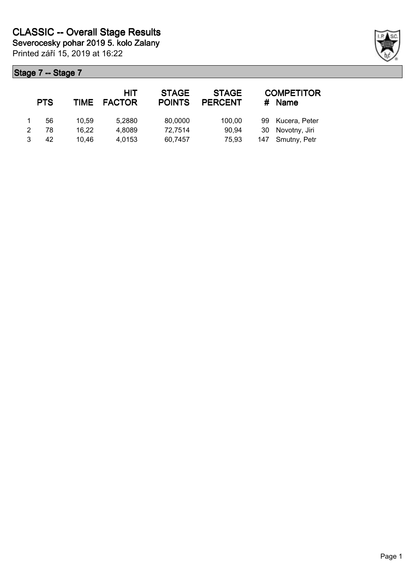|   | <b>PTS</b> |       | HIT<br>TIME FACTOR | <b>STAGE</b><br><b>POINTS</b> | <b>STAGE</b><br><b>PERCENT</b> | #  | <b>COMPETITOR</b><br><b>Name</b> |
|---|------------|-------|--------------------|-------------------------------|--------------------------------|----|----------------------------------|
|   | 56         | 10.59 | 5,2880             | 80,0000                       | 100,00                         | 99 | Kucera, Peter                    |
| 2 | 78         | 16.22 | 4,8089             | 72,7514                       | 90,94                          | 30 | Novotny, Jiri                    |
|   | 42         | 10.46 | 4,0153             | 60,7457                       | 75,93                          |    | 147 Smutny, Petr                 |

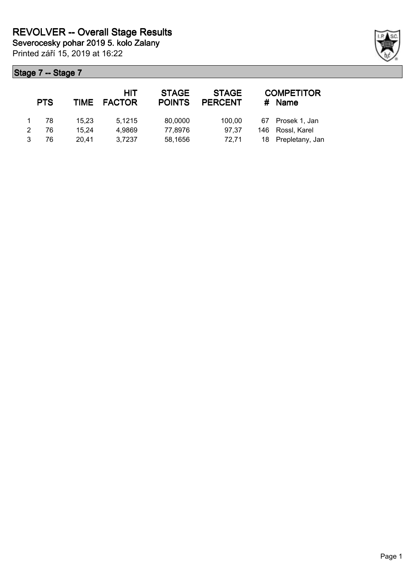|   | <b>PTS</b> |       | HIT<br>TIME FACTOR | <b>STAGE</b><br><b>POINTS</b> | <b>STAGE</b><br><b>PERCENT</b> | #  | <b>COMPETITOR</b><br><b>Name</b> |
|---|------------|-------|--------------------|-------------------------------|--------------------------------|----|----------------------------------|
|   | 78         | 15.23 | 5.1215             | 80,0000                       | 100.00                         | 67 | Prosek 1, Jan                    |
| 2 | 76         | 15.24 | 4,9869             | 77,8976                       | 97.37                          |    | 146 Rossl, Karel                 |
| 3 | 76         | 20.41 | 3,7237             | 58,1656                       | 72.71                          |    | 18 Prepletany, Jan               |

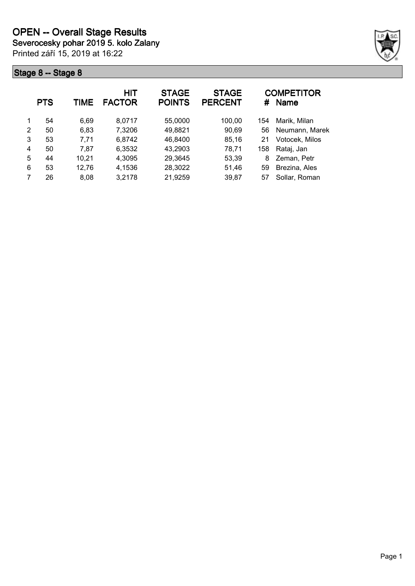**Severocesky pohar 2019 5. kolo Zalany**

Printed září 15, 2019 at 16:22



|   | <b>PTS</b> | TIME  | HIT<br><b>FACTOR</b> | <b>STAGE</b><br><b>POINTS</b> | <b>STAGE</b><br><b>PERCENT</b> | #   | <b>COMPETITOR</b><br><b>Name</b> |
|---|------------|-------|----------------------|-------------------------------|--------------------------------|-----|----------------------------------|
| 1 | 54         | 6,69  | 8,0717               | 55,0000                       | 100,00                         | 154 | Marik, Milan                     |
| 2 | 50         | 6,83  | 7,3206               | 49,8821                       | 90,69                          | 56  | Neumann, Marek                   |
| 3 | 53         | 7,71  | 6,8742               | 46,8400                       | 85,16                          | 21  | Votocek, Milos                   |
| 4 | 50         | 7.87  | 6,3532               | 43,2903                       | 78,71                          | 158 | Rataj, Jan                       |
| 5 | 44         | 10,21 | 4,3095               | 29,3645                       | 53,39                          | 8   | Zeman, Petr                      |
| 6 | 53         | 12,76 | 4,1536               | 28,3022                       | 51,46                          | 59  | Brezina, Ales                    |
|   | 26         | 8.08  | 3,2178               | 21,9259                       | 39,87                          | 57  | Sollar, Roman                    |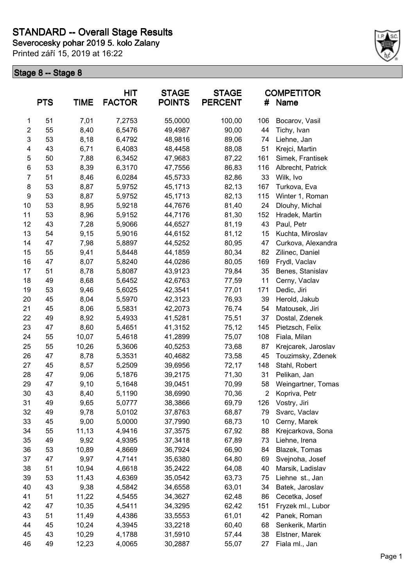**Severocesky pohar 2019 5. kolo Zalany**

Printed září 15, 2019 at 16:22



|                | <b>PTS</b> | <b>TIME</b> | <b>HIT</b><br><b>FACTOR</b> | <b>STAGE</b><br><b>POINTS</b> | <b>STAGE</b><br><b>PERCENT</b> | #              | <b>COMPETITOR</b><br>Name |
|----------------|------------|-------------|-----------------------------|-------------------------------|--------------------------------|----------------|---------------------------|
| 1              | 51         | 7,01        | 7,2753                      | 55,0000                       | 100,00                         | 106            | Bocarov, Vasil            |
| $\overline{2}$ | 55         | 8,40        | 6,5476                      | 49,4987                       | 90,00                          | 44             | Tichy, Ivan               |
| $\mathsf 3$    | 53         | 8,18        | 6,4792                      | 48,9816                       | 89,06                          | 74             | Liehne, Jan               |
| 4              | 43         | 6,71        | 6,4083                      | 48,4458                       | 88,08                          | 51             | Krejci, Martin            |
| 5              | 50         | 7,88        | 6,3452                      | 47,9683                       | 87,22                          | 161            | Simek, Frantisek          |
| 6              | 53         | 8,39        | 6,3170                      | 47,7556                       | 86,83                          | 116            | Albrecht, Patrick         |
| $\overline{7}$ | 51         | 8,46        | 6,0284                      | 45,5733                       | 82,86                          | 33             | Wilk, Ivo                 |
| 8              | 53         | 8,87        | 5,9752                      | 45,1713                       | 82,13                          | 167            | Turkova, Eva              |
| 9              | 53         | 8,87        | 5,9752                      | 45,1713                       | 82,13                          | 115            | Winter 1, Roman           |
| 10             | 53         | 8,95        | 5,9218                      | 44,7676                       | 81,40                          | 24             | Dlouhy, Michal            |
| 11             | 53         | 8,96        | 5,9152                      | 44,7176                       | 81,30                          | 152            | Hradek, Martin            |
| 12             | 43         | 7,28        | 5,9066                      | 44,6527                       | 81,19                          | 43             | Paul, Petr                |
| 13             | 54         | 9,15        | 5,9016                      | 44,6152                       | 81,12                          | 15             | Kuchta, Miroslav          |
| 14             | 47         | 7,98        | 5,8897                      | 44,5252                       | 80,95                          | 47             | Curkova, Alexandra        |
| 15             | 55         | 9,41        | 5,8448                      | 44,1859                       | 80,34                          | 82             | Zilinec, Daniel           |
| 16             | 47         | 8,07        | 5,8240                      | 44,0286                       | 80,05                          | 169            | Frydl, Vaclav             |
| 17             | 51         | 8,78        | 5,8087                      | 43,9123                       | 79,84                          | 35             | Benes, Stanislav          |
| 18             | 49         | 8,68        | 5,6452                      | 42,6763                       | 77,59                          | 11             | Cerny, Vaclav             |
| 19             | 53         | 9,46        | 5,6025                      | 42,3541                       | 77,01                          | 171            | Dedic, Jiri               |
| 20             | 45         | 8,04        | 5,5970                      | 42,3123                       | 76,93                          | 39             | Herold, Jakub             |
| 21             | 45         | 8,06        | 5,5831                      | 42,2073                       | 76,74                          | 54             | Matousek, Jiri            |
| 22             | 49         | 8,92        | 5,4933                      | 41,5281                       | 75,51                          | 37             | Dostal, Zdenek            |
| 23             | 47         | 8,60        | 5,4651                      | 41,3152                       | 75,12                          | 145            | Pietzsch, Felix           |
| 24             | 55         | 10,07       | 5,4618                      | 41,2899                       | 75,07                          | 108            | Fiala, Milan              |
| 25             | 55         | 10,26       | 5,3606                      | 40,5253                       | 73,68                          | 87             | Krejcarek, Jaroslav       |
| 26             | 47         | 8,78        | 5,3531                      | 40,4682                       | 73,58                          | 45             | Touzimsky, Zdenek         |
| 27             | 45         | 8,57        | 5,2509                      | 39,6956                       | 72,17                          | 148            | Stahl, Robert             |
| 28             | 47         | 9,06        | 5,1876                      | 39,2175                       | 71,30                          | 31             | Pelikan, Jan              |
| 29             | 47         | 9,10        | 5,1648                      | 39,0451                       | 70,99                          | 58             | Weingartner, Tomas        |
| 30             | 43         | 8,40        | 5,1190                      | 38,6990                       | 70,36                          | $\overline{2}$ | Kopriva, Petr             |
| 31             | 49         | 9,65        | 5,0777                      | 38,3866                       | 69,79                          | 126            | Vostry, Jiri              |
| 32             | 49         | 9,78        | 5,0102                      | 37,8763                       | 68,87                          | 79             | Svarc, Vaclav             |
| 33             | 45         | 9,00        | 5,0000                      | 37,7990                       | 68,73                          | 10             | Cerny, Marek              |
| 34             | 55         | 11,13       | 4,9416                      | 37,3575                       | 67,92                          | 88             | Krejcarkova, Sona         |
| 35             | 49         | 9,92        | 4,9395                      | 37,3418                       | 67,89                          | 73             | Liehne, Irena             |
| 36             | 53         | 10,89       | 4,8669                      | 36,7924                       | 66,90                          | 84             | Blazek, Tomas             |
| 37             | 47         | 9,97        | 4,7141                      | 35,6380                       | 64,80                          | 69             | Svejnoha, Josef           |
| 38             | 51         | 10,94       | 4,6618                      | 35,2422                       | 64,08                          | 40             | Marsik, Ladislav          |
| 39             | 53         | 11,43       | 4,6369                      | 35,0542                       | 63,73                          | 75             | Liehne st., Jan           |
| 40             | 43         | 9,38        | 4,5842                      | 34,6558                       | 63,01                          | 34             | Batek, Jaroslav           |
| 41             | 51         | 11,22       | 4,5455                      | 34,3627                       |                                | 86             | Cecetka, Josef            |
|                |            |             |                             |                               | 62,48                          |                |                           |
| 42             | 47         | 10,35       | 4,5411                      | 34,3295                       | 62,42                          | 151            | Fryzek ml., Lubor         |
| 43             | 51         | 11,49       | 4,4386                      | 33,5553                       | 61,01                          | 42             | Panek, Roman              |
| 44             | 45         | 10,24       | 4,3945                      | 33,2218                       | 60,40                          | 68             | Senkerik, Martin          |
| 45             | 43         | 10,29       | 4,1788                      | 31,5910                       | 57,44                          | 38             | Elstner, Marek            |
| 46             | 49         | 12,23       | 4,0065                      | 30,2887                       | 55,07                          | 27             | Fiala ml., Jan            |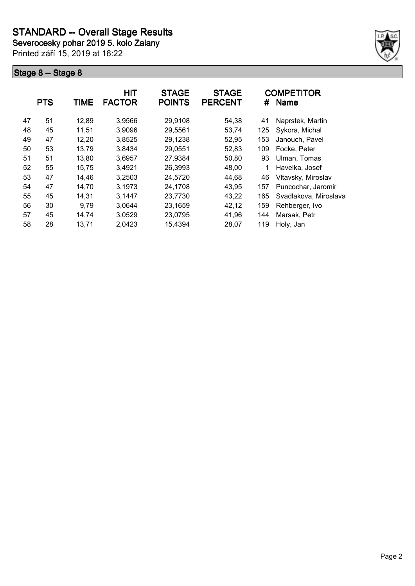**Severocesky pohar 2019 5. kolo Zalany**

Printed září 15, 2019 at 16:22



|    | <b>PTS</b> | <b>TIME</b> | <b>HIT</b><br><b>FACTOR</b> | <b>STAGE</b><br><b>POINTS</b> | <b>STAGE</b><br><b>PERCENT</b> | #   | <b>COMPETITOR</b><br><b>Name</b> |
|----|------------|-------------|-----------------------------|-------------------------------|--------------------------------|-----|----------------------------------|
| 47 | 51         | 12,89       | 3,9566                      | 29,9108                       | 54,38                          | 41  | Naprstek, Martin                 |
| 48 | 45         | 11,51       | 3,9096                      | 29,5561                       | 53,74                          | 125 | Sykora, Michal                   |
| 49 | 47         | 12,20       | 3,8525                      | 29,1238                       | 52,95                          | 153 | Janouch, Pavel                   |
| 50 | 53         | 13,79       | 3,8434                      | 29,0551                       | 52,83                          | 109 | Focke, Peter                     |
| 51 | 51         | 13,80       | 3,6957                      | 27,9384                       | 50,80                          | 93  | Ulman, Tomas                     |
| 52 | 55         | 15,75       | 3,4921                      | 26,3993                       | 48,00                          |     | Havelka, Josef                   |
| 53 | 47         | 14,46       | 3,2503                      | 24,5720                       | 44,68                          | 46  | Vltavsky, Miroslav               |
| 54 | 47         | 14,70       | 3,1973                      | 24,1708                       | 43,95                          | 157 | Puncochar, Jaromir               |
| 55 | 45         | 14,31       | 3,1447                      | 23,7730                       | 43,22                          | 165 | Svadlakova, Miroslava            |
| 56 | 30         | 9,79        | 3,0644                      | 23,1659                       | 42,12                          | 159 | Rehberger, Ivo                   |
| 57 | 45         | 14,74       | 3,0529                      | 23,0795                       | 41,96                          | 144 | Marsak, Petr                     |
| 58 | 28         | 13,71       | 2,0423                      | 15,4394                       | 28,07                          | 119 | Holy, Jan                        |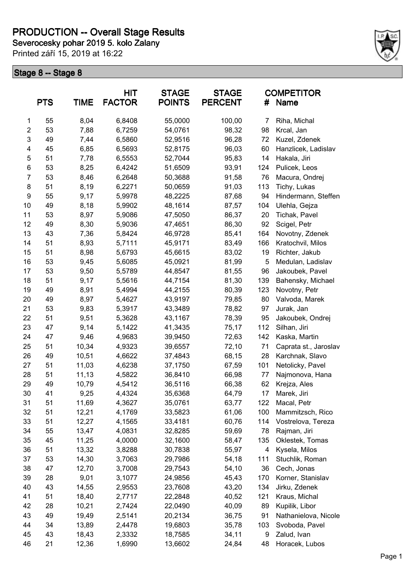# **PRODUCTION -- Overall Stage Results**

**Severocesky pohar 2019 5. kolo Zalany**

Printed září 15, 2019 at 16:22



|                | <b>PTS</b> | <b>TIME</b> | <b>HIT</b><br><b>FACTOR</b> | <b>STAGE</b><br><b>POINTS</b> | <b>STAGE</b><br><b>PERCENT</b> | #   | <b>COMPETITOR</b><br>Name |
|----------------|------------|-------------|-----------------------------|-------------------------------|--------------------------------|-----|---------------------------|
| 1              | 55         | 8,04        | 6,8408                      | 55,0000                       | 100,00                         | 7   | Riha, Michal              |
| $\overline{c}$ | 53         | 7,88        | 6,7259                      | 54,0761                       | 98,32                          | 98  | Krcal, Jan                |
| 3              | 49         | 7,44        | 6,5860                      | 52,9516                       | 96,28                          | 72  | Kuzel, Zdenek             |
| 4              | 45         | 6,85        | 6,5693                      | 52,8175                       | 96,03                          | 60  | Hanzlicek, Ladislav       |
| 5              | 51         | 7,78        | 6,5553                      | 52,7044                       | 95,83                          | 14  | Hakala, Jiri              |
| 6              | 53         | 8,25        | 6,4242                      | 51,6509                       | 93,91                          | 124 | Pulicek, Leos             |
| $\overline{7}$ | 53         | 8,46        | 6,2648                      | 50,3688                       | 91,58                          | 76  | Macura, Ondrej            |
| 8              | 51         | 8,19        | 6,2271                      | 50,0659                       | 91,03                          | 113 | Tichy, Lukas              |
| 9              | 55         | 9,17        | 5,9978                      | 48,2225                       | 87,68                          | 94  | Hindermann, Steffen       |
| 10             | 49         | 8,18        | 5,9902                      | 48,1614                       | 87,57                          | 104 | Ulehla, Gejza             |
| 11             | 53         | 8,97        | 5,9086                      | 47,5050                       | 86,37                          | 20  | Tichak, Pavel             |
| 12             | 49         | 8,30        | 5,9036                      | 47,4651                       | 86,30                          | 92  | Scigel, Petr              |
| 13             | 43         | 7,36        | 5,8424                      | 46,9728                       | 85,41                          | 164 | Novotny, Zdenek           |
| 14             | 51         | 8,93        | 5,7111                      | 45,9171                       | 83,49                          | 166 | Kratochvil, Milos         |
| 15             | 51         | 8,98        | 5,6793                      | 45,6615                       | 83,02                          | 19  | Richter, Jakub            |
| 16             | 53         | 9,45        | 5,6085                      | 45,0921                       | 81,99                          | 5   | Medulan, Ladislav         |
| 17             | 53         | 9,50        | 5,5789                      | 44,8547                       | 81,55                          | 96  | Jakoubek, Pavel           |
| 18             | 51         | 9,17        | 5,5616                      | 44,7154                       | 81,30                          | 139 | Bahensky, Michael         |
| 19             | 49         | 8,91        | 5,4994                      | 44,2155                       | 80,39                          | 123 | Novotny, Petr             |
| 20             | 49         | 8,97        | 5,4627                      | 43,9197                       | 79,85                          | 80  | Valvoda, Marek            |
| 21             | 53         | 9,83        | 5,3917                      | 43,3489                       | 78,82                          | 97  | Jurak, Jan                |
| 22             | 51         | 9,51        | 5,3628                      | 43,1167                       | 78,39                          | 95  | Jakoubek, Ondrej          |
| 23             | 47         | 9,14        | 5,1422                      | 41,3435                       | 75,17                          | 112 | Silhan, Jiri              |
| 24             | 47         | 9,46        | 4,9683                      | 39,9450                       | 72,63                          | 142 | Kaska, Martin             |
| 25             | 51         | 10,34       | 4,9323                      | 39,6557                       | 72,10                          | 71  | Caprata st., Jaroslav     |
| 26             | 49         | 10,51       | 4,6622                      | 37,4843                       | 68,15                          | 28  | Karchnak, Slavo           |
| 27             | 51         | 11,03       | 4,6238                      | 37,1750                       | 67,59                          | 101 | Netolicky, Pavel          |
| 28             | 51         | 11,13       | 4,5822                      | 36,8410                       | 66,98                          | 77  | Najmonova, Hana           |
| 29             | 49         | 10,79       | 4,5412                      | 36,5116                       | 66,38                          | 62  | Krejza, Ales              |
| 30             | 41         | 9,25        | 4,4324                      | 35,6368                       | 64,79                          | 17  | Marek, Jiri               |
| 31             | 51         | 11,69       | 4,3627                      | 35,0761                       | 63,77                          | 122 | Macal, Petr               |
| 32             | 51         | 12,21       | 4,1769                      | 33,5823                       | 61,06                          | 100 | Mammitzsch, Rico          |
| 33             | 51         | 12,27       | 4,1565                      | 33,4181                       | 60,76                          | 114 | Vostrelova, Tereza        |
| 34             | 55         | 13,47       | 4,0831                      | 32,8285                       | 59,69                          | 78  | Rajman, Jiri              |
| 35             | 45         | 11,25       | 4,0000                      | 32,1600                       | 58,47                          | 135 | Oklestek, Tomas           |
| 36             | 51         | 13,32       | 3,8288                      | 30,7838                       | 55,97                          | 4   | Kysela, Milos             |
| 37             | 53         | 14,30       | 3,7063                      | 29,7986                       | 54,18                          | 111 | Stuchlik, Roman           |
| 38             | 47         | 12,70       | 3,7008                      | 29,7543                       | 54,10                          | 36  | Cech, Jonas               |
| 39             | 28         | 9,01        | 3,1077                      | 24,9856                       | 45,43                          | 170 | Korner, Stanislav         |
| 40             | 43         | 14,55       | 2,9553                      | 23,7608                       | 43,20                          | 134 | Jirku, Zdenek             |
| 41             | 51         | 18,40       | 2,7717                      | 22,2848                       | 40,52                          | 121 | Kraus, Michal             |
| 42             | 28         | 10,21       | 2,7424                      | 22,0490                       | 40,09                          | 89  | Kupilik, Libor            |
| 43             | 49         | 19,49       | 2,5141                      | 20,2134                       | 36,75                          | 91  | Nathanielova, Nicole      |
| 44             | 34         | 13,89       | 2,4478                      | 19,6803                       | 35,78                          | 103 | Svoboda, Pavel            |
| 45             | 43         | 18,43       | 2,3332                      | 18,7585                       | 34,11                          | 9   | Zalud, Ivan               |
| 46             | 21         | 12,36       | 1,6990                      | 13,6602                       | 24,84                          | 48  | Horacek, Lubos            |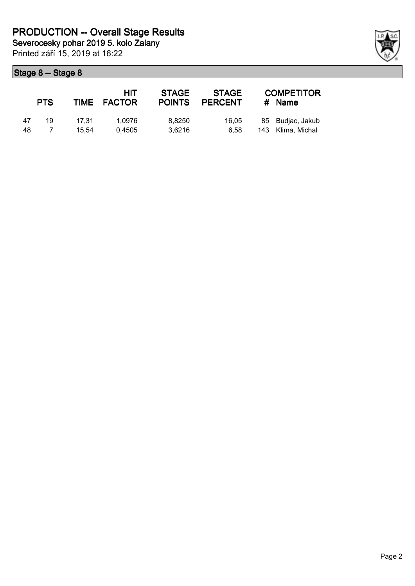|    | <b>PTS</b> |       | HIT<br>TIME FACTOR | <b>STAGE</b><br><b>POINTS</b> | <b>STAGE</b><br><b>PERCENT</b> | <b>COMPETITOR</b><br># Name |
|----|------------|-------|--------------------|-------------------------------|--------------------------------|-----------------------------|
| 47 | 19         | 17.31 | 1.0976             | 8.8250                        | 16.05                          | 85 Budjac, Jakub            |
| 48 |            | 15.54 | 0.4505             | 3.6216                        | 6.58                           | 143 Klima, Michal           |

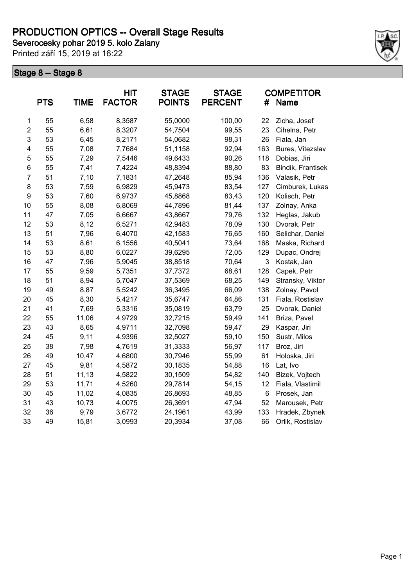**Severocesky pohar 2019 5. kolo Zalany**

Printed září 15, 2019 at 16:22



|                | <b>PTS</b> | TIME  | HIT<br><b>FACTOR</b> | <b>STAGE</b><br><b>POINTS</b> | <b>STAGE</b><br><b>PERCENT</b> | #   | <b>COMPETITOR</b><br><b>Name</b> |
|----------------|------------|-------|----------------------|-------------------------------|--------------------------------|-----|----------------------------------|
| 1              | 55         | 6,58  | 8,3587               | 55,0000                       | 100,00                         | 22  | Zicha, Josef                     |
| $\overline{2}$ | 55         | 6,61  | 8,3207               | 54,7504                       | 99,55                          | 23  | Cihelna, Petr                    |
| 3              | 53         | 6,45  | 8,2171               | 54,0682                       | 98,31                          | 26  | Fiala, Jan                       |
| 4              | 55         | 7,08  | 7,7684               | 51,1158                       | 92,94                          | 163 | Bures, Vitezslav                 |
| 5              | 55         | 7,29  | 7,5446               | 49,6433                       | 90,26                          | 118 | Dobias, Jiri                     |
| 6              | 55         | 7,41  | 7,4224               | 48,8394                       | 88,80                          | 83  | Bindik, Frantisek                |
| $\overline{7}$ | 51         | 7,10  | 7,1831               | 47,2648                       | 85,94                          | 136 | Valasik, Petr                    |
| 8              | 53         | 7,59  | 6,9829               | 45,9473                       | 83,54                          | 127 | Cimburek, Lukas                  |
| 9              | 53         | 7,60  | 6,9737               | 45,8868                       | 83,43                          | 120 | Kolisch, Petr                    |
| 10             | 55         | 8,08  | 6,8069               | 44,7896                       | 81,44                          | 137 | Zolnay, Anka                     |
| 11             | 47         | 7,05  | 6,6667               | 43,8667                       | 79,76                          | 132 | Heglas, Jakub                    |
| 12             | 53         | 8,12  | 6,5271               | 42,9483                       | 78,09                          | 130 | Dvorak, Petr                     |
| 13             | 51         | 7,96  | 6,4070               | 42,1583                       | 76,65                          | 160 | Selichar, Daniel                 |
| 14             | 53         | 8,61  | 6,1556               | 40,5041                       | 73,64                          | 168 | Maska, Richard                   |
| 15             | 53         | 8,80  | 6,0227               | 39,6295                       | 72,05                          | 129 | Dupac, Ondrej                    |
| 16             | 47         | 7,96  | 5,9045               | 38,8518                       | 70,64                          | 3   | Kostak, Jan                      |
| 17             | 55         | 9,59  | 5,7351               | 37,7372                       | 68,61                          | 128 | Capek, Petr                      |
| 18             | 51         | 8,94  | 5,7047               | 37,5369                       | 68,25                          | 149 | Stransky, Viktor                 |
| 19             | 49         | 8,87  | 5,5242               | 36,3495                       | 66,09                          | 138 | Zolnay, Pavol                    |
| 20             | 45         | 8,30  | 5,4217               | 35,6747                       | 64,86                          | 131 | Fiala, Rostislav                 |
| 21             | 41         | 7,69  | 5,3316               | 35,0819                       | 63,79                          | 25  | Dvorak, Daniel                   |
| 22             | 55         | 11,06 | 4,9729               | 32,7215                       | 59,49                          | 141 | Briza, Pavel                     |
| 23             | 43         | 8,65  | 4,9711               | 32,7098                       | 59,47                          | 29  | Kaspar, Jiri                     |
| 24             | 45         | 9,11  | 4,9396               | 32,5027                       | 59,10                          | 150 | Sustr, Milos                     |
| 25             | 38         | 7,98  | 4,7619               | 31,3333                       | 56,97                          | 117 | Broz, Jiri                       |
| 26             | 49         | 10,47 | 4,6800               | 30,7946                       | 55,99                          | 61  | Holoska, Jiri                    |
| 27             | 45         | 9,81  | 4,5872               | 30,1835                       | 54,88                          | 16  | Lat, Ivo                         |
| 28             | 51         | 11,13 | 4,5822               | 30,1509                       | 54,82                          | 140 | Bizek, Vojtech                   |
| 29             | 53         | 11,71 | 4,5260               | 29,7814                       | 54,15                          | 12  | Fiala, Vlastimil                 |
| 30             | 45         | 11,02 | 4,0835               | 26,8693                       | 48,85                          | 6   | Prosek, Jan                      |
| 31             | 43         | 10,73 | 4,0075               | 26,3691                       | 47,94                          | 52  | Marousek, Petr                   |
| 32             | 36         | 9,79  | 3,6772               | 24,1961                       | 43,99                          | 133 | Hradek, Zbynek                   |
| 33             | 49         | 15,81 | 3,0993               | 20,3934                       | 37,08                          | 66  | Orlik, Rostislav                 |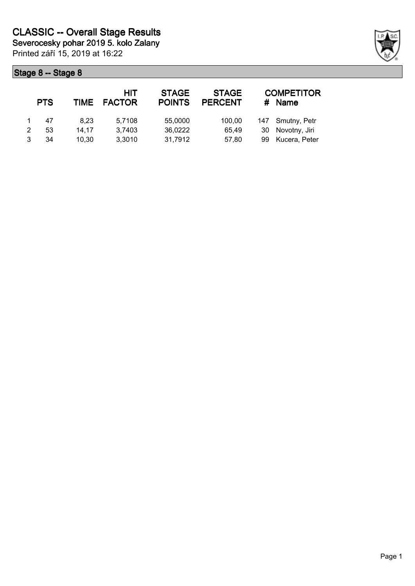Printed září 15, 2019 at 16:22 **Severocesky pohar 2019 5. kolo Zalany**

| <b>PTS</b> | <b>TIME</b> | HIT<br><b>FACTOR</b> | <b>STAGE</b><br><b>POINTS</b> | <b>STAGE</b><br><b>PERCENT</b> | #  | <b>COMPETITOR</b><br><b>Name</b> |
|------------|-------------|----------------------|-------------------------------|--------------------------------|----|----------------------------------|
| 47         | 8.23        | 5,7108               | 55,0000                       | 100.00                         |    | 147 Smutny, Petr                 |
| 53         | 14.17       | 3,7403               | 36,0222                       | 65.49                          | 30 | Novotny, Jiri                    |
| 34         | 10.30       | 3,3010               | 31,7912                       | 57.80                          | 99 | Kucera, Peter                    |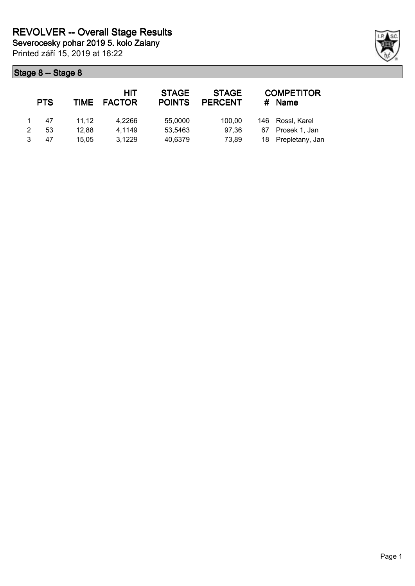Printed září 15, 2019 at 16:22 **Severocesky pohar 2019 5. kolo Zalany**

|   | <b>PTS</b> |       | HIT<br>TIME FACTOR | <b>STAGE</b><br><b>POINTS</b> | <b>STAGE</b><br><b>PERCENT</b> | <b>COMPETITOR</b><br>#<br><b>Name</b> |                    |  |
|---|------------|-------|--------------------|-------------------------------|--------------------------------|---------------------------------------|--------------------|--|
|   | 47         | 11.12 | 4,2266             | 55,0000                       | 100.00                         |                                       | 146 Rossl, Karel   |  |
| 2 | 53         | 12.88 | 4,1149             | 53,5463                       | 97.36                          | 67                                    | Prosek 1, Jan      |  |
|   | 47         | 15.05 | 3,1229             | 40,6379                       | 73,89                          |                                       | 18 Prepletany, Jan |  |

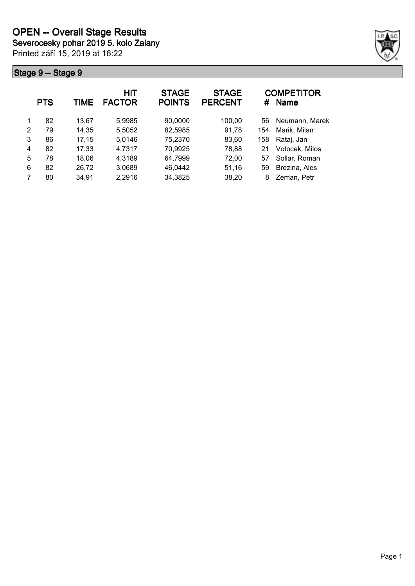**Severocesky pohar 2019 5. kolo Zalany**

Printed září 15, 2019 at 16:22



|   | <b>PTS</b> | TIME  | HIT<br><b>FACTOR</b> | <b>STAGE</b><br><b>POINTS</b> | <b>STAGE</b><br><b>PERCENT</b> | #   | <b>COMPETITOR</b><br><b>Name</b> |
|---|------------|-------|----------------------|-------------------------------|--------------------------------|-----|----------------------------------|
| 1 | 82         | 13.67 | 5,9985               | 90,0000                       | 100,00                         | 56  | Neumann, Marek                   |
| 2 | 79         | 14,35 | 5,5052               | 82,5985                       | 91,78                          | 154 | Marik, Milan                     |
| 3 | 86         | 17,15 | 5,0146               | 75,2370                       | 83,60                          | 158 | Rataj, Jan                       |
| 4 | 82         | 17,33 | 4,7317               | 70,9925                       | 78,88                          | 21  | Votocek, Milos                   |
| 5 | 78         | 18,06 | 4,3189               | 64,7999                       | 72,00                          | 57  | Sollar, Roman                    |
| 6 | 82         | 26,72 | 3,0689               | 46,0442                       | 51,16                          | 59  | Brezina, Ales                    |
|   | 80         | 34,91 | 2,2916               | 34,3825                       | 38,20                          | 8   | Zeman, Petr                      |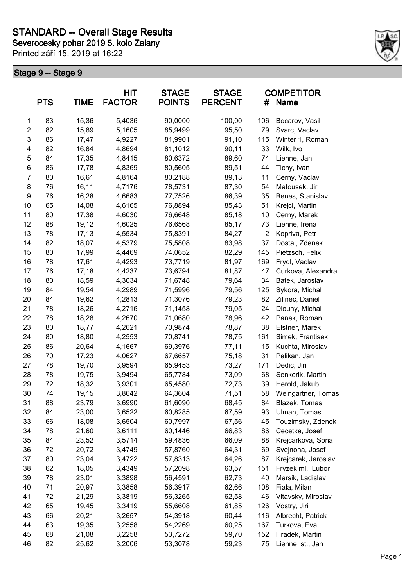**Severocesky pohar 2019 5. kolo Zalany**

Printed září 15, 2019 at 16:22



|                | <b>PTS</b><br><b>TIME</b> |       | <b>HIT</b><br><b>FACTOR</b> | <b>STAGE</b><br><b>POINTS</b> | <b>STAGE</b><br><b>PERCENT</b> | <b>COMPETITOR</b><br>Name<br># |                     |
|----------------|---------------------------|-------|-----------------------------|-------------------------------|--------------------------------|--------------------------------|---------------------|
| 1              | 83                        | 15,36 | 5,4036                      | 90,0000                       | 100,00                         | 106                            | Bocarov, Vasil      |
| $\overline{2}$ | 82                        | 15,89 | 5,1605                      | 85,9499                       | 95,50                          | 79                             | Svarc, Vaclav       |
| 3              | 86                        | 17,47 | 4,9227                      | 81,9901                       | 91,10                          | 115                            | Winter 1, Roman     |
| 4              | 82                        | 16,84 | 4,8694                      | 81,1012                       | 90,11                          | 33                             | Wilk, Ivo           |
| 5              | 84                        | 17,35 | 4,8415                      | 80,6372                       | 89,60                          | 74                             | Liehne, Jan         |
| 6              | 86                        | 17,78 | 4,8369                      | 80,5605                       | 89,51                          | 44                             | Tichy, Ivan         |
| $\overline{7}$ | 80                        | 16,61 | 4,8164                      | 80,2188                       | 89,13                          | 11                             | Cerny, Vaclav       |
| 8              | 76                        | 16,11 | 4,7176                      | 78,5731                       | 87,30                          | 54                             | Matousek, Jiri      |
| 9              | 76                        | 16,28 | 4,6683                      | 77,7526                       | 86,39                          | 35                             | Benes, Stanislav    |
| 10             | 65                        | 14,08 | 4,6165                      | 76,8894                       | 85,43                          | 51                             | Krejci, Martin      |
| 11             | 80                        | 17,38 | 4,6030                      | 76,6648                       | 85,18                          | 10                             | Cerny, Marek        |
| 12             | 88                        | 19,12 | 4,6025                      | 76,6568                       | 85,17                          | 73                             | Liehne, Irena       |
| 13             | 78                        | 17,13 | 4,5534                      | 75,8391                       | 84,27                          | $\overline{2}$                 | Kopriva, Petr       |
| 14             | 82                        | 18,07 | 4,5379                      | 75,5808                       | 83,98                          | 37                             | Dostal, Zdenek      |
| 15             | 80                        | 17,99 | 4,4469                      | 74,0652                       | 82,29                          | 145                            | Pietzsch, Felix     |
| 16             | 78                        | 17,61 | 4,4293                      | 73,7719                       | 81,97                          | 169                            | Frydl, Vaclav       |
| 17             | 76                        | 17,18 | 4,4237                      | 73,6794                       | 81,87                          | 47                             | Curkova, Alexandra  |
| 18             | 80                        | 18,59 | 4,3034                      | 71,6748                       | 79,64                          | 34                             | Batek, Jaroslav     |
| 19             | 84                        | 19,54 | 4,2989                      | 71,5996                       | 79,56                          | 125                            | Sykora, Michal      |
| 20             | 84                        | 19,62 | 4,2813                      | 71,3076                       | 79,23                          | 82                             | Zilinec, Daniel     |
| 21             | 78                        | 18,26 | 4,2716                      | 71,1458                       | 79,05                          | 24                             | Dlouhy, Michal      |
| 22             | 78                        | 18,28 | 4,2670                      | 71,0680                       | 78,96                          | 42                             | Panek, Roman        |
| 23             | 80                        | 18,77 | 4,2621                      | 70,9874                       | 78,87                          | 38                             | Elstner, Marek      |
| 24             | 80                        | 18,80 | 4,2553                      | 70,8741                       | 78,75                          | 161                            | Simek, Frantisek    |
| 25             | 86                        | 20,64 | 4,1667                      | 69,3976                       | 77,11                          | 15                             | Kuchta, Miroslav    |
| 26             | 70                        | 17,23 | 4,0627                      | 67,6657                       | 75,18                          | 31                             | Pelikan, Jan        |
| 27             | 78                        | 19,70 | 3,9594                      | 65,9453                       | 73,27                          | 171                            | Dedic, Jiri         |
| 28             | 78                        | 19,75 | 3,9494                      | 65,7784                       | 73,09                          | 68                             | Senkerik, Martin    |
| 29             | 72                        | 18,32 | 3,9301                      | 65,4580                       | 72,73                          | 39                             | Herold, Jakub       |
| 30             | 74                        | 19,15 | 3,8642                      | 64,3604                       | 71,51                          | 58                             | Weingartner, Tomas  |
| 31             | 88                        | 23,79 | 3,6990                      | 61,6090                       | 68,45                          | 84                             | Blazek, Tomas       |
| 32             | 84                        | 23,00 | 3,6522                      | 60,8285                       | 67,59                          | 93                             | Ulman, Tomas        |
| 33             | 66                        | 18,08 | 3,6504                      | 60,7997                       | 67,56                          | 45                             | Touzimsky, Zdenek   |
| 34             | 78                        | 21,60 | 3,6111                      | 60,1446                       | 66,83                          | 86                             | Cecetka, Josef      |
| 35             | 84                        | 23,52 | 3,5714                      | 59,4836                       | 66,09                          | 88                             | Krejcarkova, Sona   |
| 36             | 72                        | 20,72 | 3,4749                      | 57,8760                       | 64,31                          | 69                             | Svejnoha, Josef     |
| 37             | 80                        | 23,04 | 3,4722                      | 57,8313                       | 64,26                          | 87                             | Krejcarek, Jaroslav |
| 38             | 62                        | 18,05 | 3,4349                      | 57,2098                       | 63,57                          | 151                            | Fryzek ml., Lubor   |
| 39             | 78                        | 23,01 | 3,3898                      | 56,4591                       | 62,73                          | 40                             | Marsik, Ladislav    |
| 40             | 71                        | 20,97 | 3,3858                      | 56,3917                       | 62,66                          | 108                            | Fiala, Milan        |
| 41             | 72                        | 21,29 |                             |                               | 62,58                          | 46                             | Vltavsky, Miroslav  |
|                |                           |       | 3,3819                      | 56,3265                       |                                |                                |                     |
| 42             | 65                        | 19,45 | 3,3419                      | 55,6608                       | 61,85                          | 126                            | Vostry, Jiri        |
| 43             | 66                        | 20,21 | 3,2657                      | 54,3918                       | 60,44                          | 116                            | Albrecht, Patrick   |
| 44             | 63                        | 19,35 | 3,2558                      | 54,2269                       | 60,25                          | 167                            | Turkova, Eva        |
| 45             | 68                        | 21,08 | 3,2258                      | 53,7272                       | 59,70                          | 152                            | Hradek, Martin      |
| 46             | 82                        | 25,62 | 3,2006                      | 53,3078                       | 59,23                          | 75                             | Liehne st., Jan     |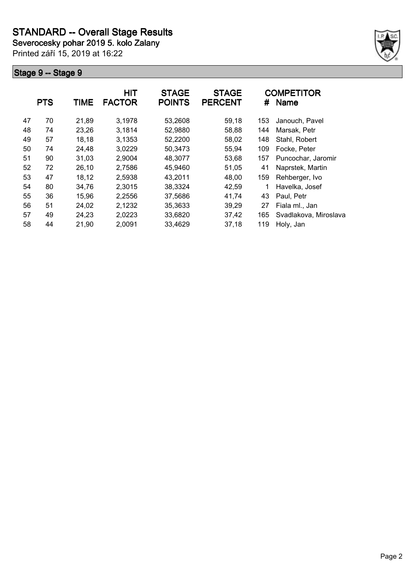**Severocesky pohar 2019 5. kolo Zalany**

Printed září 15, 2019 at 16:22



|    | <b>PTS</b> | <b>TIME</b> | HIT<br><b>FACTOR</b> | <b>STAGE</b><br><b>POINTS</b> | <b>STAGE</b><br><b>PERCENT</b> | #   | <b>COMPETITOR</b><br><b>Name</b> |
|----|------------|-------------|----------------------|-------------------------------|--------------------------------|-----|----------------------------------|
| 47 | 70         | 21,89       | 3,1978               | 53,2608                       | 59,18                          | 153 | Janouch, Pavel                   |
| 48 | 74         | 23,26       | 3,1814               | 52,9880                       | 58,88                          | 144 | Marsak, Petr                     |
| 49 | 57         | 18,18       | 3,1353               | 52,2200                       | 58,02                          | 148 | Stahl, Robert                    |
| 50 | 74         | 24,48       | 3,0229               | 50,3473                       | 55,94                          | 109 | Focke, Peter                     |
| 51 | 90         | 31,03       | 2,9004               | 48,3077                       | 53,68                          | 157 | Puncochar, Jaromir               |
| 52 | 72         | 26,10       | 2,7586               | 45,9460                       | 51,05                          | 41  | Naprstek, Martin                 |
| 53 | 47         | 18,12       | 2,5938               | 43,2011                       | 48,00                          | 159 | Rehberger, Ivo                   |
| 54 | 80         | 34,76       | 2,3015               | 38,3324                       | 42,59                          | 1   | Havelka, Josef                   |
| 55 | 36         | 15,96       | 2,2556               | 37,5686                       | 41,74                          | 43  | Paul, Petr                       |
| 56 | 51         | 24,02       | 2,1232               | 35,3633                       | 39,29                          | 27  | Fiala ml., Jan                   |
| 57 | 49         | 24,23       | 2,0223               | 33,6820                       | 37,42                          | 165 | Svadlakova, Miroslava            |
| 58 | 44         | 21,90       | 2,0091               | 33,4629                       | 37,18                          | 119 | Holy, Jan                        |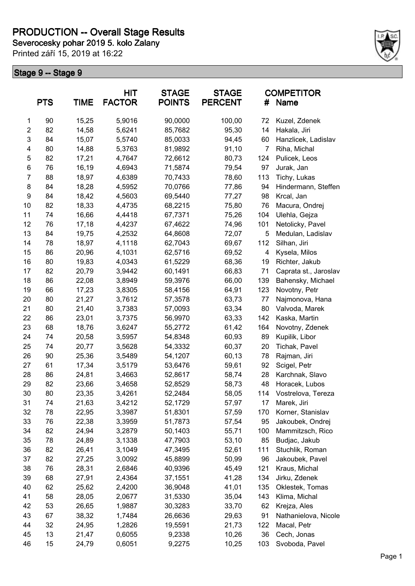# **PRODUCTION -- Overall Stage Results**

**Severocesky pohar 2019 5. kolo Zalany**

Printed září 15, 2019 at 16:22



| <b>PTS</b><br><b>TIME</b> |    |       | HIT<br><b>FACTOR</b> | <b>STAGE</b><br><b>POINTS</b> | <b>STAGE</b><br><b>PERCENT</b> | #   | <b>COMPETITOR</b><br>Name |
|---------------------------|----|-------|----------------------|-------------------------------|--------------------------------|-----|---------------------------|
| $\mathbf{1}$              | 90 | 15,25 | 5,9016               | 90,0000                       | 100,00                         | 72  | Kuzel, Zdenek             |
| $\overline{2}$            | 82 | 14,58 | 5,6241               | 85,7682                       | 95,30                          | 14  | Hakala, Jiri              |
| 3                         | 84 | 15,07 | 5,5740               | 85,0033                       | 94,45                          | 60  | Hanzlicek, Ladislav       |
| 4                         | 80 | 14,88 | 5,3763               | 81,9892                       | 91,10                          | 7   | Riha, Michal              |
| 5                         | 82 | 17,21 | 4,7647               | 72,6612                       | 80,73                          | 124 | Pulicek, Leos             |
| 6                         | 76 | 16,19 | 4,6943               | 71,5874                       | 79,54                          | 97  | Jurak, Jan                |
| $\overline{7}$            | 88 | 18,97 | 4,6389               | 70,7433                       | 78,60                          | 113 | Tichy, Lukas              |
| 8                         | 84 | 18,28 | 4,5952               | 70,0766                       | 77,86                          | 94  | Hindermann, Steffen       |
| 9                         | 84 | 18,42 | 4,5603               | 69,5440                       | 77,27                          | 98  | Krcal, Jan                |
| 10                        | 82 | 18,33 | 4,4735               | 68,2215                       | 75,80                          | 76  | Macura, Ondrej            |
| 11                        | 74 | 16,66 | 4,4418               | 67,7371                       | 75,26                          | 104 | Ulehla, Gejza             |
| 12                        | 76 | 17,18 | 4,4237               | 67,4622                       | 74,96                          | 101 | Netolicky, Pavel          |
| 13                        | 84 | 19,75 | 4,2532               | 64,8608                       | 72,07                          | 5   | Medulan, Ladislav         |
| 14                        | 78 | 18,97 | 4,1118               | 62,7043                       | 69,67                          | 112 | Silhan, Jiri              |
| 15                        | 86 | 20,96 | 4,1031               | 62,5716                       | 69,52                          | 4   | Kysela, Milos             |
| 16                        | 80 | 19,83 | 4,0343               | 61,5229                       | 68,36                          | 19  | Richter, Jakub            |
| 17                        | 82 | 20,79 | 3,9442               | 60,1491                       | 66,83                          | 71  | Caprata st., Jaroslav     |
| 18                        | 86 | 22,08 | 3,8949               | 59,3976                       | 66,00                          | 139 | Bahensky, Michael         |
| 19                        | 66 | 17,23 | 3,8305               | 58,4156                       | 64,91                          | 123 | Novotny, Petr             |
| 20                        | 80 | 21,27 | 3,7612               | 57,3578                       | 63,73                          | 77  | Najmonova, Hana           |
| 21                        | 80 | 21,40 | 3,7383               | 57,0093                       | 63,34                          | 80  | Valvoda, Marek            |
| 22                        | 86 | 23,01 | 3,7375               | 56,9970                       | 63,33                          | 142 | Kaska, Martin             |
| 23                        | 68 | 18,76 | 3,6247               | 55,2772                       | 61,42                          | 164 | Novotny, Zdenek           |
| 24                        | 74 | 20,58 | 3,5957               | 54,8348                       | 60,93                          | 89  | Kupilik, Libor            |
| 25                        | 74 | 20,77 | 3,5628               | 54,3332                       | 60,37                          | 20  | Tichak, Pavel             |
| 26                        | 90 | 25,36 | 3,5489               | 54,1207                       | 60,13                          | 78  | Rajman, Jiri              |
| 27                        | 61 | 17,34 | 3,5179               | 53,6476                       | 59,61                          | 92  | Scigel, Petr              |
| 28                        | 86 | 24,81 | 3,4663               | 52,8617                       | 58,74                          | 28  | Karchnak, Slavo           |
| 29                        | 82 | 23,66 | 3,4658               | 52,8529                       | 58,73                          | 48  | Horacek, Lubos            |
| 30                        | 80 | 23,35 | 3,4261               | 52,2484                       | 58,05                          | 114 | Vostrelova, Tereza        |
| 31                        | 74 | 21,63 | 3,4212               | 52,1729                       | 57,97                          | 17  | Marek, Jiri               |
| 32                        | 78 | 22,95 | 3,3987               | 51,8301                       | 57,59                          | 170 | Korner, Stanislav         |
| 33                        | 76 | 22,38 | 3,3959               | 51,7873                       | 57,54                          | 95  | Jakoubek, Ondrej          |
| 34                        | 82 | 24,94 | 3,2879               | 50,1403                       | 55,71                          | 100 | Mammitzsch, Rico          |
| 35                        | 78 | 24,89 | 3,1338               | 47,7903                       | 53,10                          | 85  | Budjac, Jakub             |
| 36                        | 82 | 26,41 | 3,1049               | 47,3495                       | 52,61                          | 111 | Stuchlik, Roman           |
| 37                        | 82 | 27,25 | 3,0092               | 45,8899                       | 50,99                          | 96  | Jakoubek, Pavel           |
| 38                        | 76 | 28,31 | 2,6846               | 40,9396                       | 45,49                          | 121 | Kraus, Michal             |
| 39                        | 68 | 27,91 | 2,4364               | 37,1551                       | 41,28                          | 134 | Jirku, Zdenek             |
| 40                        | 62 | 25,62 | 2,4200               | 36,9048                       | 41,01                          | 135 | Oklestek, Tomas           |
| 41                        | 58 | 28,05 | 2,0677               | 31,5330                       | 35,04                          | 143 | Klima, Michal             |
| 42                        | 53 | 26,65 | 1,9887               | 30,3283                       | 33,70                          | 62  | Krejza, Ales              |
| 43                        | 67 | 38,32 | 1,7484               | 26,6636                       | 29,63                          | 91  | Nathanielova, Nicole      |
| 44                        | 32 | 24,95 | 1,2826               | 19,5591                       | 21,73                          | 122 | Macal, Petr               |
| 45                        | 13 | 21,47 | 0,6055               | 9,2338                        | 10,26                          | 36  | Cech, Jonas               |
| 46                        | 15 | 24,79 | 0,6051               | 9,2275                        | 10,25                          | 103 | Svoboda, Pavel            |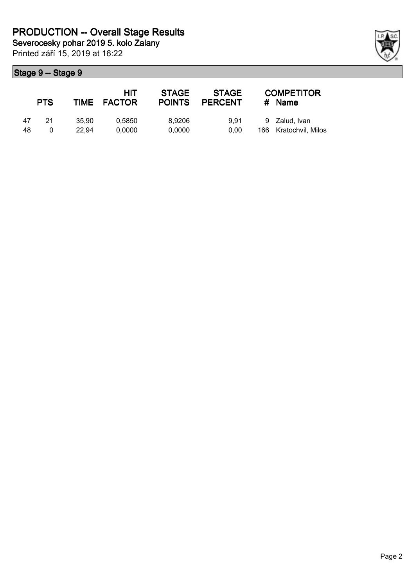|    | <b>PTS</b> |       | HIT<br>TIME FACTOR | <b>STAGE</b><br><b>POINTS</b> | <b>STAGE</b><br><b>PERCENT</b> | <b>COMPETITOR</b><br># Name |
|----|------------|-------|--------------------|-------------------------------|--------------------------------|-----------------------------|
| 47 | -21        | 35.90 | 0.5850             | 8.9206                        | 9.91                           | 9 Zalud, Ivan               |
| 48 |            | 22.94 | 0.0000             | 0.0000                        | 0.00                           | 166 Kratochvil, Milos       |

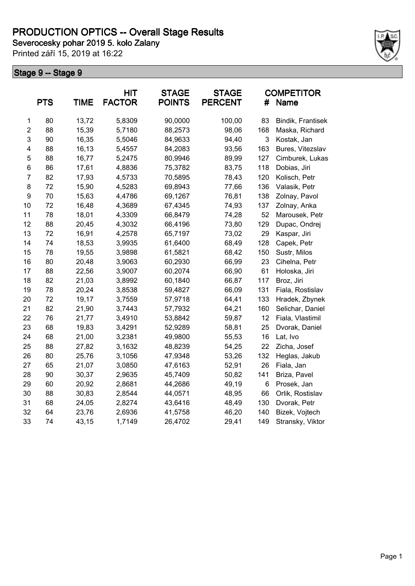**Severocesky pohar 2019 5. kolo Zalany**

Printed září 15, 2019 at 16:22



|                  |            | <b>HIT</b>  |               | <b>STAGE</b>  | <b>STAGE</b>   | <b>COMPETITOR</b> |                   |  |
|------------------|------------|-------------|---------------|---------------|----------------|-------------------|-------------------|--|
|                  | <b>PTS</b> | <b>TIME</b> | <b>FACTOR</b> | <b>POINTS</b> | <b>PERCENT</b> | #                 | Name              |  |
| 1                | 80         | 13,72       | 5,8309        | 90,0000       | 100,00         | 83                | Bindik, Frantisek |  |
| $\overline{2}$   | 88         | 15,39       | 5,7180        | 88,2573       | 98,06          | 168               | Maska, Richard    |  |
| 3                | 90         | 16,35       | 5,5046        | 84,9633       | 94,40          | 3                 | Kostak, Jan       |  |
| 4                | 88         | 16,13       | 5,4557        | 84,2083       | 93,56          | 163               | Bures, Vitezslav  |  |
| 5                | 88         | 16,77       | 5,2475        | 80,9946       | 89,99          | 127               | Cimburek, Lukas   |  |
| 6                | 86         | 17,61       | 4,8836        | 75,3782       | 83,75          | 118               | Dobias, Jiri      |  |
| $\overline{7}$   | 82         | 17,93       | 4,5733        | 70,5895       | 78,43          | 120               | Kolisch, Petr     |  |
| 8                | 72         | 15,90       | 4,5283        | 69,8943       | 77,66          | 136               | Valasik, Petr     |  |
| $\boldsymbol{9}$ | 70         | 15,63       | 4,4786        | 69,1267       | 76,81          | 138               | Zolnay, Pavol     |  |
| 10               | 72         | 16,48       | 4,3689        | 67,4345       | 74,93          | 137               | Zolnay, Anka      |  |
| 11               | 78         | 18,01       | 4,3309        | 66,8479       | 74,28          | 52                | Marousek, Petr    |  |
| 12               | 88         | 20,45       | 4,3032        | 66,4196       | 73,80          | 129               | Dupac, Ondrej     |  |
| 13               | 72         | 16,91       | 4,2578        | 65,7197       | 73,02          | 29                | Kaspar, Jiri      |  |
| 14               | 74         | 18,53       | 3,9935        | 61,6400       | 68,49          | 128               | Capek, Petr       |  |
| 15               | 78         | 19,55       | 3,9898        | 61,5821       | 68,42          | 150               | Sustr, Milos      |  |
| 16               | 80         | 20,48       | 3,9063        | 60,2930       | 66,99          | 23                | Cihelna, Petr     |  |
| 17               | 88         | 22,56       | 3,9007        | 60,2074       | 66,90          | 61                | Holoska, Jiri     |  |
| 18               | 82         | 21,03       | 3,8992        | 60,1840       | 66,87          | 117               | Broz, Jiri        |  |
| 19               | 78         | 20,24       | 3,8538        | 59,4827       | 66,09          | 131               | Fiala, Rostislav  |  |
| 20               | 72         | 19,17       | 3,7559        | 57,9718       | 64,41          | 133               | Hradek, Zbynek    |  |
| 21               | 82         | 21,90       | 3,7443        | 57,7932       | 64,21          | 160               | Selichar, Daniel  |  |
| 22               | 76         | 21,77       | 3,4910        | 53,8842       | 59,87          | 12                | Fiala, Vlastimil  |  |
| 23               | 68         | 19,83       | 3,4291        | 52,9289       | 58,81          | 25                | Dvorak, Daniel    |  |
| 24               | 68         | 21,00       | 3,2381        | 49,9800       | 55,53          | 16                | Lat, Ivo          |  |
| 25               | 88         | 27,82       | 3,1632        | 48,8239       | 54,25          | 22                | Zicha, Josef      |  |
| 26               | 80         | 25,76       | 3,1056        | 47,9348       | 53,26          | 132               | Heglas, Jakub     |  |
| 27               | 65         | 21,07       | 3,0850        | 47,6163       | 52,91          | 26                | Fiala, Jan        |  |
| 28               | 90         | 30,37       | 2,9635        | 45,7409       | 50,82          | 141               | Briza, Pavel      |  |
| 29               | 60         | 20,92       | 2,8681        | 44,2686       | 49,19          | 6                 | Prosek, Jan       |  |
| 30               | 88         | 30,83       | 2,8544        | 44,0571       | 48,95          | 66                | Orlik, Rostislav  |  |
| 31               | 68         | 24,05       | 2,8274        | 43,6416       | 48,49          | 130               | Dvorak, Petr      |  |
| 32               | 64         | 23,76       | 2,6936        | 41,5758       | 46,20          | 140               | Bizek, Vojtech    |  |
| 33               | 74         | 43,15       | 1,7149        | 26,4702       | 29,41          | 149               | Stransky, Viktor  |  |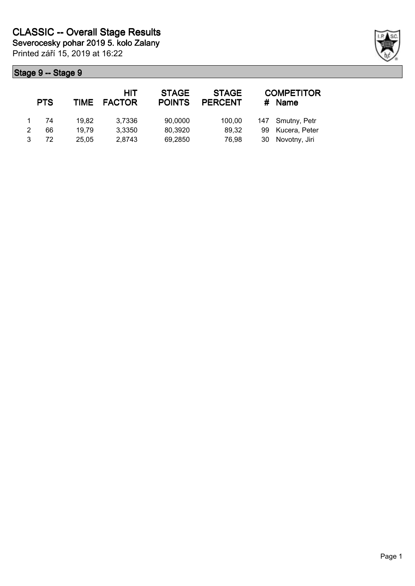Printed září 15, 2019 at 16:22 **Severocesky pohar 2019 5. kolo Zalany**

|   | <b>PTS</b> | <b>TIME</b> | HIT<br><b>FACTOR</b> | <b>STAGE</b><br><b>POINTS</b> | <b>STAGE</b><br><b>PERCENT</b> |     | <b>COMPETITOR</b><br><b>Name</b> |
|---|------------|-------------|----------------------|-------------------------------|--------------------------------|-----|----------------------------------|
|   | 74         | 19.82       | 3,7336               | 90,0000                       | 100,00                         |     | 147 Smutny, Petr                 |
| 2 | 66         | 19.79       | 3,3350               | 80,3920                       | 89,32                          | 99  | Kucera, Peter                    |
|   | 72         | 25.05       | 2,8743               | 69,2850                       | 76,98                          | 30. | Novotny, Jiri                    |

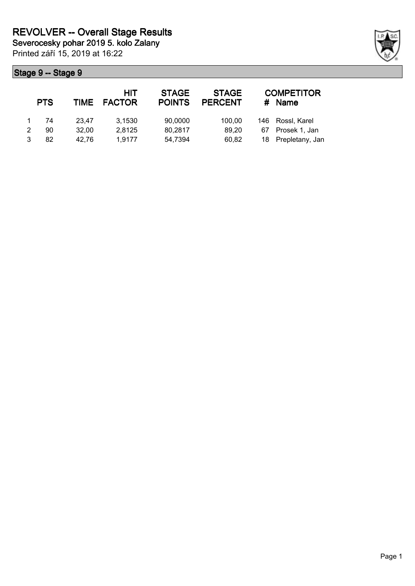|   | <b>PTS</b> |       | HIT<br>TIME FACTOR | <b>STAGE</b><br><b>POINTS</b> | <b>STAGE</b><br><b>PERCENT</b> | #  | <b>COMPETITOR</b><br><b>Name</b> |
|---|------------|-------|--------------------|-------------------------------|--------------------------------|----|----------------------------------|
|   | 74         | 23.47 | 3,1530             | 90,0000                       | 100.00                         |    | 146 Rossl, Karel                 |
| 2 | 90         | 32.00 | 2,8125             | 80,2817                       | 89.20                          | 67 | Prosek 1, Jan                    |
|   | 82         | 42.76 | 1,9177             | 54,7394                       | 60,82                          |    | 18 Prepletany, Jan               |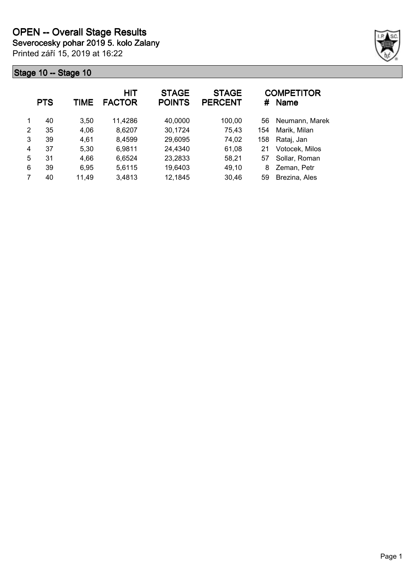Printed září 15, 2019 at 16:22



|   | <b>PTS</b> | TIME  | HIT<br><b>FACTOR</b> | <b>STAGE</b><br><b>POINTS</b> | <b>STAGE</b><br><b>PERCENT</b> | #   | <b>COMPETITOR</b><br><b>Name</b> |
|---|------------|-------|----------------------|-------------------------------|--------------------------------|-----|----------------------------------|
| 1 | 40         | 3,50  | 11,4286              | 40,0000                       | 100,00                         | 56  | Neumann, Marek                   |
| 2 | 35         | 4,06  | 8.6207               | 30,1724                       | 75,43                          | 154 | Marik, Milan                     |
| 3 | 39         | 4,61  | 8,4599               | 29,6095                       | 74,02                          | 158 | Rataj, Jan                       |
| 4 | 37         | 5,30  | 6,9811               | 24,4340                       | 61,08                          | 21  | Votocek, Milos                   |
| 5 | 31         | 4,66  | 6,6524               | 23,2833                       | 58,21                          | 57  | Sollar, Roman                    |
| 6 | 39         | 6,95  | 5,6115               | 19,6403                       | 49,10                          | 8   | Zeman, Petr                      |
| 7 | 40         | 11,49 | 3,4813               | 12,1845                       | 30.46                          | 59  | Brezina, Ales                    |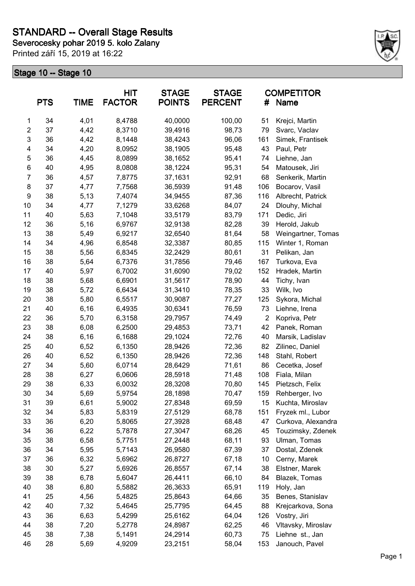**Severocesky pohar 2019 5. kolo Zalany**

Printed září 15, 2019 at 16:22



|                         | <b>PTS</b> | <b>TIME</b> | <b>HIT</b><br><b>FACTOR</b> | <b>STAGE</b><br><b>POINTS</b> | <b>STAGE</b><br><b>PERCENT</b> | #              | <b>COMPETITOR</b><br>Name |
|-------------------------|------------|-------------|-----------------------------|-------------------------------|--------------------------------|----------------|---------------------------|
| 1                       | 34         | 4,01        | 8,4788                      | 40,0000                       | 100,00                         | 51             | Krejci, Martin            |
| $\overline{\mathbf{c}}$ | 37         | 4,42        | 8,3710                      | 39,4916                       | 98,73                          | 79             | Svarc, Vaclav             |
| 3                       | 36         | 4,42        | 8,1448                      | 38,4243                       | 96,06                          | 161            | Simek, Frantisek          |
| 4                       | 34         | 4,20        | 8,0952                      | 38,1905                       | 95,48                          | 43             | Paul, Petr                |
| 5                       | 36         | 4,45        | 8,0899                      | 38,1652                       | 95,41                          | 74             | Liehne, Jan               |
| 6                       | 40         | 4,95        | 8,0808                      | 38,1224                       | 95,31                          | 54             | Matousek, Jiri            |
| 7                       | 36         | 4,57        | 7,8775                      | 37,1631                       | 92,91                          | 68             | Senkerik, Martin          |
| 8                       | 37         | 4,77        | 7,7568                      | 36,5939                       | 91,48                          | 106            | Bocarov, Vasil            |
| 9                       | 38         | 5,13        | 7,4074                      | 34,9455                       | 87,36                          | 116            | Albrecht, Patrick         |
| 10                      | 34         | 4,77        | 7,1279                      | 33,6268                       | 84,07                          | 24             | Dlouhy, Michal            |
| 11                      | 40         | 5,63        | 7,1048                      | 33,5179                       | 83,79                          | 171            | Dedic, Jiri               |
| 12                      | 36         | 5,16        | 6,9767                      | 32,9138                       | 82,28                          | 39             | Herold, Jakub             |
| 13                      | 38         | 5,49        | 6,9217                      | 32,6540                       | 81,64                          | 58             | Weingartner, Tomas        |
| 14                      | 34         | 4,96        | 6,8548                      | 32,3387                       | 80,85                          | 115            | Winter 1, Roman           |
| 15                      | 38         | 5,56        | 6,8345                      | 32,2429                       | 80,61                          | 31             | Pelikan, Jan              |
| 16                      | 38         | 5,64        | 6,7376                      | 31,7856                       | 79,46                          | 167            | Turkova, Eva              |
| 17                      | 40         | 5,97        | 6,7002                      | 31,6090                       | 79,02                          | 152            | Hradek, Martin            |
| 18                      | 38         | 5,68        | 6,6901                      | 31,5617                       | 78,90                          | 44             | Tichy, Ivan               |
| 19                      | 38         | 5,72        | 6,6434                      | 31,3410                       | 78,35                          | 33             | Wilk, Ivo                 |
| 20                      | 38         | 5,80        | 6,5517                      | 30,9087                       | 77,27                          | 125            | Sykora, Michal            |
| 21                      | 40         | 6, 16       | 6,4935                      | 30,6341                       | 76,59                          | 73             | Liehne, Irena             |
| 22                      | 36         | 5,70        | 6,3158                      | 29,7957                       | 74,49                          | $\overline{2}$ | Kopriva, Petr             |
| 23                      | 38         | 6,08        | 6,2500                      | 29,4853                       | 73,71                          | 42             | Panek, Roman              |
| 24                      | 38         | 6, 16       | 6,1688                      | 29,1024                       | 72,76                          | 40             | Marsik, Ladislav          |
| 25                      | 40         | 6,52        | 6,1350                      | 28,9426                       | 72,36                          | 82             | Zilinec, Daniel           |
| 26                      | 40         | 6,52        | 6,1350                      | 28,9426                       | 72,36                          | 148            | Stahl, Robert             |
| 27                      | 34         | 5,60        | 6,0714                      | 28,6429                       | 71,61                          | 86             | Cecetka, Josef            |
| 28                      | 38         | 6,27        | 6,0606                      | 28,5918                       | 71,48                          | 108            | Fiala, Milan              |
| 29                      | 38         | 6,33        | 6,0032                      | 28,3208                       | 70,80                          | 145            | Pietzsch, Felix           |
| 30                      | 34         | 5,69        | 5,9754                      | 28,1898                       | 70,47                          | 159            | Rehberger, Ivo            |
| 31                      | 39         | 6,61        | 5,9002                      | 27,8348                       | 69,59                          | 15             | Kuchta, Miroslav          |
| 32                      | 34         | 5,83        | 5,8319                      | 27,5129                       | 68,78                          | 151            | Fryzek ml., Lubor         |
| 33                      | 36         | 6,20        | 5,8065                      | 27,3928                       | 68,48                          | 47             | Curkova, Alexandra        |
| 34                      | 36         | 6,22        | 5,7878                      | 27,3047                       | 68,26                          | 45             | Touzimsky, Zdenek         |
| 35                      | 38         | 6,58        | 5,7751                      | 27,2448                       | 68,11                          | 93             | Ulman, Tomas              |
| 36                      | 34         | 5,95        | 5,7143                      | 26,9580                       | 67,39                          | 37             | Dostal, Zdenek            |
| 37                      | 36         | 6,32        | 5,6962                      | 26,8727                       | 67,18                          | 10             | Cerny, Marek              |
| 38                      | 30         | 5,27        | 5,6926                      | 26,8557                       | 67,14                          | 38             | Elstner, Marek            |
| 39                      | 38         | 6,78        | 5,6047                      | 26,4411                       | 66,10                          | 84             | Blazek, Tomas             |
| 40                      | 38         | 6,80        | 5,5882                      | 26,3633                       | 65,91                          | 119            | Holy, Jan                 |
| 41                      | 25         | 4,56        | 5,4825                      | 25,8643                       | 64,66                          | 35             | Benes, Stanislav          |
| 42                      | 40         | 7,32        | 5,4645                      | 25,7795                       | 64,45                          | 88             | Krejcarkova, Sona         |
| 43                      | 36         | 6,63        | 5,4299                      | 25,6162                       | 64,04                          | 126            | Vostry, Jiri              |
| 44                      | 38         | 7,20        | 5,2778                      | 24,8987                       | 62,25                          | 46             | Vltavsky, Miroslav        |
| 45                      | 38         | 7,38        | 5,1491                      | 24,2914                       | 60,73                          | 75             | Liehne st., Jan           |
| 46                      | 28         | 5,69        | 4,9209                      | 23,2151                       | 58,04                          | 153            | Janouch, Pavel            |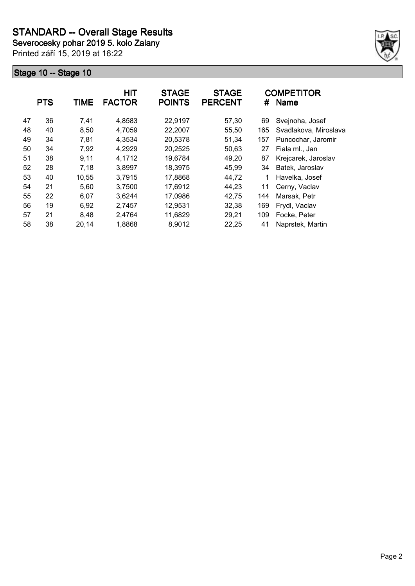**Severocesky pohar 2019 5. kolo Zalany**

Printed září 15, 2019 at 16:22



|    | <b>PTS</b> | <b>TIME</b> | HIT<br><b>FACTOR</b> | <b>STAGE</b><br><b>POINTS</b> | <b>STAGE</b><br><b>PERCENT</b> | #   | <b>COMPETITOR</b><br><b>Name</b> |
|----|------------|-------------|----------------------|-------------------------------|--------------------------------|-----|----------------------------------|
| 47 | 36         | 7,41        | 4,8583               | 22,9197                       | 57,30                          | 69  | Svejnoha, Josef                  |
| 48 | 40         | 8,50        | 4,7059               | 22,2007                       | 55,50                          | 165 | Svadlakova, Miroslava            |
| 49 | 34         | 7,81        | 4,3534               | 20,5378                       | 51,34                          | 157 | Puncochar, Jaromir               |
| 50 | 34         | 7,92        | 4,2929               | 20,2525                       | 50,63                          | 27  | Fiala ml., Jan                   |
| 51 | 38         | 9.11        | 4,1712               | 19,6784                       | 49,20                          | 87  | Krejcarek, Jaroslav              |
| 52 | 28         | 7,18        | 3,8997               | 18,3975                       | 45,99                          | 34  | Batek, Jaroslav                  |
| 53 | 40         | 10,55       | 3,7915               | 17,8868                       | 44,72                          | 1   | Havelka, Josef                   |
| 54 | 21         | 5,60        | 3,7500               | 17,6912                       | 44,23                          | 11  | Cerny, Vaclav                    |
| 55 | 22         | 6,07        | 3,6244               | 17,0986                       | 42,75                          | 144 | Marsak, Petr                     |
| 56 | 19         | 6,92        | 2,7457               | 12,9531                       | 32,38                          | 169 | Frydl, Vaclav                    |
| 57 | 21         | 8,48        | 2,4764               | 11,6829                       | 29,21                          | 109 | Focke, Peter                     |
| 58 | 38         | 20,14       | 1,8868               | 8,9012                        | 22,25                          | 41  | Naprstek, Martin                 |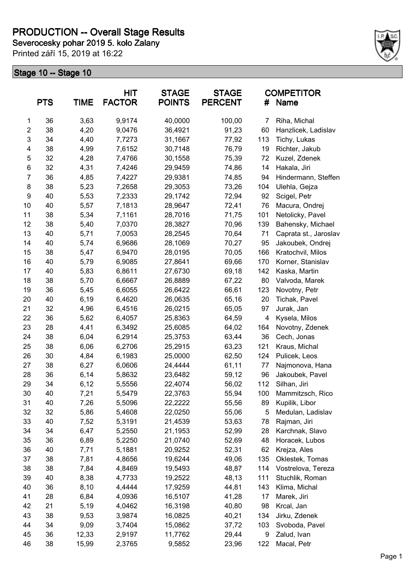## **PRODUCTION -- Overall Stage Results**

**Severocesky pohar 2019 5. kolo Zalany**

Printed září 15, 2019 at 16:22



|                | <b>PTS</b> | <b>TIME</b> | <b>HIT</b><br><b>FACTOR</b> | <b>STAGE</b><br><b>POINTS</b> | <b>STAGE</b><br><b>PERCENT</b> | #   | <b>COMPETITOR</b><br><b>Name</b> |
|----------------|------------|-------------|-----------------------------|-------------------------------|--------------------------------|-----|----------------------------------|
| 1              | 36         | 3,63        | 9,9174                      | 40,0000                       | 100,00                         | 7   | Riha, Michal                     |
| $\overline{2}$ | 38         | 4,20        | 9,0476                      | 36,4921                       | 91,23                          | 60  | Hanzlicek, Ladislav              |
| 3              | 34         | 4,40        | 7,7273                      | 31,1667                       | 77,92                          | 113 | Tichy, Lukas                     |
| 4              | 38         | 4,99        | 7,6152                      | 30,7148                       | 76,79                          | 19  | Richter, Jakub                   |
| 5              | 32         | 4,28        | 7,4766                      | 30,1558                       | 75,39                          | 72  | Kuzel, Zdenek                    |
| $\,6$          | 32         | 4,31        | 7,4246                      | 29,9459                       | 74,86                          | 14  | Hakala, Jiri                     |
| 7              | 36         | 4,85        | 7,4227                      | 29,9381                       | 74,85                          | 94  | Hindermann, Steffen              |
| 8              | 38         | 5,23        | 7,2658                      | 29,3053                       | 73,26                          | 104 | Ulehla, Gejza                    |
| 9              | 40         | 5,53        | 7,2333                      | 29,1742                       | 72,94                          | 92  | Scigel, Petr                     |
| 10             | 40         | 5,57        | 7,1813                      | 28,9647                       | 72,41                          | 76  | Macura, Ondrej                   |
| 11             | 38         | 5,34        | 7,1161                      | 28,7016                       | 71,75                          | 101 | Netolicky, Pavel                 |
| 12             | 38         | 5,40        | 7,0370                      | 28,3827                       | 70,96                          | 139 | Bahensky, Michael                |
| 13             | 40         | 5,71        | 7,0053                      | 28,2545                       | 70,64                          | 71  | Caprata st., Jaroslav            |
| 14             | 40         | 5,74        | 6,9686                      | 28,1069                       | 70,27                          | 95  | Jakoubek, Ondrej                 |
| 15             | 38         | 5,47        | 6,9470                      | 28,0195                       | 70,05                          | 166 | Kratochvil, Milos                |
| 16             | 40         | 5,79        | 6,9085                      | 27,8641                       | 69,66                          | 170 | Korner, Stanislav                |
| 17             | 40         | 5,83        | 6,8611                      | 27,6730                       | 69,18                          | 142 | Kaska, Martin                    |
| 18             | 38         | 5,70        | 6,6667                      | 26,8889                       | 67,22                          | 80  | Valvoda, Marek                   |
| 19             | 36         | 5,45        | 6,6055                      | 26,6422                       | 66,61                          | 123 | Novotny, Petr                    |
| 20             | 40         | 6, 19       | 6,4620                      | 26,0635                       | 65,16                          | 20  | Tichak, Pavel                    |
| 21             | 32         | 4,96        | 6,4516                      | 26,0215                       | 65,05                          | 97  | Jurak, Jan                       |
| 22             | 36         | 5,62        | 6,4057                      | 25,8363                       | 64,59                          | 4   | Kysela, Milos                    |
| 23             | 28         | 4,41        | 6,3492                      | 25,6085                       | 64,02                          | 164 | Novotny, Zdenek                  |
| 24             | 38         | 6,04        | 6,2914                      | 25,3753                       | 63,44                          | 36  | Cech, Jonas                      |
| 25             | 38         | 6,06        | 6,2706                      | 25,2915                       | 63,23                          | 121 | Kraus, Michal                    |
| 26             | 30         | 4,84        | 6,1983                      | 25,0000                       | 62,50                          | 124 | Pulicek, Leos                    |
| 27             | 38         | 6,27        | 6,0606                      | 24,4444                       | 61,11                          | 77  | Najmonova, Hana                  |
| 28             | 36         | 6,14        | 5,8632                      | 23,6482                       | 59,12                          | 96  | Jakoubek, Pavel                  |
| 29             | 34         | 6,12        | 5,5556                      | 22,4074                       | 56,02                          | 112 | Silhan, Jiri                     |
| 30             | 40         | 7,21        | 5,5479                      | 22,3763                       | 55,94                          | 100 | Mammitzsch, Rico                 |
| 31             | 40         | 7,26        | 5,5096                      | 22,2222                       | 55,56                          | 89  | Kupilik, Libor                   |
| 32             | 32         | 5,86        | 5,4608                      | 22,0250                       | 55,06                          | 5   | Medulan, Ladislav                |
| 33             | 40         | 7,52        | 5,3191                      | 21,4539                       | 53,63                          | 78  | Rajman, Jiri                     |
| 34             | 34         | 6,47        | 5,2550                      | 21,1953                       | 52,99                          | 28  | Karchnak, Slavo                  |
| 35             | 36         | 6,89        | 5,2250                      | 21,0740                       | 52,69                          | 48  | Horacek, Lubos                   |
| 36             | 40         | 7,71        | 5,1881                      | 20,9252                       | 52,31                          | 62  | Krejza, Ales                     |
| 37             | 38         | 7,81        | 4,8656                      | 19,6244                       | 49,06                          | 135 | Oklestek, Tomas                  |
| 38             | 38         | 7,84        | 4,8469                      | 19,5493                       | 48,87                          | 114 | Vostrelova, Tereza               |
| 39             | 40         | 8,38        | 4,7733                      | 19,2522                       | 48,13                          | 111 | Stuchlik, Roman                  |
| 40             | 36         | 8,10        | 4,4444                      | 17,9259                       | 44,81                          | 143 | Klima, Michal                    |
| 41             | 28         | 6,84        | 4,0936                      | 16,5107                       | 41,28                          | 17  | Marek, Jiri                      |
| 42             | 21         | 5,19        | 4,0462                      | 16,3198                       | 40,80                          | 98  | Krcal, Jan                       |
| 43             | 38         | 9,53        | 3,9874                      | 16,0825                       | 40,21                          | 134 | Jirku, Zdenek                    |
| 44             | 34         | 9,09        | 3,7404                      | 15,0862                       | 37,72                          | 103 | Svoboda, Pavel                   |
| 45             | 36         | 12,33       | 2,9197                      | 11,7762                       | 29,44                          | 9   | Zalud, Ivan                      |
| 46             | 38         | 15,99       | 2,3765                      | 9,5852                        | 23,96                          | 122 | Macal, Petr                      |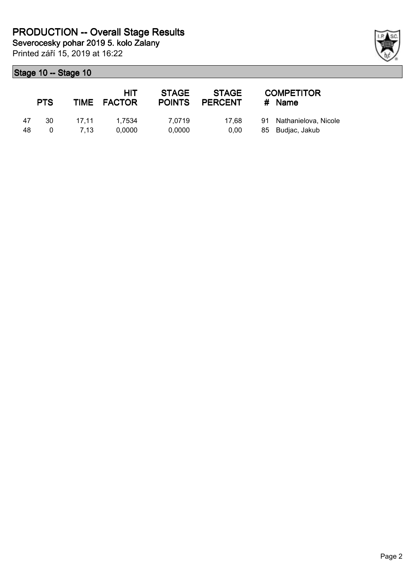Printed září 15, 2019 at 16:22

|    | <b>PTS</b> |       | HIT<br>TIME FACTOR | <b>STAGE</b><br><b>POINTS</b> | <b>STAGE</b><br><b>PERCENT</b> | <b>COMPETITOR</b><br># Name |
|----|------------|-------|--------------------|-------------------------------|--------------------------------|-----------------------------|
| 47 | 30         | 17.11 | 1.7534             | 7.0719                        | 17.68                          | 91 Nathanielova, Nicole     |
| 48 |            | 7.13  | 0.0000             | 0,0000                        | 0.00                           | 85 Budjac, Jakub            |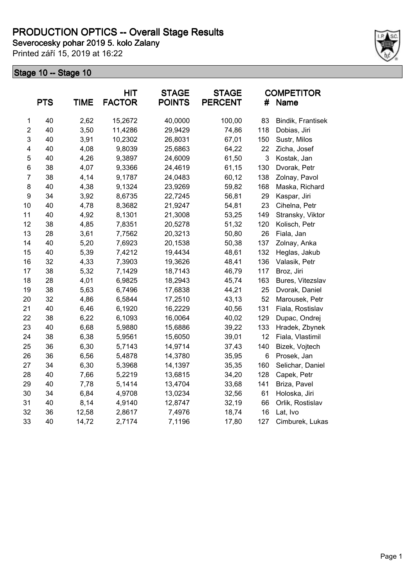Printed září 15, 2019 at 16:22



|                  | <b>PTS</b> | <b>TIME</b> | <b>HIT</b><br><b>FACTOR</b> | <b>STAGE</b><br><b>POINTS</b> | <b>STAGE</b><br><b>PERCENT</b> | #            | <b>COMPETITOR</b><br>Name |
|------------------|------------|-------------|-----------------------------|-------------------------------|--------------------------------|--------------|---------------------------|
|                  |            |             |                             |                               |                                |              |                           |
| 1                | 40         | 2,62        | 15,2672                     | 40,0000                       | 100,00                         | 83           | Bindik, Frantisek         |
| $\overline{2}$   | 40         | 3,50        | 11,4286                     | 29,9429                       | 74,86                          | 118          | Dobias, Jiri              |
| 3                | 40         | 3,91        | 10,2302                     | 26,8031                       | 67,01                          | 150          | Sustr, Milos              |
| 4                | 40         | 4,08        | 9,8039                      | 25,6863                       | 64,22                          | 22           | Zicha, Josef              |
| 5                | 40         | 4,26        | 9,3897                      | 24,6009                       | 61,50                          | $\mathbf{3}$ | Kostak, Jan               |
| 6                | 38         | 4,07        | 9,3366                      | 24,4619                       | 61,15                          | 130          | Dvorak, Petr              |
| $\overline{7}$   | 38         | 4,14        | 9,1787                      | 24,0483                       | 60,12                          | 138          | Zolnay, Pavol             |
| 8                | 40         | 4,38        | 9,1324                      | 23,9269                       | 59,82                          | 168          | Maska, Richard            |
| $\boldsymbol{9}$ | 34         | 3,92        | 8,6735                      | 22,7245                       | 56,81                          | 29           | Kaspar, Jiri              |
| 10               | 40         | 4,78        | 8,3682                      | 21,9247                       | 54,81                          | 23           | Cihelna, Petr             |
| 11               | 40         | 4,92        | 8,1301                      | 21,3008                       | 53,25                          | 149          | Stransky, Viktor          |
| 12               | 38         | 4,85        | 7,8351                      | 20,5278                       | 51,32                          | 120          | Kolisch, Petr             |
| 13               | 28         | 3,61        | 7,7562                      | 20,3213                       | 50,80                          | 26           | Fiala, Jan                |
| 14               | 40         | 5,20        | 7,6923                      | 20,1538                       | 50,38                          | 137          | Zolnay, Anka              |
| 15               | 40         | 5,39        | 7,4212                      | 19,4434                       | 48,61                          | 132          | Heglas, Jakub             |
| 16               | 32         | 4,33        | 7,3903                      | 19,3626                       | 48,41                          | 136          | Valasik, Petr             |
| 17               | 38         | 5,32        | 7,1429                      | 18,7143                       | 46,79                          | 117          | Broz, Jiri                |
| 18               | 28         | 4,01        | 6,9825                      | 18,2943                       | 45,74                          | 163          | Bures, Vitezslav          |
| 19               | 38         | 5,63        | 6,7496                      | 17,6838                       | 44,21                          | 25           | Dvorak, Daniel            |
| 20               | 32         | 4,86        | 6,5844                      | 17,2510                       | 43,13                          | 52           | Marousek, Petr            |
| 21               | 40         | 6,46        | 6,1920                      | 16,2229                       | 40,56                          | 131          | Fiala, Rostislav          |
| 22               | 38         | 6,22        | 6,1093                      | 16,0064                       | 40,02                          | 129          | Dupac, Ondrej             |
| 23               | 40         | 6,68        | 5,9880                      | 15,6886                       | 39,22                          | 133          | Hradek, Zbynek            |
| 24               | 38         | 6,38        | 5,9561                      | 15,6050                       | 39,01                          | 12           | Fiala, Vlastimil          |
| 25               | 36         | 6,30        | 5,7143                      | 14,9714                       | 37,43                          | 140          | Bizek, Vojtech            |
| 26               | 36         | 6,56        | 5,4878                      | 14,3780                       | 35,95                          | 6            | Prosek, Jan               |
| 27               | 34         | 6,30        | 5,3968                      | 14,1397                       | 35,35                          | 160          | Selichar, Daniel          |
| 28               | 40         | 7,66        | 5,2219                      | 13,6815                       | 34,20                          | 128          | Capek, Petr               |
| 29               | 40         | 7,78        | 5,1414                      | 13,4704                       | 33,68                          | 141          | Briza, Pavel              |
| 30               | 34         | 6,84        | 4,9708                      | 13,0234                       | 32,56                          | 61           | Holoska, Jiri             |
| 31               | 40         | 8,14        | 4,9140                      | 12,8747                       | 32,19                          | 66           | Orlik, Rostislav          |
| 32               | 36         | 12,58       | 2,8617                      | 7,4976                        | 18,74                          | 16           | Lat, Ivo                  |
| 33               | 40         | 14,72       | 2,7174                      | 7,1196                        | 17,80                          | 127          | Cimburek, Lukas           |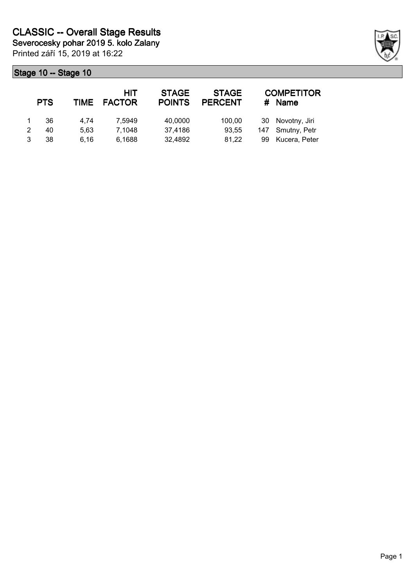Printed září 15, 2019 at 16:22 **Severocesky pohar 2019 5. kolo Zalany**

| <b>PTS</b> | TIME | HIT<br><b>FACTOR</b> | <b>STAGE</b><br><b>POINTS</b> | <b>STAGE</b><br><b>PERCENT</b> | #  | <b>COMPETITOR</b><br><b>Name</b> |
|------------|------|----------------------|-------------------------------|--------------------------------|----|----------------------------------|
| 36         | 4.74 | 7.5949               | 40,0000                       | 100,00                         | 30 | Novotny, Jiri                    |
| 40         | 5.63 | 7,1048               | 37,4186                       | 93.55                          |    | 147 Smutny, Petr                 |
| 38         | 6.16 | 6,1688               | 32,4892                       | 81,22                          | 99 | Kucera, Peter                    |

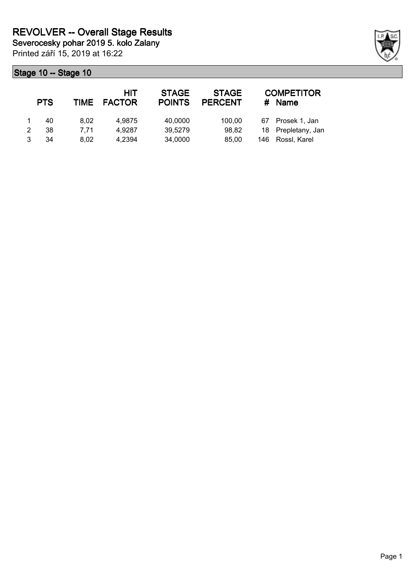Printed září 15, 2019 at 16:22 **Severocesky pohar 2019 5. kolo Zalany**

|   | <b>PTS</b> |      | HIT<br>TIME FACTOR | <b>STAGE</b><br><b>POINTS</b> | <b>STAGE</b><br><b>PERCENT</b> | #   | <b>COMPETITOR</b><br><b>Name</b> |
|---|------------|------|--------------------|-------------------------------|--------------------------------|-----|----------------------------------|
|   | 40         | 8.02 | 4.9875             | 40,0000                       | 100.00                         | 67  | Prosek 1, Jan                    |
| 2 | 38         | 7.71 | 4.9287             | 39,5279                       | 98,82                          |     | 18 Prepletany, Jan               |
|   | 34         | 8.02 | 4.2394             | 34,0000                       | 85.00                          | 146 | Rossl, Karel                     |

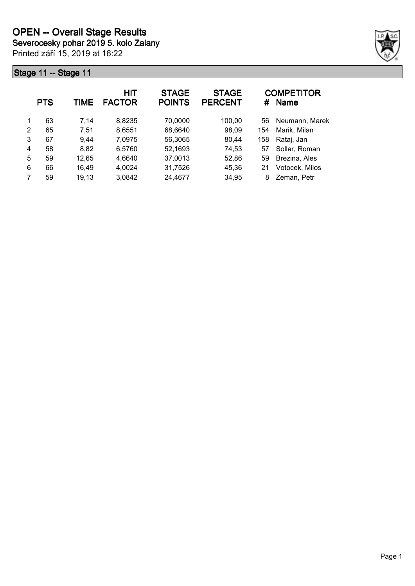Printed září 15, 2019 at 16:22



|   | <b>PTS</b> | TIME  | <b>HIT</b><br><b>FACTOR</b> | <b>STAGE</b><br><b>POINTS</b> | <b>STAGE</b><br><b>PERCENT</b> | #   | <b>COMPETITOR</b><br><b>Name</b> |
|---|------------|-------|-----------------------------|-------------------------------|--------------------------------|-----|----------------------------------|
| 1 | 63         | 7,14  | 8,8235                      | 70,0000                       | 100,00                         | 56  | Neumann, Marek                   |
| 2 | 65         | 7.51  | 8,6551                      | 68,6640                       | 98,09                          | 154 | Marik, Milan                     |
| 3 | 67         | 9.44  | 7,0975                      | 56,3065                       | 80,44                          | 158 | Rataj, Jan                       |
| 4 | 58         | 8,82  | 6.5760                      | 52,1693                       | 74,53                          | 57  | Sollar, Roman                    |
| 5 | 59         | 12,65 | 4,6640                      | 37,0013                       | 52,86                          | 59  | Brezina, Ales                    |
| 6 | 66         | 16,49 | 4,0024                      | 31,7526                       | 45,36                          | 21  | Votocek, Milos                   |
|   | 59         | 19,13 | 3,0842                      | 24,4677                       | 34,95                          | 8   | Zeman, Petr                      |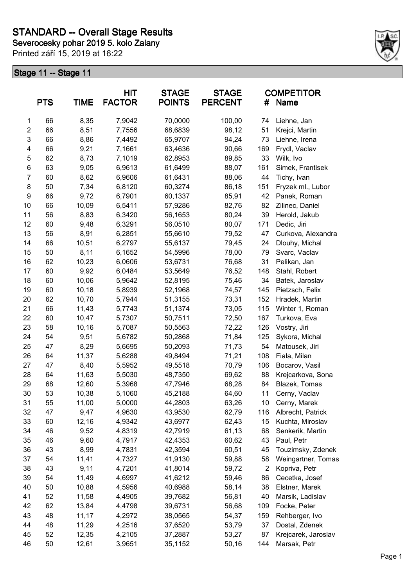**Severocesky pohar 2019 5. kolo Zalany**

Printed září 15, 2019 at 16:22



|                         | <b>PTS</b> | <b>TIME</b> | <b>HIT</b><br><b>FACTOR</b> | <b>STAGE</b><br><b>POINTS</b> | <b>STAGE</b><br><b>PERCENT</b> | #              | <b>COMPETITOR</b><br>Name |
|-------------------------|------------|-------------|-----------------------------|-------------------------------|--------------------------------|----------------|---------------------------|
| 1                       | 66         | 8,35        | 7,9042                      | 70,0000                       | 100,00                         | 74             | Liehne, Jan               |
| $\overline{\mathbf{c}}$ | 66         | 8,51        | 7,7556                      | 68,6839                       | 98,12                          | 51             | Krejci, Martin            |
| 3                       | 66         | 8,86        | 7,4492                      | 65,9707                       | 94,24                          | 73             | Liehne, Irena             |
| $\overline{\mathbf{4}}$ | 66         | 9,21        | 7,1661                      | 63,4636                       | 90,66                          | 169            | Frydl, Vaclav             |
| 5                       | 62         | 8,73        | 7,1019                      | 62,8953                       | 89,85                          | 33             | Wilk, Ivo                 |
| $\,6$                   | 63         | 9,05        | 6,9613                      | 61,6499                       | 88,07                          | 161            | Simek, Frantisek          |
| $\overline{7}$          | 60         | 8,62        | 6,9606                      | 61,6431                       | 88,06                          | 44             | Tichy, Ivan               |
| 8                       | 50         | 7,34        | 6,8120                      | 60,3274                       | 86,18                          | 151            | Fryzek ml., Lubor         |
| $\boldsymbol{9}$        | 66         | 9,72        | 6,7901                      | 60,1337                       | 85,91                          | 42             | Panek, Roman              |
| 10                      | 66         | 10,09       | 6,5411                      | 57,9286                       | 82,76                          | 82             | Zilinec, Daniel           |
| 11                      | 56         | 8,83        | 6,3420                      | 56,1653                       | 80,24                          | 39             | Herold, Jakub             |
| 12                      | 60         | 9,48        | 6,3291                      | 56,0510                       | 80,07                          | 171            | Dedic, Jiri               |
| 13                      | 56         | 8,91        | 6,2851                      | 55,6610                       | 79,52                          | 47             | Curkova, Alexandra        |
| 14                      | 66         | 10,51       | 6,2797                      | 55,6137                       | 79,45                          | 24             | Dlouhy, Michal            |
| 15                      | 50         | 8,11        | 6,1652                      | 54,5996                       | 78,00                          | 79             | Svarc, Vaclav             |
| 16                      | 62         | 10,23       | 6,0606                      | 53,6731                       | 76,68                          | 31             | Pelikan, Jan              |
| 17                      | 60         | 9,92        | 6,0484                      | 53,5649                       | 76,52                          | 148            | Stahl, Robert             |
| 18                      | 60         | 10,06       | 5,9642                      | 52,8195                       | 75,46                          | 34             | Batek, Jaroslav           |
| 19                      | 60         | 10,18       | 5,8939                      | 52,1968                       | 74,57                          | 145            | Pietzsch, Felix           |
| 20                      | 62         | 10,70       | 5,7944                      | 51,3155                       | 73,31                          | 152            | Hradek, Martin            |
| 21                      | 66         | 11,43       | 5,7743                      | 51,1374                       | 73,05                          | 115            | Winter 1, Roman           |
| 22                      | 60         | 10,47       | 5,7307                      | 50,7511                       | 72,50                          | 167            | Turkova, Eva              |
| 23                      | 58         | 10,16       | 5,7087                      | 50,5563                       | 72,22                          | 126            | Vostry, Jiri              |
| 24                      | 54         | 9,51        | 5,6782                      | 50,2868                       | 71,84                          | 125            | Sykora, Michal            |
| 25                      | 47         | 8,29        | 5,6695                      | 50,2093                       | 71,73                          | 54             | Matousek, Jiri            |
| 26                      | 64         | 11,37       | 5,6288                      | 49,8494                       | 71,21                          | 108            | Fiala, Milan              |
| 27                      | 47         | 8,40        | 5,5952                      | 49,5518                       | 70,79                          | 106            | Bocarov, Vasil            |
| 28                      | 64         | 11,63       | 5,5030                      | 48,7350                       | 69,62                          | 88             | Krejcarkova, Sona         |
| 29                      | 68         | 12,60       | 5,3968                      | 47,7946                       | 68,28                          | 84             | Blazek, Tomas             |
| 30                      | 53         | 10,38       | 5,1060                      | 45,2188                       | 64,60                          | 11             | Cerny, Vaclav             |
| 31                      | 55         | 11,00       | 5,0000                      | 44,2803                       | 63,26                          | 10             | Cerny, Marek              |
| 32                      | 47         | 9,47        | 4,9630                      | 43,9530                       | 62,79                          | 116            | Albrecht, Patrick         |
| 33                      | 60         | 12,16       | 4,9342                      | 43,6977                       | 62,43                          | 15             | Kuchta, Miroslav          |
| 34                      | 46         | 9,52        | 4,8319                      | 42,7919                       | 61,13                          | 68             | Senkerik, Martin          |
| 35                      | 46         | 9,60        | 4,7917                      | 42,4353                       | 60,62                          | 43             | Paul, Petr                |
| 36                      | 43         | 8,99        | 4,7831                      | 42,3594                       | 60,51                          | 45             | Touzimsky, Zdenek         |
| 37                      | 54         | 11,41       | 4,7327                      | 41,9130                       | 59,88                          | 58             | Weingartner, Tomas        |
| 38                      | 43         | 9,11        | 4,7201                      | 41,8014                       | 59,72                          | $\overline{2}$ | Kopriva, Petr             |
| 39                      | 54         | 11,49       | 4,6997                      | 41,6212                       | 59,46                          | 86             | Cecetka, Josef            |
| 40                      | 50         | 10,88       | 4,5956                      | 40,6988                       | 58,14                          | 38             | Elstner, Marek            |
| 41                      | 52         | 11,58       | 4,4905                      | 39,7682                       | 56,81                          | 40             | Marsik, Ladislav          |
| 42                      | 62         | 13,84       | 4,4798                      | 39,6731                       | 56,68                          | 109            | Focke, Peter              |
| 43                      | 48         | 11,17       | 4,2972                      | 38,0565                       | 54,37                          | 159            | Rehberger, Ivo            |
| 44                      | 48         | 11,29       | 4,2516                      | 37,6520                       | 53,79                          | 37             | Dostal, Zdenek            |
| 45                      | 52         | 12,35       | 4,2105                      | 37,2887                       | 53,27                          | 87             | Krejcarek, Jaroslav       |
| 46                      | 50         | 12,61       | 3,9651                      | 35,1152                       | 50,16                          | 144            | Marsak, Petr              |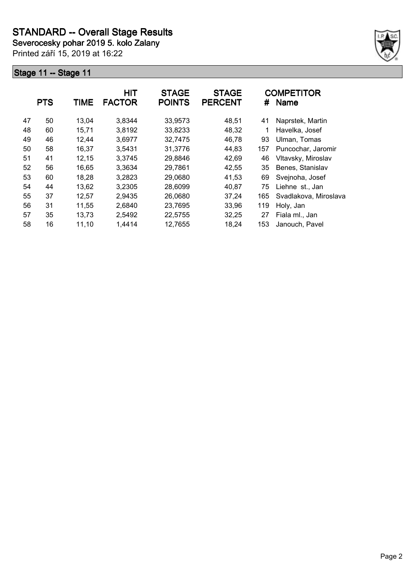**Severocesky pohar 2019 5. kolo Zalany**

Printed září 15, 2019 at 16:22



|    | <b>PTS</b> | <b>TIME</b> | HIT<br><b>FACTOR</b> | <b>STAGE</b><br><b>POINTS</b> | <b>STAGE</b><br><b>PERCENT</b> | #   | <b>COMPETITOR</b><br><b>Name</b> |
|----|------------|-------------|----------------------|-------------------------------|--------------------------------|-----|----------------------------------|
| 47 | 50         | 13,04       | 3,8344               | 33,9573                       | 48,51                          | 41  | Naprstek, Martin                 |
| 48 | 60         | 15,71       | 3,8192               | 33,8233                       | 48,32                          | 1   | Havelka, Josef                   |
| 49 | 46         | 12,44       | 3,6977               | 32,7475                       | 46,78                          | 93  | Ulman, Tomas                     |
| 50 | 58         | 16,37       | 3,5431               | 31,3776                       | 44,83                          | 157 | Puncochar, Jaromir               |
| 51 | 41         | 12,15       | 3,3745               | 29,8846                       | 42,69                          | 46  | Vltavsky, Miroslav               |
| 52 | 56         | 16,65       | 3,3634               | 29,7861                       | 42,55                          | 35  | Benes, Stanislav                 |
| 53 | 60         | 18,28       | 3,2823               | 29,0680                       | 41,53                          | 69  | Svejnoha, Josef                  |
| 54 | 44         | 13,62       | 3,2305               | 28,6099                       | 40,87                          | 75  | Liehne st., Jan                  |
| 55 | 37         | 12,57       | 2,9435               | 26,0680                       | 37,24                          | 165 | Svadlakova, Miroslava            |
| 56 | 31         | 11,55       | 2,6840               | 23,7695                       | 33,96                          | 119 | Holy, Jan                        |
| 57 | 35         | 13,73       | 2,5492               | 22,5755                       | 32,25                          | 27  | Fiala ml., Jan                   |
| 58 | 16         | 11,10       | 1,4414               | 12,7655                       | 18,24                          | 153 | Janouch, Pavel                   |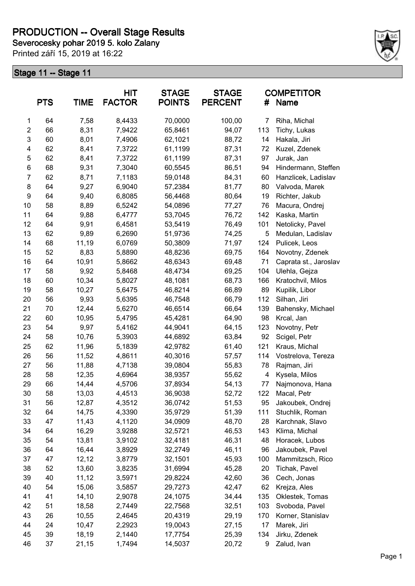## **PRODUCTION -- Overall Stage Results**

**Severocesky pohar 2019 5. kolo Zalany**

Printed září 15, 2019 at 16:22



|                  | <b>PTS</b> | <b>TIME</b> | <b>HIT</b><br><b>FACTOR</b> | <b>STAGE</b><br><b>POINTS</b> | <b>STAGE</b><br><b>PERCENT</b> | #   | <b>COMPETITOR</b><br>Name |
|------------------|------------|-------------|-----------------------------|-------------------------------|--------------------------------|-----|---------------------------|
| 1                | 64         | 7,58        | 8,4433                      | 70,0000                       | 100,00                         | 7   | Riha, Michal              |
| $\boldsymbol{2}$ | 66         | 8,31        | 7,9422                      | 65,8461                       | 94,07                          | 113 | Tichy, Lukas              |
| 3                | 60         | 8,01        | 7,4906                      | 62,1021                       | 88,72                          | 14  | Hakala, Jiri              |
| 4                | 62         | 8,41        | 7,3722                      | 61,1199                       | 87,31                          | 72  | Kuzel, Zdenek             |
| 5                | 62         | 8,41        | 7,3722                      | 61,1199                       | 87,31                          | 97  | Jurak, Jan                |
| 6                | 68         | 9,31        | 7,3040                      | 60,5545                       | 86,51                          | 94  | Hindermann, Steffen       |
| $\overline{7}$   | 62         | 8,71        | 7,1183                      | 59,0148                       | 84,31                          | 60  | Hanzlicek, Ladislav       |
| 8                | 64         | 9,27        | 6,9040                      | 57,2384                       | 81,77                          | 80  | Valvoda, Marek            |
| 9                | 64         | 9,40        | 6,8085                      | 56,4468                       | 80,64                          | 19  | Richter, Jakub            |
| 10               | 58         | 8,89        | 6,5242                      | 54,0896                       | 77,27                          | 76  | Macura, Ondrej            |
| 11               | 64         | 9,88        | 6,4777                      | 53,7045                       | 76,72                          | 142 | Kaska, Martin             |
| 12               | 64         | 9,91        | 6,4581                      | 53,5419                       | 76,49                          | 101 | Netolicky, Pavel          |
| 13               | 62         | 9,89        | 6,2690                      | 51,9736                       | 74,25                          | 5   | Medulan, Ladislav         |
| 14               | 68         | 11,19       | 6,0769                      | 50,3809                       | 71,97                          | 124 | Pulicek, Leos             |
| 15               | 52         | 8,83        | 5,8890                      | 48,8236                       | 69,75                          | 164 | Novotny, Zdenek           |
| 16               | 64         | 10,91       | 5,8662                      | 48,6343                       | 69,48                          | 71  | Caprata st., Jaroslav     |
| 17               | 58         | 9,92        | 5,8468                      | 48,4734                       | 69,25                          | 104 | Ulehla, Gejza             |
| 18               | 60         | 10,34       | 5,8027                      | 48,1081                       | 68,73                          | 166 | Kratochvil, Milos         |
| 19               | 58         | 10,27       | 5,6475                      | 46,8214                       | 66,89                          | 89  | Kupilik, Libor            |
| 20               | 56         | 9,93        | 5,6395                      | 46,7548                       | 66,79                          | 112 | Silhan, Jiri              |
| 21               | 70         | 12,44       | 5,6270                      | 46,6514                       | 66,64                          | 139 | Bahensky, Michael         |
| 22               | 60         | 10,95       | 5,4795                      | 45,4281                       | 64,90                          | 98  | Krcal, Jan                |
| 23               | 54         | 9,97        | 5,4162                      | 44,9041                       | 64,15                          | 123 | Novotny, Petr             |
| 24               | 58         | 10,76       | 5,3903                      | 44,6892                       | 63,84                          | 92  | Scigel, Petr              |
| 25               | 62         | 11,96       | 5,1839                      | 42,9782                       | 61,40                          | 121 | Kraus, Michal             |
| 26               | 56         | 11,52       | 4,8611                      | 40,3016                       | 57,57                          | 114 | Vostrelova, Tereza        |
| 27               | 56         | 11,88       | 4,7138                      | 39,0804                       | 55,83                          | 78  | Rajman, Jiri              |
| 28               | 58         | 12,35       | 4,6964                      | 38,9357                       | 55,62                          | 4   | Kysela, Milos             |
| 29               | 66         | 14,44       | 4,5706                      | 37,8934                       | 54,13                          | 77  | Najmonova, Hana           |
| 30               | 58         | 13,03       | 4,4513                      | 36,9038                       | 52,72                          | 122 | Macal, Petr               |
| 31               | 56         | 12,87       | 4,3512                      | 36,0742                       | 51,53                          | 95  | Jakoubek, Ondrej          |
| 32               | 64         | 14,75       | 4,3390                      | 35,9729                       | 51,39                          | 111 | Stuchlik, Roman           |
| 33               | 47         | 11,43       | 4,1120                      | 34,0909                       | 48,70                          | 28  | Karchnak, Slavo           |
| 34               | 64         | 16,29       | 3,9288                      | 32,5721                       | 46,53                          | 143 | Klima, Michal             |
| 35               | 54         | 13,81       | 3,9102                      | 32,4181                       | 46,31                          | 48  | Horacek, Lubos            |
| 36               | 64         | 16,44       | 3,8929                      | 32,2749                       | 46,11                          | 96  | Jakoubek, Pavel           |
| 37               | 47         | 12,12       | 3,8779                      | 32,1501                       | 45,93                          | 100 | Mammitzsch, Rico          |
| 38               | 52         | 13,60       | 3,8235                      | 31,6994                       | 45,28                          | 20  | Tichak, Pavel             |
| 39               | 40         | 11,12       | 3,5971                      | 29,8224                       | 42,60                          | 36  | Cech, Jonas               |
| 40               | 54         | 15,06       | 3,5857                      | 29,7273                       | 42,47                          | 62  | Krejza, Ales              |
| 41               | 41         | 14,10       | 2,9078                      | 24,1075                       | 34,44                          | 135 | Oklestek, Tomas           |
| 42               | 51         | 18,58       | 2,7449                      | 22,7568                       | 32,51                          | 103 | Svoboda, Pavel            |
| 43               | 26         | 10,55       | 2,4645                      | 20,4319                       | 29,19                          | 170 | Korner, Stanislav         |
| 44               | 24         | 10,47       | 2,2923                      | 19,0043                       | 27,15                          | 17  | Marek, Jiri               |
| 45               | 39         | 18,19       | 2,1440                      | 17,7754                       | 25,39                          | 134 | Jirku, Zdenek             |
| 46               | 37         | 21,15       | 1,7494                      | 14,5037                       | 20,72                          | 9   | Zalud, Ivan               |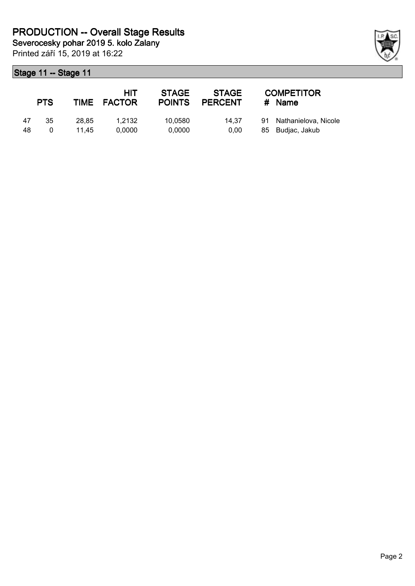Printed září 15, 2019 at 16:22

|    | <b>PTS</b> |       | HIT<br>TIME FACTOR | <b>STAGE</b><br><b>POINTS</b> | STAGE<br><b>PERCENT</b> | <b>COMPETITOR</b><br># Name |
|----|------------|-------|--------------------|-------------------------------|-------------------------|-----------------------------|
| 47 | -35        | 28.85 | 1.2132             | 10.0580                       | 14.37                   | 91 Nathanielova, Nicole     |
| 48 |            | 11.45 | 0.0000             | 0.0000                        | 0.00                    | 85 Budjac, Jakub            |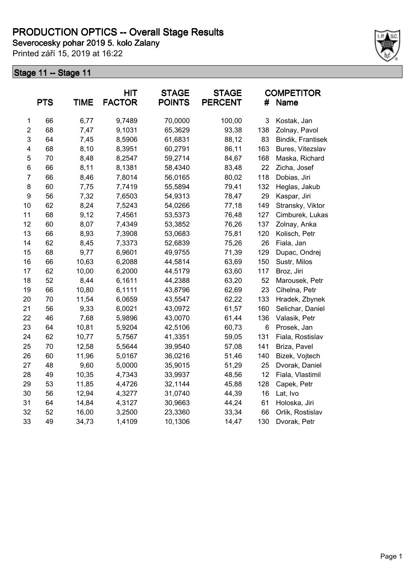Printed září 15, 2019 at 16:22



|                | <b>PTS</b> | <b>TIME</b> | <b>HIT</b><br><b>FACTOR</b> | <b>STAGE</b><br><b>POINTS</b> | <b>STAGE</b><br><b>PERCENT</b> | #   | <b>COMPETITOR</b><br>Name |
|----------------|------------|-------------|-----------------------------|-------------------------------|--------------------------------|-----|---------------------------|
| 1              | 66         | 6,77        | 9,7489                      | 70,0000                       | 100,00                         | 3   | Kostak, Jan               |
| $\overline{2}$ | 68         | 7,47        | 9,1031                      | 65,3629                       | 93,38                          | 138 | Zolnay, Pavol             |
| 3              | 64         | 7,45        | 8,5906                      | 61,6831                       | 88,12                          | 83  | Bindik, Frantisek         |
| 4              | 68         | 8,10        | 8,3951                      | 60,2791                       | 86,11                          | 163 | Bures, Vitezslav          |
| 5              | 70         | 8,48        | 8,2547                      | 59,2714                       | 84,67                          | 168 | Maska, Richard            |
| 6              | 66         | 8,11        | 8,1381                      | 58,4340                       | 83,48                          | 22  | Zicha, Josef              |
| $\overline{7}$ | 66         | 8,46        | 7,8014                      | 56,0165                       | 80,02                          | 118 | Dobias, Jiri              |
| 8              | 60         | 7,75        | 7,7419                      | 55,5894                       | 79,41                          | 132 | Heglas, Jakub             |
| 9              | 56         | 7,32        | 7,6503                      | 54,9313                       | 78,47                          | 29  | Kaspar, Jiri              |
| 10             | 62         | 8,24        | 7,5243                      | 54,0266                       | 77,18                          | 149 | Stransky, Viktor          |
| 11             | 68         | 9,12        | 7,4561                      | 53,5373                       | 76,48                          | 127 | Cimburek, Lukas           |
| 12             | 60         | 8,07        | 7,4349                      | 53,3852                       | 76,26                          | 137 | Zolnay, Anka              |
| 13             | 66         | 8,93        | 7,3908                      | 53,0683                       | 75,81                          | 120 | Kolisch, Petr             |
| 14             | 62         | 8,45        | 7,3373                      | 52,6839                       | 75,26                          | 26  | Fiala, Jan                |
| 15             | 68         | 9,77        | 6,9601                      | 49,9755                       | 71,39                          | 129 | Dupac, Ondrej             |
| 16             | 66         | 10,63       | 6,2088                      | 44,5814                       | 63,69                          | 150 | Sustr, Milos              |
| 17             | 62         | 10,00       | 6,2000                      | 44,5179                       | 63,60                          | 117 | Broz, Jiri                |
| 18             | 52         | 8,44        | 6,1611                      | 44,2388                       | 63,20                          | 52  | Marousek, Petr            |
| 19             | 66         | 10,80       | 6,1111                      | 43,8796                       | 62,69                          | 23  | Cihelna, Petr             |
| 20             | 70         | 11,54       | 6,0659                      | 43,5547                       | 62,22                          | 133 | Hradek, Zbynek            |
| 21             | 56         | 9,33        | 6,0021                      | 43,0972                       | 61,57                          | 160 | Selichar, Daniel          |
| 22             | 46         | 7,68        | 5,9896                      | 43,0070                       | 61,44                          | 136 | Valasik, Petr             |
| 23             | 64         | 10,81       | 5,9204                      | 42,5106                       | 60,73                          | 6   | Prosek, Jan               |
| 24             | 62         | 10,77       | 5,7567                      | 41,3351                       | 59,05                          | 131 | Fiala, Rostislav          |
| 25             | 70         | 12,58       | 5,5644                      | 39,9540                       | 57,08                          | 141 | Briza, Pavel              |
| 26             | 60         | 11,96       | 5,0167                      | 36,0216                       | 51,46                          | 140 | Bizek, Vojtech            |
| 27             | 48         | 9,60        | 5,0000                      | 35,9015                       | 51,29                          | 25  | Dvorak, Daniel            |
| 28             | 49         | 10,35       | 4,7343                      | 33,9937                       | 48,56                          | 12  | Fiala, Vlastimil          |
| 29             | 53         | 11,85       | 4,4726                      | 32,1144                       | 45,88                          | 128 | Capek, Petr               |
| 30             | 56         | 12,94       | 4,3277                      | 31,0740                       | 44,39                          | 16  | Lat, Ivo                  |
| 31             | 64         | 14,84       | 4,3127                      | 30,9663                       | 44,24                          | 61  | Holoska, Jiri             |
| 32             | 52         | 16,00       | 3,2500                      | 23,3360                       | 33,34                          | 66  | Orlik, Rostislav          |
| 33             | 49         | 34,73       | 1,4109                      | 10,1306                       | 14,47                          | 130 | Dvorak, Petr              |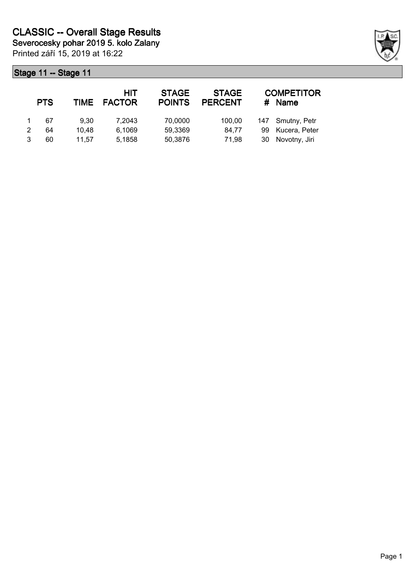Printed září 15, 2019 at 16:22 **Severocesky pohar 2019 5. kolo Zalany**

| <b>PTS</b> | <b>TIME</b> | HIT<br><b>FACTOR</b> | <b>STAGE</b><br><b>POINTS</b> | <b>STAGE</b><br><b>PERCENT</b> |    | <b>COMPETITOR</b><br><b>Name</b> |
|------------|-------------|----------------------|-------------------------------|--------------------------------|----|----------------------------------|
| 67         | 9.30        | 7.2043               | 70,0000                       | 100,00                         |    | 147 Smutny, Petr                 |
| 64         | 10.48       | 6,1069               | 59,3369                       | 84.77                          | 99 | Kucera, Peter                    |
| 60         | 11.57       | 5,1858               | 50,3876                       | 71,98                          | 30 | Novotny, Jiri                    |